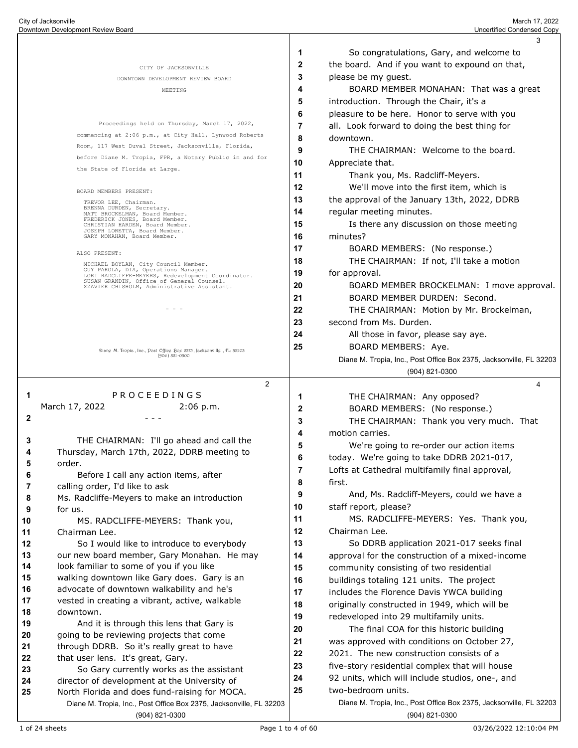|              |                                                                                                                      |    | 3                                                                   |
|--------------|----------------------------------------------------------------------------------------------------------------------|----|---------------------------------------------------------------------|
|              |                                                                                                                      | 1  | So congratulations, Gary, and welcome to                            |
|              | CITY OF JACKSONVILLE                                                                                                 | 2  | the board. And if you want to expound on that,                      |
|              | DOWNTOWN DEVELOPMENT REVIEW BOARD                                                                                    | 3  | please be my guest.                                                 |
|              | MEETING                                                                                                              | 4  | BOARD MEMBER MONAHAN: That was a great                              |
|              |                                                                                                                      | 5  | introduction. Through the Chair, it's a                             |
|              |                                                                                                                      | 6  | pleasure to be here. Honor to serve with you                        |
|              | Proceedings held on Thursday, March 17, 2022,                                                                        | 7  | all. Look forward to doing the best thing for                       |
|              | commencing at 2:06 p.m., at City Hall, Lynwood Roberts                                                               | 8  | downtown.                                                           |
|              | Room, 117 West Duval Street, Jacksonville, Florida,                                                                  | 9  | THE CHAIRMAN: Welcome to the board.                                 |
|              | before Diane M. Tropia, FPR, a Notary Public in and for                                                              | 10 | Appreciate that.                                                    |
|              | the State of Florida at Large.                                                                                       | 11 | Thank you, Ms. Radcliff-Meyers.                                     |
|              | BOARD MEMBERS PRESENT:                                                                                               | 12 | We'll move into the first item, which is                            |
|              | TREVOR LEE, Chairman.                                                                                                | 13 | the approval of the January 13th, 2022, DDRB                        |
|              | BRENNA DURDEN, Secretary.<br>MATT BROCKELMAN, Board Member.                                                          | 14 | regular meeting minutes.                                            |
|              | FREDERICK JONES, Board Member.<br>CHRISTIAN HARDEN, Board Member.                                                    | 15 | Is there any discussion on those meeting                            |
|              | JOSEPH LORETTA, Board Member.<br>GARY MONAHAN, Board Member.                                                         | 16 | minutes?                                                            |
|              |                                                                                                                      | 17 | BOARD MEMBERS: (No response.)                                       |
|              | ALSO PRESENT:<br>MICHAEL BOYLAN, City Council Member.                                                                | 18 | THE CHAIRMAN: If not, I'll take a motion                            |
|              | GUY PAROLA, DIA, Operations Manager.<br>LORI RADCLIFFE-MEYERS, Redevelopment Coordinator.                            | 19 | for approval.                                                       |
|              | SUSAN GRANDIN, Office of General Counsel.<br>XZAVIER CHISHOLM, Administrative Assistant.                             | 20 | BOARD MEMBER BROCKELMAN: I move approval.                           |
|              |                                                                                                                      | 21 | BOARD MEMBER DURDEN: Second.                                        |
|              |                                                                                                                      | 22 | THE CHAIRMAN: Motion by Mr. Brockelman,                             |
|              |                                                                                                                      | 23 | second from Ms. Durden.                                             |
|              |                                                                                                                      | 24 | All those in favor, please say aye.                                 |
|              |                                                                                                                      | 25 | BOARD MEMBERS: Aye.                                                 |
|              | Diang M. Tropia, Ine., Post Offieg Box 2375, Jaeksonvillg, FL 32203<br>$(904) 821 - 0300$                            |    | Diane M. Tropia, Inc., Post Office Box 2375, Jacksonville, FL 32203 |
|              |                                                                                                                      |    | (904) 821-0300                                                      |
|              | $\overline{2}$                                                                                                       |    | 4                                                                   |
| 1            | PROCEEDINGS                                                                                                          | 1  | THE CHAIRMAN: Any opposed?                                          |
|              | March 17, 2022<br>2:06 p.m.                                                                                          | 2  | BOARD MEMBERS: (No response.)                                       |
| $\mathbf{2}$ |                                                                                                                      | 3  | THE CHAIRMAN: Thank you very much. That                             |
|              |                                                                                                                      | 4  | motion carries.                                                     |
| 3            | THE CHAIRMAN: I'll go ahead and call the                                                                             | 5  | We're going to re-order our action items                            |
| 4            | Thursday, March 17th, 2022, DDRB meeting to                                                                          | 6  | today. We're going to take DDRB 2021-017,                           |
| b            | order.                                                                                                               | 7  | Lofts at Cathedral multifamily final approval,                      |
| 6            | Before I call any action items, after                                                                                | 8  | first.                                                              |
| 7            | calling order, I'd like to ask                                                                                       | 9  | And, Ms. Radcliff-Meyers, could we have a                           |
| 8<br>9       | Ms. Radcliffe-Meyers to make an introduction                                                                         | 10 | staff report, please?                                               |
| 10           | for us.<br>MS. RADCLIFFE-MEYERS: Thank you,                                                                          | 11 | MS. RADCLIFFE-MEYERS: Yes. Thank you,                               |
| 11           | Chairman Lee.                                                                                                        | 12 | Chairman Lee.                                                       |
| 12           | So I would like to introduce to everybody                                                                            | 13 | So DDRB application 2021-017 seeks final                            |
| 13           | our new board member, Gary Monahan. He may                                                                           | 14 | approval for the construction of a mixed-income                     |
| 14           | look familiar to some of you if you like                                                                             | 15 | community consisting of two residential                             |
| 15           | walking downtown like Gary does. Gary is an                                                                          | 16 | buildings totaling 121 units. The project                           |
| 16           | advocate of downtown walkability and he's                                                                            | 17 | includes the Florence Davis YWCA building                           |
| 17           | vested in creating a vibrant, active, walkable                                                                       | 18 | originally constructed in 1949, which will be                       |
| 18           | downtown.                                                                                                            | 19 | redeveloped into 29 multifamily units.                              |
| 19           | And it is through this lens that Gary is                                                                             | 20 | The final COA for this historic building                            |
| 20           | going to be reviewing projects that come                                                                             | 21 | was approved with conditions on October 27,                         |
| 21           | through DDRB. So it's really great to have                                                                           | 22 | 2021. The new construction consists of a                            |
| 22           | that user lens. It's great, Gary.                                                                                    | 23 | five-story residential complex that will house                      |
| 23           | So Gary currently works as the assistant                                                                             | 24 | 92 units, which will include studios, one-, and                     |
| 24           | director of development at the University of                                                                         | 25 | two-bedroom units.                                                  |
| 25           | North Florida and does fund-raising for MOCA.<br>Diane M. Tropia, Inc., Post Office Box 2375, Jacksonville, FL 32203 |    | Diane M. Tropia, Inc., Post Office Box 2375, Jacksonville, FL 32203 |
|              |                                                                                                                      |    |                                                                     |
|              | (904) 821-0300                                                                                                       |    | (904) 821-0300                                                      |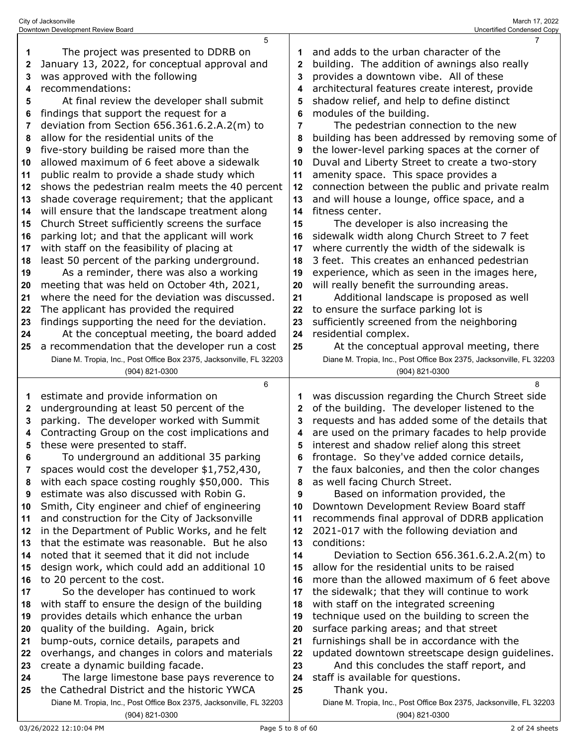|              | 5                                                                                                                   |    | $\overline{7}$                                                                               |
|--------------|---------------------------------------------------------------------------------------------------------------------|----|----------------------------------------------------------------------------------------------|
| 1            | The project was presented to DDRB on                                                                                | 1  | and adds to the urban character of the                                                       |
| $\mathbf{2}$ | January 13, 2022, for conceptual approval and                                                                       | 2  | building. The addition of awnings also really                                                |
| 3            | was approved with the following                                                                                     | 3  | provides a downtown vibe. All of these                                                       |
| 4            | recommendations:                                                                                                    | 4  | architectural features create interest, provide                                              |
| 5            | At final review the developer shall submit                                                                          | 5  | shadow relief, and help to define distinct                                                   |
|              | findings that support the request for a                                                                             | 6  | modules of the building.                                                                     |
| 6            |                                                                                                                     |    |                                                                                              |
| 7            | deviation from Section 656.361.6.2.A.2(m) to                                                                        | 7  | The pedestrian connection to the new                                                         |
| 8            | allow for the residential units of the                                                                              | 8  | building has been addressed by removing some of                                              |
| 9            | five-story building be raised more than the                                                                         | 9  | the lower-level parking spaces at the corner of                                              |
| 10           | allowed maximum of 6 feet above a sidewalk                                                                          | 10 | Duval and Liberty Street to create a two-story                                               |
| 11           | public realm to provide a shade study which                                                                         | 11 | amenity space. This space provides a                                                         |
| 12           | shows the pedestrian realm meets the 40 percent                                                                     | 12 | connection between the public and private realm                                              |
| 13           | shade coverage requirement; that the applicant                                                                      | 13 | and will house a lounge, office space, and a                                                 |
| 14           | will ensure that the landscape treatment along                                                                      | 14 | fitness center.                                                                              |
| 15           | Church Street sufficiently screens the surface                                                                      | 15 | The developer is also increasing the                                                         |
| 16           | parking lot; and that the applicant will work                                                                       | 16 | sidewalk width along Church Street to 7 feet                                                 |
| 17           | with staff on the feasibility of placing at                                                                         | 17 | where currently the width of the sidewalk is                                                 |
| 18           | least 50 percent of the parking underground.                                                                        | 18 | 3 feet. This creates an enhanced pedestrian                                                  |
| 19           | As a reminder, there was also a working                                                                             | 19 | experience, which as seen in the images here,                                                |
| 20           | meeting that was held on October 4th, 2021,                                                                         | 20 | will really benefit the surrounding areas.                                                   |
| 21           | where the need for the deviation was discussed.                                                                     | 21 | Additional landscape is proposed as well                                                     |
|              | The applicant has provided the required                                                                             | 22 | to ensure the surface parking lot is                                                         |
| 22           |                                                                                                                     | 23 |                                                                                              |
| 23           | findings supporting the need for the deviation.                                                                     |    | sufficiently screened from the neighboring                                                   |
| 24           | At the conceptual meeting, the board added                                                                          | 24 | residential complex.                                                                         |
| 25           | a recommendation that the developer run a cost                                                                      | 25 | At the conceptual approval meeting, there                                                    |
|              | Diane M. Tropia, Inc., Post Office Box 2375, Jacksonville, FL 32203                                                 |    | Diane M. Tropia, Inc., Post Office Box 2375, Jacksonville, FL 32203                          |
|              |                                                                                                                     |    |                                                                                              |
|              | (904) 821-0300                                                                                                      |    | (904) 821-0300                                                                               |
|              | 6                                                                                                                   |    | 8                                                                                            |
| 1            | estimate and provide information on                                                                                 |    | was discussion regarding the Church Street side                                              |
| 2            | undergrounding at least 50 percent of the                                                                           | 2  | of the building. The developer listened to the                                               |
| 3            | parking. The developer worked with Summit                                                                           | 3  | requests and has added some of the details that                                              |
| 4            | Contracting Group on the cost implications and                                                                      | 4  | are used on the primary facades to help provide                                              |
| 5            | these were presented to staff.                                                                                      | 5  | interest and shadow relief along this street                                                 |
| 6            | To underground an additional 35 parking                                                                             | 6  | frontage. So they've added cornice details,                                                  |
| 7            | spaces would cost the developer \$1,752,430,                                                                        |    | the faux balconies, and then the color changes                                               |
| 8            | with each space costing roughly \$50,000. This                                                                      | 8  | as well facing Church Street.                                                                |
| 9            | estimate was also discussed with Robin G.                                                                           | 9  | Based on information provided, the                                                           |
| 10           | Smith, City engineer and chief of engineering                                                                       | 10 | Downtown Development Review Board staff                                                      |
| 11           |                                                                                                                     | 11 |                                                                                              |
| 12           | and construction for the City of Jacksonville                                                                       | 12 | recommends final approval of DDRB application<br>2021-017 with the following deviation and   |
| 13           | in the Department of Public Works, and he felt<br>that the estimate was reasonable. But he also                     | 13 | conditions:                                                                                  |
| 14           | noted that it seemed that it did not include                                                                        | 14 |                                                                                              |
| 15           |                                                                                                                     | 15 | Deviation to Section $656.361.6.2.A.2(m)$ to<br>allow for the residential units to be raised |
|              | design work, which could add an additional 10                                                                       | 16 |                                                                                              |
| 16           | to 20 percent to the cost.                                                                                          |    | more than the allowed maximum of 6 feet above                                                |
| 17           | So the developer has continued to work                                                                              | 17 | the sidewalk; that they will continue to work                                                |
| 18           | with staff to ensure the design of the building                                                                     | 18 | with staff on the integrated screening                                                       |
| 19           | provides details which enhance the urban                                                                            | 19 | technique used on the building to screen the                                                 |
| 20           | quality of the building. Again, brick                                                                               | 20 | surface parking areas; and that street                                                       |
| 21           | bump-outs, cornice details, parapets and                                                                            | 21 | furnishings shall be in accordance with the                                                  |
| 22           | overhangs, and changes in colors and materials                                                                      | 22 | updated downtown streetscape design guidelines.                                              |
| 23           | create a dynamic building facade.                                                                                   | 23 | And this concludes the staff report, and                                                     |
| 24           | The large limestone base pays reverence to                                                                          | 24 | staff is available for questions.                                                            |
| 25           | the Cathedral District and the historic YWCA<br>Diane M. Tropia, Inc., Post Office Box 2375, Jacksonville, FL 32203 | 25 | Thank you.<br>Diane M. Tropia, Inc., Post Office Box 2375, Jacksonville, FL 32203            |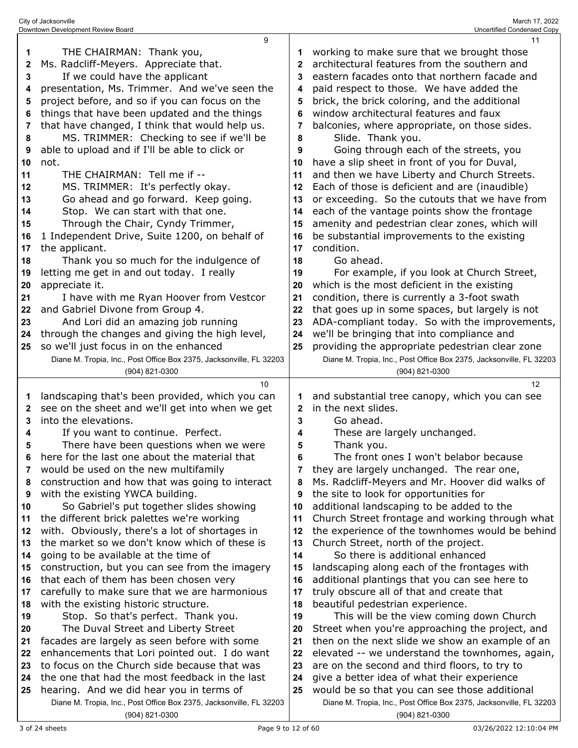|    | 9                                                                                                               |              | 11                                                                                                                   |
|----|-----------------------------------------------------------------------------------------------------------------|--------------|----------------------------------------------------------------------------------------------------------------------|
| 1  | THE CHAIRMAN: Thank you,                                                                                        | 1            | working to make sure that we brought those                                                                           |
| 2  | Ms. Radcliff-Meyers. Appreciate that.                                                                           | $\mathbf{2}$ | architectural features from the southern and                                                                         |
| 3  | If we could have the applicant                                                                                  | 3            | eastern facades onto that northern facade and                                                                        |
| 4  | presentation, Ms. Trimmer. And we've seen the                                                                   | 4            | paid respect to those. We have added the                                                                             |
| 5  | project before, and so if you can focus on the                                                                  | 5            | brick, the brick coloring, and the additional                                                                        |
| 6  | things that have been updated and the things                                                                    | 6            | window architectural features and faux                                                                               |
| 7  | that have changed, I think that would help us.                                                                  | 7            | balconies, where appropriate, on those sides.                                                                        |
| 8  | MS. TRIMMER: Checking to see if we'll be                                                                        | 8            | Slide. Thank you.                                                                                                    |
| 9  | able to upload and if I'll be able to click or                                                                  | 9            | Going through each of the streets, you                                                                               |
| 10 | not.                                                                                                            | 10           | have a slip sheet in front of you for Duval,                                                                         |
| 11 | THE CHAIRMAN: Tell me if --                                                                                     | 11           | and then we have Liberty and Church Streets.                                                                         |
| 12 | MS. TRIMMER: It's perfectly okay.                                                                               | 12           | Each of those is deficient and are (inaudible)                                                                       |
| 13 | Go ahead and go forward. Keep going.                                                                            | 13           | or exceeding. So the cutouts that we have from                                                                       |
| 14 | Stop. We can start with that one.                                                                               | 14           | each of the vantage points show the frontage                                                                         |
| 15 | Through the Chair, Cyndy Trimmer,                                                                               | 15           | amenity and pedestrian clear zones, which will                                                                       |
| 16 | 1 Independent Drive, Suite 1200, on behalf of                                                                   | 16           | be substantial improvements to the existing                                                                          |
| 17 | the applicant.                                                                                                  | 17           | condition.                                                                                                           |
| 18 | Thank you so much for the indulgence of                                                                         | 18           | Go ahead.                                                                                                            |
| 19 | letting me get in and out today. I really                                                                       | 19           | For example, if you look at Church Street,                                                                           |
| 20 | appreciate it.                                                                                                  | 20           | which is the most deficient in the existing                                                                          |
| 21 | I have with me Ryan Hoover from Vestcor                                                                         | 21           | condition, there is currently a 3-foot swath                                                                         |
| 22 | and Gabriel Divone from Group 4.                                                                                | 22           | that goes up in some spaces, but largely is not                                                                      |
| 23 | And Lori did an amazing job running                                                                             | 23           | ADA-compliant today. So with the improvements,                                                                       |
| 24 | through the changes and giving the high level,                                                                  | 24           | we'll be bringing that into compliance and                                                                           |
| 25 | so we'll just focus in on the enhanced                                                                          | 25           | providing the appropriate pedestrian clear zone                                                                      |
|    | Diane M. Tropia, Inc., Post Office Box 2375, Jacksonville, FL 32203                                             |              | Diane M. Tropia, Inc., Post Office Box 2375, Jacksonville, FL 32203                                                  |
|    |                                                                                                                 |              |                                                                                                                      |
|    | (904) 821-0300                                                                                                  |              | (904) 821-0300                                                                                                       |
|    | 10                                                                                                              |              | 12 <sup>2</sup>                                                                                                      |
| 1  | landscaping that's been provided, which you can                                                                 | 1            | and substantial tree canopy, which you can see                                                                       |
| 2  | see on the sheet and we'll get into when we get                                                                 | 2            | in the next slides.                                                                                                  |
| 3  | into the elevations.                                                                                            | 3            | Go ahead.                                                                                                            |
| 4  | If you want to continue. Perfect.                                                                               | 4            | These are largely unchanged.                                                                                         |
| 5  | There have been questions when we were                                                                          | 5            | Thank you.                                                                                                           |
|    | here for the last one about the material that                                                                   | 6            | The front ones I won't belabor because                                                                               |
| 7  | would be used on the new multifamily                                                                            | 7            | they are largely unchanged. The rear one,                                                                            |
| 8  | construction and how that was going to interact                                                                 | 8            | Ms. Radcliff-Meyers and Mr. Hoover did walks of                                                                      |
| 9  | with the existing YWCA building.                                                                                | 9            | the site to look for opportunities for                                                                               |
| 10 | So Gabriel's put together slides showing                                                                        | 10           | additional landscaping to be added to the                                                                            |
| 11 | the different brick palettes we're working                                                                      | 11           | Church Street frontage and working through what                                                                      |
| 12 | with. Obviously, there's a lot of shortages in                                                                  | 12           | the experience of the townhomes would be behind                                                                      |
| 13 | the market so we don't know which of these is                                                                   | 13           | Church Street, north of the project.                                                                                 |
| 14 | going to be available at the time of                                                                            | 14           | So there is additional enhanced                                                                                      |
| 15 | construction, but you can see from the imagery                                                                  | 15           | landscaping along each of the frontages with                                                                         |
| 16 | that each of them has been chosen very                                                                          | 16           | additional plantings that you can see here to                                                                        |
| 17 | carefully to make sure that we are harmonious                                                                   | 17           | truly obscure all of that and create that                                                                            |
| 18 | with the existing historic structure.                                                                           | 18           | beautiful pedestrian experience.                                                                                     |
| 19 | Stop. So that's perfect. Thank you.                                                                             | 19           | This will be the view coming down Church                                                                             |
| 20 | The Duval Street and Liberty Street                                                                             | 20           | Street when you're approaching the project, and                                                                      |
| 21 | facades are largely as seen before with some                                                                    | 21           | then on the next slide we show an example of an                                                                      |
| 22 | enhancements that Lori pointed out. I do want                                                                   | 22           | elevated -- we understand the townhomes, again,                                                                      |
| 23 | to focus on the Church side because that was                                                                    | 23           | are on the second and third floors, to try to                                                                        |
| 24 | the one that had the most feedback in the last                                                                  | 24           | give a better idea of what their experience                                                                          |
| 25 | hearing. And we did hear you in terms of<br>Diane M. Tropia, Inc., Post Office Box 2375, Jacksonville, FL 32203 | 25           | would be so that you can see those additional<br>Diane M. Tropia, Inc., Post Office Box 2375, Jacksonville, FL 32203 |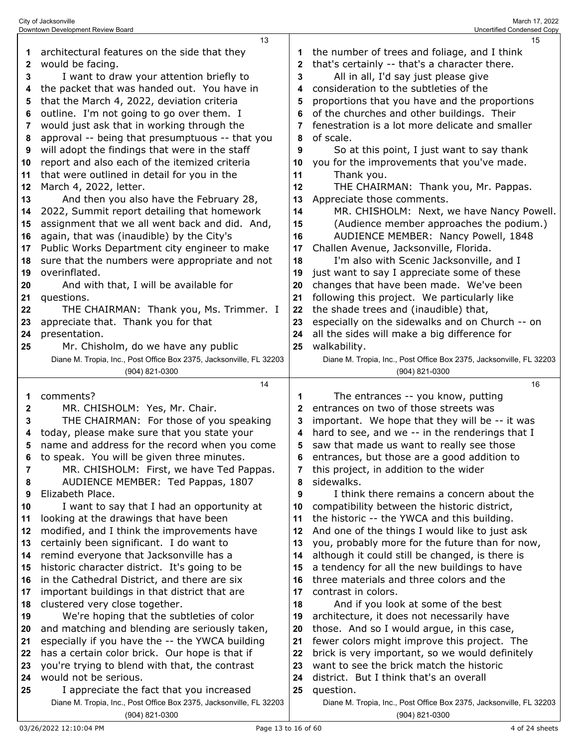| 1        | architectural features on the side that they                                                                    | 1            | the number of trees and foliage, and I think                                     |
|----------|-----------------------------------------------------------------------------------------------------------------|--------------|----------------------------------------------------------------------------------|
| 2        | would be facing.                                                                                                | $\mathbf{2}$ | that's certainly -- that's a character there.                                    |
| 3        | I want to draw your attention briefly to                                                                        | 3            | All in all, I'd say just please give                                             |
| 4        | the packet that was handed out. You have in                                                                     | 4            | consideration to the subtleties of the                                           |
| 5        | that the March 4, 2022, deviation criteria                                                                      | 5            | proportions that you have and the proportions                                    |
| 6        | outline. I'm not going to go over them. I                                                                       | 6            | of the churches and other buildings. Their                                       |
| 7        | would just ask that in working through the                                                                      | 7            | fenestration is a lot more delicate and smaller                                  |
| 8        | approval -- being that presumptuous -- that you                                                                 | 8            | of scale.                                                                        |
| 9        | will adopt the findings that were in the staff                                                                  | 9            | So at this point, I just want to say thank                                       |
| 10       | report and also each of the itemized criteria                                                                   | 10           | you for the improvements that you've made.                                       |
| 11       | that were outlined in detail for you in the                                                                     | 11           | Thank you.                                                                       |
| 12       | March 4, 2022, letter.                                                                                          | 12           | THE CHAIRMAN: Thank you, Mr. Pappas.                                             |
| 13       | And then you also have the February 28,                                                                         | 13           | Appreciate those comments.                                                       |
| 14       | 2022, Summit report detailing that homework                                                                     | 14           | MR. CHISHOLM: Next, we have Nancy Powell.                                        |
| 15       | assignment that we all went back and did. And,                                                                  | 15           | (Audience member approaches the podium.)                                         |
| 16       | again, that was (inaudible) by the City's                                                                       | 16           | AUDIENCE MEMBER: Nancy Powell, 1848                                              |
| 17       | Public Works Department city engineer to make                                                                   | 17           | Challen Avenue, Jacksonville, Florida.                                           |
| 18       | sure that the numbers were appropriate and not                                                                  | 18           | I'm also with Scenic Jacksonville, and I                                         |
| 19       | overinflated.                                                                                                   | 19           | just want to say I appreciate some of these                                      |
| 20       | And with that, I will be available for                                                                          | 20           | changes that have been made. We've been                                          |
| 21       | questions.                                                                                                      | 21           | following this project. We particularly like                                     |
| 22       | THE CHAIRMAN: Thank you, Ms. Trimmer. I                                                                         | 22           | the shade trees and (inaudible) that,                                            |
| 23       | appreciate that. Thank you for that                                                                             | 23           | especially on the sidewalks and on Church -- on                                  |
| 24       | presentation.                                                                                                   | 24           | all the sides will make a big difference for                                     |
| 25       | Mr. Chisholm, do we have any public                                                                             | 25           | walkability.                                                                     |
|          | Diane M. Tropia, Inc., Post Office Box 2375, Jacksonville, FL 32203                                             |              | Diane M. Tropia, Inc., Post Office Box 2375, Jacksonville, FL 32203              |
|          | (904) 821-0300                                                                                                  |              | (904) 821-0300                                                                   |
|          | 14                                                                                                              |              | 16                                                                               |
|          |                                                                                                                 |              |                                                                                  |
| 1        |                                                                                                                 | 1            |                                                                                  |
|          | comments?                                                                                                       | 2            | The entrances -- you know, putting                                               |
| 2<br>3   | MR. CHISHOLM: Yes, Mr. Chair.                                                                                   | 3            | entrances on two of those streets was                                            |
| 4        | THE CHAIRMAN: For those of you speaking                                                                         | 4            | important. We hope that they will be -- it was                                   |
| 5        | today, please make sure that you state your                                                                     | 5            | hard to see, and we -- in the renderings that I                                  |
|          | name and address for the record when you come                                                                   |              | saw that made us want to really see those                                        |
| 6        | to speak. You will be given three minutes.                                                                      |              | entrances, but those are a good addition to                                      |
| 7        | MR. CHISHOLM: First, we have Ted Pappas.                                                                        |              | this project, in addition to the wider                                           |
| 8        | AUDIENCE MEMBER: Ted Pappas, 1807                                                                               | 8<br>9       | sidewalks.                                                                       |
| 9        | Elizabeth Place.                                                                                                |              | I think there remains a concern about the                                        |
| 10       | I want to say that I had an opportunity at                                                                      | 10           | compatibility between the historic district,                                     |
| 11       | looking at the drawings that have been                                                                          | 11           | the historic -- the YWCA and this building.                                      |
| 12       | modified, and I think the improvements have                                                                     | 12           | And one of the things I would like to just ask                                   |
| 13       | certainly been significant. I do want to                                                                        | 13           | you, probably more for the future than for now,                                  |
| 14       | remind everyone that Jacksonville has a                                                                         | 14           | although it could still be changed, is there is                                  |
| 15       | historic character district. It's going to be                                                                   | 15<br>16     | a tendency for all the new buildings to have                                     |
| 16       | in the Cathedral District, and there are six                                                                    |              | three materials and three colors and the                                         |
| 17<br>18 | important buildings in that district that are                                                                   | 17           | contrast in colors.                                                              |
|          | clustered very close together.                                                                                  | 18           | And if you look at some of the best                                              |
| 19       | We're hoping that the subtleties of color                                                                       | 19           | architecture, it does not necessarily have                                       |
| 20       | and matching and blending are seriously taken,                                                                  | 20           | those. And so I would argue, in this case,                                       |
| 21       | especially if you have the -- the YWCA building                                                                 | 21           | fewer colors might improve this project. The                                     |
| 22       | has a certain color brick. Our hope is that if                                                                  | 22           | brick is very important, so we would definitely                                  |
| 23       | you're trying to blend with that, the contrast                                                                  | 23           | want to see the brick match the historic                                         |
| 24       | would not be serious.                                                                                           | 24           | district. But I think that's an overall                                          |
| 25       | I appreciate the fact that you increased<br>Diane M. Tropia, Inc., Post Office Box 2375, Jacksonville, FL 32203 | 25           | question.<br>Diane M. Tropia, Inc., Post Office Box 2375, Jacksonville, FL 32203 |

(904) 821-0300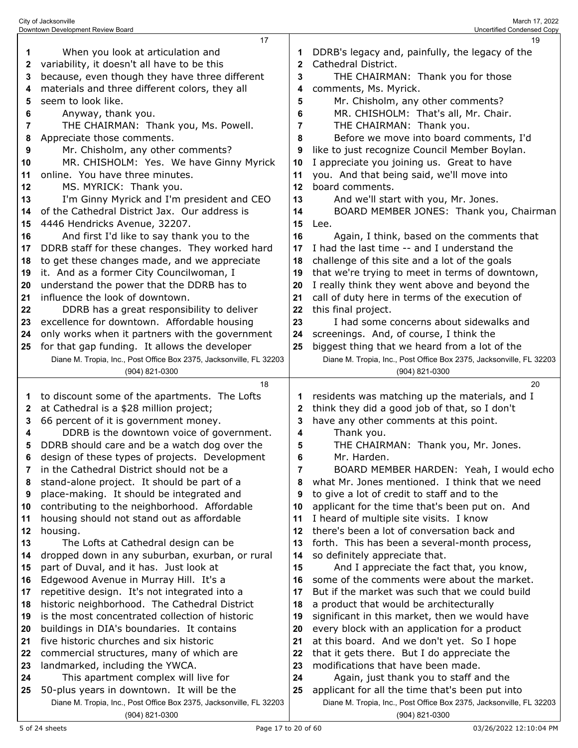|          | 17                                                                                                               |             | 19                                                                                                                     |
|----------|------------------------------------------------------------------------------------------------------------------|-------------|------------------------------------------------------------------------------------------------------------------------|
| 1        | When you look at articulation and                                                                                | 1           | DDRB's legacy and, painfully, the legacy of the                                                                        |
| 2        | variability, it doesn't all have to be this                                                                      | $\mathbf 2$ | Cathedral District.                                                                                                    |
| 3        | because, even though they have three different                                                                   | 3           | THE CHAIRMAN: Thank you for those                                                                                      |
| 4        | materials and three different colors, they all                                                                   | 4           | comments, Ms. Myrick.                                                                                                  |
| 5        | seem to look like.                                                                                               | 5           | Mr. Chisholm, any other comments?                                                                                      |
| 6        | Anyway, thank you.                                                                                               | 6           | MR. CHISHOLM: That's all, Mr. Chair.                                                                                   |
| 7        | THE CHAIRMAN: Thank you, Ms. Powell.                                                                             | 7           | THE CHAIRMAN: Thank you.                                                                                               |
| 8        | Appreciate those comments.                                                                                       | 8           | Before we move into board comments, I'd                                                                                |
| 9        | Mr. Chisholm, any other comments?                                                                                | 9           | like to just recognize Council Member Boylan.                                                                          |
| 10       | MR. CHISHOLM: Yes. We have Ginny Myrick                                                                          | 10          | I appreciate you joining us. Great to have                                                                             |
| 11       | online. You have three minutes.                                                                                  | 11          | you. And that being said, we'll move into                                                                              |
| 12       | MS. MYRICK: Thank you.                                                                                           | 12          | board comments.                                                                                                        |
| 13       | I'm Ginny Myrick and I'm president and CEO                                                                       | 13          | And we'll start with you, Mr. Jones.                                                                                   |
| 14       | of the Cathedral District Jax. Our address is                                                                    | 14          | BOARD MEMBER JONES: Thank you, Chairman                                                                                |
| 15       | 4446 Hendricks Avenue, 32207.                                                                                    | 15          | Lee.                                                                                                                   |
| 16       | And first I'd like to say thank you to the                                                                       | 16          | Again, I think, based on the comments that                                                                             |
| 17       | DDRB staff for these changes. They worked hard                                                                   | 17          | I had the last time -- and I understand the                                                                            |
| 18       | to get these changes made, and we appreciate                                                                     | 18          | challenge of this site and a lot of the goals                                                                          |
| 19       | it. And as a former City Councilwoman, I                                                                         | 19          | that we're trying to meet in terms of downtown,                                                                        |
| 20       | understand the power that the DDRB has to                                                                        | 20          | I really think they went above and beyond the                                                                          |
| 21       | influence the look of downtown.                                                                                  | 21          | call of duty here in terms of the execution of                                                                         |
| 22       | DDRB has a great responsibility to deliver                                                                       | 22          | this final project.                                                                                                    |
| 23       | excellence for downtown. Affordable housing                                                                      | 23          | I had some concerns about sidewalks and                                                                                |
| 24       | only works when it partners with the government                                                                  | 24          | screenings. And, of course, I think the                                                                                |
| 25       | for that gap funding. It allows the developer                                                                    | 25          | biggest thing that we heard from a lot of the                                                                          |
|          | Diane M. Tropia, Inc., Post Office Box 2375, Jacksonville, FL 32203                                              |             | Diane M. Tropia, Inc., Post Office Box 2375, Jacksonville, FL 32203                                                    |
|          | (904) 821-0300                                                                                                   |             | (904) 821-0300                                                                                                         |
|          |                                                                                                                  |             |                                                                                                                        |
|          | 18                                                                                                               |             | 20                                                                                                                     |
| 1        | to discount some of the apartments. The Lofts                                                                    | 1           | residents was matching up the materials, and I                                                                         |
| 2        | at Cathedral is a \$28 million project;                                                                          | 2           | think they did a good job of that, so I don't                                                                          |
| 3        | 66 percent of it is government money.                                                                            | 3           | have any other comments at this point.                                                                                 |
| 4        | DDRB is the downtown voice of government.                                                                        | 4           | Thank you.                                                                                                             |
| 5        | DDRB should care and be a watch dog over the                                                                     | 5           | THE CHAIRMAN: Thank you, Mr. Jones.                                                                                    |
| 6        | design of these types of projects. Development                                                                   | 6           | Mr. Harden.                                                                                                            |
| 7        | in the Cathedral District should not be a                                                                        | 7           | BOARD MEMBER HARDEN: Yeah, I would echo                                                                                |
| 8        | stand-alone project. It should be part of a                                                                      | 8           | what Mr. Jones mentioned. I think that we need                                                                         |
| 9        | place-making. It should be integrated and                                                                        | 9           | to give a lot of credit to staff and to the                                                                            |
| 10       | contributing to the neighborhood. Affordable                                                                     | 10          | applicant for the time that's been put on. And                                                                         |
| 11       | housing should not stand out as affordable                                                                       | 11          | I heard of multiple site visits. I know                                                                                |
| 12       | housing.                                                                                                         | 12          | there's been a lot of conversation back and                                                                            |
| 13       | The Lofts at Cathedral design can be                                                                             | 13          | forth. This has been a several-month process,                                                                          |
| 14       | dropped down in any suburban, exurban, or rural                                                                  | 14          | so definitely appreciate that.                                                                                         |
| 15       | part of Duval, and it has. Just look at                                                                          | 15          | And I appreciate the fact that, you know,                                                                              |
| 16       | Edgewood Avenue in Murray Hill. It's a                                                                           | 16          | some of the comments were about the market.                                                                            |
| 17       | repetitive design. It's not integrated into a                                                                    | 17          | But if the market was such that we could build                                                                         |
| 18       | historic neighborhood. The Cathedral District                                                                    | 18          | a product that would be architecturally                                                                                |
| 19       | is the most concentrated collection of historic                                                                  | 19          | significant in this market, then we would have                                                                         |
| 20       | buildings in DIA's boundaries. It contains                                                                       | 20          | every block with an application for a product                                                                          |
| 21       | five historic churches and six historic                                                                          | 21          | at this board. And we don't yet. So I hope                                                                             |
| 22       | commercial structures, many of which are                                                                         | 22          | that it gets there. But I do appreciate the                                                                            |
| 23       | landmarked, including the YWCA.                                                                                  | 23          | modifications that have been made.                                                                                     |
| 24<br>25 | This apartment complex will live for                                                                             | 24          | Again, just thank you to staff and the                                                                                 |
|          | 50-plus years in downtown. It will be the<br>Diane M. Tropia, Inc., Post Office Box 2375, Jacksonville, FL 32203 | 25          | applicant for all the time that's been put into<br>Diane M. Tropia, Inc., Post Office Box 2375, Jacksonville, FL 32203 |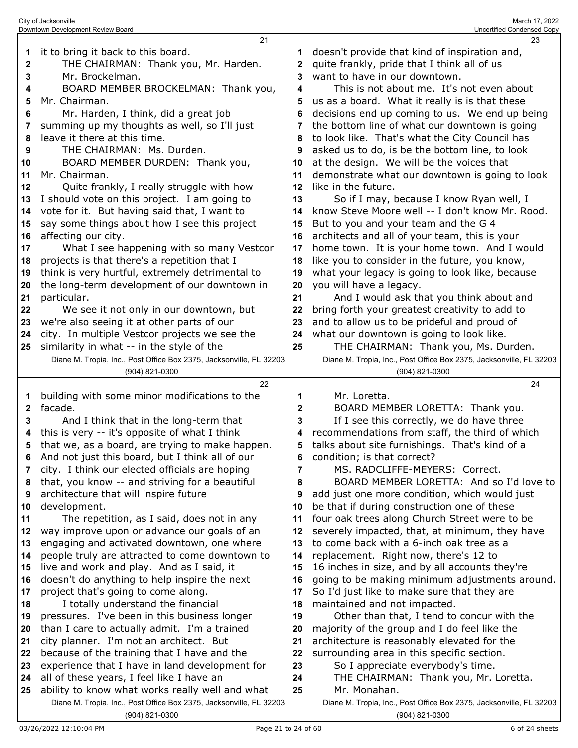| 1<br>2<br>3<br>4<br>5<br>6<br>7<br>8<br>9<br>10<br>11<br>12<br>13<br>14<br>15<br>16<br>17<br>18<br>19 | it to bring it back to this board.<br>THE CHAIRMAN: Thank you, Mr. Harden.<br>Mr. Brockelman.<br>BOARD MEMBER BROCKELMAN: Thank you,<br>Mr. Chairman.<br>Mr. Harden, I think, did a great job<br>summing up my thoughts as well, so I'll just<br>leave it there at this time.<br>THE CHAIRMAN: Ms. Durden.<br>BOARD MEMBER DURDEN: Thank you,<br>Mr. Chairman.<br>Quite frankly, I really struggle with how<br>I should vote on this project. I am going to<br>vote for it. But having said that, I want to<br>say some things about how I see this project<br>affecting our city.<br>What I see happening with so many Vestcor<br>projects is that there's a repetition that I<br>think is very hurtful, extremely detrimental to | 1<br>2<br>3<br>4<br>5<br>6<br>7<br>8<br>9<br>10<br>11<br>12<br>13<br>14<br>15<br>16<br>17<br>18<br>19 | doesn't provide that kind of inspiration and,<br>quite frankly, pride that I think all of us<br>want to have in our downtown.<br>This is not about me. It's not even about<br>us as a board. What it really is is that these<br>decisions end up coming to us. We end up being<br>the bottom line of what our downtown is going<br>to look like. That's what the City Council has<br>asked us to do, is be the bottom line, to look<br>at the design. We will be the voices that<br>demonstrate what our downtown is going to look<br>like in the future.<br>So if I may, because I know Ryan well, I<br>know Steve Moore well -- I don't know Mr. Rood.<br>But to you and your team and the G 4<br>architects and all of your team, this is your<br>home town. It is your home town. And I would<br>like you to consider in the future, you know,<br>what your legacy is going to look like, because |
|-------------------------------------------------------------------------------------------------------|------------------------------------------------------------------------------------------------------------------------------------------------------------------------------------------------------------------------------------------------------------------------------------------------------------------------------------------------------------------------------------------------------------------------------------------------------------------------------------------------------------------------------------------------------------------------------------------------------------------------------------------------------------------------------------------------------------------------------------|-------------------------------------------------------------------------------------------------------|-------------------------------------------------------------------------------------------------------------------------------------------------------------------------------------------------------------------------------------------------------------------------------------------------------------------------------------------------------------------------------------------------------------------------------------------------------------------------------------------------------------------------------------------------------------------------------------------------------------------------------------------------------------------------------------------------------------------------------------------------------------------------------------------------------------------------------------------------------------------------------------------------------|
| 20                                                                                                    | the long-term development of our downtown in                                                                                                                                                                                                                                                                                                                                                                                                                                                                                                                                                                                                                                                                                       | 20                                                                                                    | you will have a legacy.                                                                                                                                                                                                                                                                                                                                                                                                                                                                                                                                                                                                                                                                                                                                                                                                                                                                               |
| 21                                                                                                    | particular.                                                                                                                                                                                                                                                                                                                                                                                                                                                                                                                                                                                                                                                                                                                        | 21                                                                                                    | And I would ask that you think about and                                                                                                                                                                                                                                                                                                                                                                                                                                                                                                                                                                                                                                                                                                                                                                                                                                                              |
| 22<br>23                                                                                              | We see it not only in our downtown, but<br>we're also seeing it at other parts of our                                                                                                                                                                                                                                                                                                                                                                                                                                                                                                                                                                                                                                              | 22<br>23                                                                                              | bring forth your greatest creativity to add to<br>and to allow us to be prideful and proud of                                                                                                                                                                                                                                                                                                                                                                                                                                                                                                                                                                                                                                                                                                                                                                                                         |
| 24                                                                                                    | city. In multiple Vestcor projects we see the                                                                                                                                                                                                                                                                                                                                                                                                                                                                                                                                                                                                                                                                                      | 24                                                                                                    | what our downtown is going to look like.                                                                                                                                                                                                                                                                                                                                                                                                                                                                                                                                                                                                                                                                                                                                                                                                                                                              |
| 25                                                                                                    | similarity in what -- in the style of the                                                                                                                                                                                                                                                                                                                                                                                                                                                                                                                                                                                                                                                                                          | 25                                                                                                    | THE CHAIRMAN: Thank you, Ms. Durden.                                                                                                                                                                                                                                                                                                                                                                                                                                                                                                                                                                                                                                                                                                                                                                                                                                                                  |
|                                                                                                       | Diane M. Tropia, Inc., Post Office Box 2375, Jacksonville, FL 32203                                                                                                                                                                                                                                                                                                                                                                                                                                                                                                                                                                                                                                                                |                                                                                                       | Diane M. Tropia, Inc., Post Office Box 2375, Jacksonville, FL 32203                                                                                                                                                                                                                                                                                                                                                                                                                                                                                                                                                                                                                                                                                                                                                                                                                                   |
|                                                                                                       | (904) 821-0300                                                                                                                                                                                                                                                                                                                                                                                                                                                                                                                                                                                                                                                                                                                     |                                                                                                       | (904) 821-0300                                                                                                                                                                                                                                                                                                                                                                                                                                                                                                                                                                                                                                                                                                                                                                                                                                                                                        |
| 1                                                                                                     | 22<br>building with some minor modifications to the                                                                                                                                                                                                                                                                                                                                                                                                                                                                                                                                                                                                                                                                                | 1                                                                                                     | 24<br>Mr. Loretta.                                                                                                                                                                                                                                                                                                                                                                                                                                                                                                                                                                                                                                                                                                                                                                                                                                                                                    |
| 2                                                                                                     | facade.                                                                                                                                                                                                                                                                                                                                                                                                                                                                                                                                                                                                                                                                                                                            | 2                                                                                                     | BOARD MEMBER LORETTA: Thank you.                                                                                                                                                                                                                                                                                                                                                                                                                                                                                                                                                                                                                                                                                                                                                                                                                                                                      |
| 3<br>4                                                                                                | And I think that in the long-term that<br>this is very -- it's opposite of what I think                                                                                                                                                                                                                                                                                                                                                                                                                                                                                                                                                                                                                                            | 3<br>4                                                                                                | If I see this correctly, we do have three<br>recommendations from staff, the third of which                                                                                                                                                                                                                                                                                                                                                                                                                                                                                                                                                                                                                                                                                                                                                                                                           |
| 5                                                                                                     | that we, as a board, are trying to make happen.                                                                                                                                                                                                                                                                                                                                                                                                                                                                                                                                                                                                                                                                                    | 5                                                                                                     | talks about site furnishings. That's kind of a                                                                                                                                                                                                                                                                                                                                                                                                                                                                                                                                                                                                                                                                                                                                                                                                                                                        |
| 6                                                                                                     | And not just this board, but I think all of our                                                                                                                                                                                                                                                                                                                                                                                                                                                                                                                                                                                                                                                                                    | 6                                                                                                     | condition; is that correct?                                                                                                                                                                                                                                                                                                                                                                                                                                                                                                                                                                                                                                                                                                                                                                                                                                                                           |
|                                                                                                       |                                                                                                                                                                                                                                                                                                                                                                                                                                                                                                                                                                                                                                                                                                                                    |                                                                                                       |                                                                                                                                                                                                                                                                                                                                                                                                                                                                                                                                                                                                                                                                                                                                                                                                                                                                                                       |
|                                                                                                       |                                                                                                                                                                                                                                                                                                                                                                                                                                                                                                                                                                                                                                                                                                                                    | 7                                                                                                     | MS. RADCLIFFE-MEYERS: Correct.                                                                                                                                                                                                                                                                                                                                                                                                                                                                                                                                                                                                                                                                                                                                                                                                                                                                        |
| 8                                                                                                     | city. I think our elected officials are hoping<br>that, you know -- and striving for a beautiful                                                                                                                                                                                                                                                                                                                                                                                                                                                                                                                                                                                                                                   | 8                                                                                                     | BOARD MEMBER LORETTA: And so I'd love to                                                                                                                                                                                                                                                                                                                                                                                                                                                                                                                                                                                                                                                                                                                                                                                                                                                              |
| 9                                                                                                     | architecture that will inspire future                                                                                                                                                                                                                                                                                                                                                                                                                                                                                                                                                                                                                                                                                              | 9                                                                                                     | add just one more condition, which would just                                                                                                                                                                                                                                                                                                                                                                                                                                                                                                                                                                                                                                                                                                                                                                                                                                                         |
| 10                                                                                                    | development.                                                                                                                                                                                                                                                                                                                                                                                                                                                                                                                                                                                                                                                                                                                       | 10                                                                                                    | be that if during construction one of these                                                                                                                                                                                                                                                                                                                                                                                                                                                                                                                                                                                                                                                                                                                                                                                                                                                           |
| 11                                                                                                    | The repetition, as I said, does not in any                                                                                                                                                                                                                                                                                                                                                                                                                                                                                                                                                                                                                                                                                         | 11                                                                                                    | four oak trees along Church Street were to be                                                                                                                                                                                                                                                                                                                                                                                                                                                                                                                                                                                                                                                                                                                                                                                                                                                         |
| 12                                                                                                    | way improve upon or advance our goals of an                                                                                                                                                                                                                                                                                                                                                                                                                                                                                                                                                                                                                                                                                        | 12                                                                                                    | severely impacted, that, at minimum, they have                                                                                                                                                                                                                                                                                                                                                                                                                                                                                                                                                                                                                                                                                                                                                                                                                                                        |
| 13                                                                                                    | engaging and activated downtown, one where                                                                                                                                                                                                                                                                                                                                                                                                                                                                                                                                                                                                                                                                                         | 13                                                                                                    | to come back with a 6-inch oak tree as a                                                                                                                                                                                                                                                                                                                                                                                                                                                                                                                                                                                                                                                                                                                                                                                                                                                              |
| 14                                                                                                    | people truly are attracted to come downtown to                                                                                                                                                                                                                                                                                                                                                                                                                                                                                                                                                                                                                                                                                     | 14                                                                                                    | replacement. Right now, there's 12 to                                                                                                                                                                                                                                                                                                                                                                                                                                                                                                                                                                                                                                                                                                                                                                                                                                                                 |
| 15                                                                                                    | live and work and play. And as I said, it                                                                                                                                                                                                                                                                                                                                                                                                                                                                                                                                                                                                                                                                                          | 15                                                                                                    | 16 inches in size, and by all accounts they're                                                                                                                                                                                                                                                                                                                                                                                                                                                                                                                                                                                                                                                                                                                                                                                                                                                        |
| 16                                                                                                    | doesn't do anything to help inspire the next                                                                                                                                                                                                                                                                                                                                                                                                                                                                                                                                                                                                                                                                                       | 16                                                                                                    | going to be making minimum adjustments around.                                                                                                                                                                                                                                                                                                                                                                                                                                                                                                                                                                                                                                                                                                                                                                                                                                                        |
| 17<br>18                                                                                              | project that's going to come along.                                                                                                                                                                                                                                                                                                                                                                                                                                                                                                                                                                                                                                                                                                | 17<br>18                                                                                              | So I'd just like to make sure that they are                                                                                                                                                                                                                                                                                                                                                                                                                                                                                                                                                                                                                                                                                                                                                                                                                                                           |
| 19                                                                                                    | I totally understand the financial                                                                                                                                                                                                                                                                                                                                                                                                                                                                                                                                                                                                                                                                                                 | 19                                                                                                    | maintained and not impacted.                                                                                                                                                                                                                                                                                                                                                                                                                                                                                                                                                                                                                                                                                                                                                                                                                                                                          |
| 20                                                                                                    | pressures. I've been in this business longer<br>than I care to actually admit. I'm a trained                                                                                                                                                                                                                                                                                                                                                                                                                                                                                                                                                                                                                                       | 20                                                                                                    | Other than that, I tend to concur with the<br>majority of the group and I do feel like the                                                                                                                                                                                                                                                                                                                                                                                                                                                                                                                                                                                                                                                                                                                                                                                                            |
| 21                                                                                                    | city planner. I'm not an architect. But                                                                                                                                                                                                                                                                                                                                                                                                                                                                                                                                                                                                                                                                                            | 21                                                                                                    | architecture is reasonably elevated for the                                                                                                                                                                                                                                                                                                                                                                                                                                                                                                                                                                                                                                                                                                                                                                                                                                                           |
| 22                                                                                                    | because of the training that I have and the                                                                                                                                                                                                                                                                                                                                                                                                                                                                                                                                                                                                                                                                                        | 22                                                                                                    | surrounding area in this specific section.                                                                                                                                                                                                                                                                                                                                                                                                                                                                                                                                                                                                                                                                                                                                                                                                                                                            |
| 23                                                                                                    | experience that I have in land development for                                                                                                                                                                                                                                                                                                                                                                                                                                                                                                                                                                                                                                                                                     | 23                                                                                                    | So I appreciate everybody's time.                                                                                                                                                                                                                                                                                                                                                                                                                                                                                                                                                                                                                                                                                                                                                                                                                                                                     |
| 24                                                                                                    | all of these years, I feel like I have an                                                                                                                                                                                                                                                                                                                                                                                                                                                                                                                                                                                                                                                                                          | 24                                                                                                    | THE CHAIRMAN: Thank you, Mr. Loretta.                                                                                                                                                                                                                                                                                                                                                                                                                                                                                                                                                                                                                                                                                                                                                                                                                                                                 |
| 25                                                                                                    | ability to know what works really well and what<br>Diane M. Tropia, Inc., Post Office Box 2375, Jacksonville, FL 32203                                                                                                                                                                                                                                                                                                                                                                                                                                                                                                                                                                                                             | 25                                                                                                    | Mr. Monahan.<br>Diane M. Tropia, Inc., Post Office Box 2375, Jacksonville, FL 32203                                                                                                                                                                                                                                                                                                                                                                                                                                                                                                                                                                                                                                                                                                                                                                                                                   |

(904) 821-0300

(904) 821-0300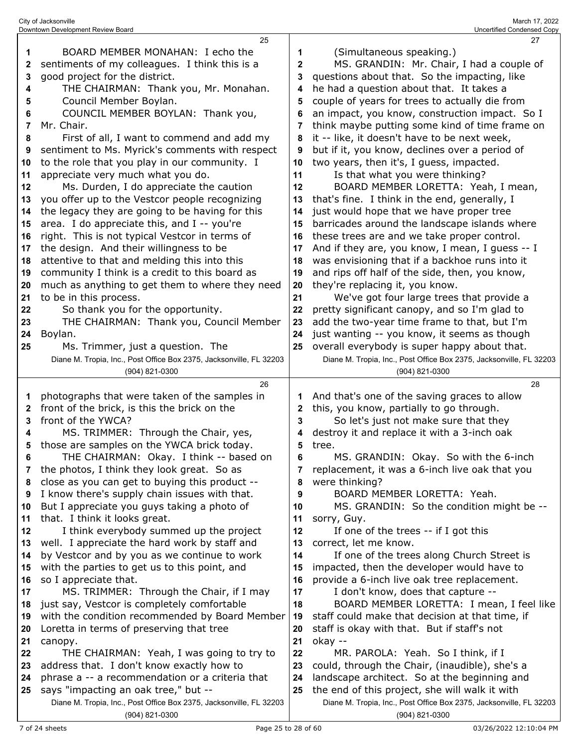|        | City of Jacksonville<br>Downtown Development Review Board                          |        | March 17, 2022<br>Uncertified Condensed Copy                                         |
|--------|------------------------------------------------------------------------------------|--------|--------------------------------------------------------------------------------------|
|        | 25                                                                                 |        | 27                                                                                   |
| 1      | BOARD MEMBER MONAHAN: I echo the                                                   | 1      | (Simultaneous speaking.)                                                             |
| 2      | sentiments of my colleagues. I think this is a                                     | 2      | MS. GRANDIN: Mr. Chair, I had a couple of                                            |
| 3      | good project for the district.                                                     | 3      | questions about that. So the impacting, like                                         |
| 4      | THE CHAIRMAN: Thank you, Mr. Monahan.                                              | 4      | he had a question about that. It takes a                                             |
| 5      | Council Member Boylan.                                                             | 5      | couple of years for trees to actually die from                                       |
| 6      | COUNCIL MEMBER BOYLAN: Thank you,                                                  |        | an impact, you know, construction impact. So I                                       |
| 7      | Mr. Chair.                                                                         | 7      | think maybe putting some kind of time frame on                                       |
| 8      | First of all, I want to commend and add my                                         | 8      | it -- like, it doesn't have to be next week,                                         |
| 9      | sentiment to Ms. Myrick's comments with respect                                    | 9      | but if it, you know, declines over a period of                                       |
| 10     | to the role that you play in our community. I                                      | 10     | two years, then it's, I guess, impacted.                                             |
| 11     | appreciate very much what you do.                                                  | 11     | Is that what you were thinking?                                                      |
| 12     | Ms. Durden, I do appreciate the caution                                            | 12     | BOARD MEMBER LORETTA: Yeah, I mean,                                                  |
| 13     | you offer up to the Vestcor people recognizing                                     | 13     | that's fine. I think in the end, generally, I                                        |
| 14     | the legacy they are going to be having for this                                    | 14     | just would hope that we have proper tree                                             |
| 15     | area. I do appreciate this, and I -- you're                                        | 15     | barricades around the landscape islands where                                        |
| 16     | right. This is not typical Vestcor in terms of                                     | 16     | these trees are and we take proper control.                                          |
| 17     | the design. And their willingness to be                                            | 17     | And if they are, you know, I mean, I guess -- I                                      |
| 18     | attentive to that and melding this into this                                       | 18     | was envisioning that if a backhoe runs into it                                       |
| 19     | community I think is a credit to this board as                                     | 19     | and rips off half of the side, then, you know,                                       |
| 20     | much as anything to get them to where they need                                    | 20     | they're replacing it, you know.                                                      |
| 21     | to be in this process.                                                             | 21     | We've got four large trees that provide a                                            |
| 22     | So thank you for the opportunity.                                                  | 22     | pretty significant canopy, and so I'm glad to                                        |
| 23     | THE CHAIRMAN: Thank you, Council Member                                            | 23     | add the two-year time frame to that, but I'm                                         |
| 24     | Boylan.                                                                            | 24     | just wanting -- you know, it seems as though                                         |
| 25     | Ms. Trimmer, just a question. The                                                  | 25     | overall everybody is super happy about that.                                         |
|        | Diane M. Tropia, Inc., Post Office Box 2375, Jacksonville, FL 32203                |        | Diane M. Tropia, Inc., Post Office Box 2375, Jacksonville, FL 32203                  |
|        | (904) 821-0300                                                                     |        | (904) 821-0300                                                                       |
|        | 26                                                                                 |        | 28                                                                                   |
| 1      | photographs that were taken of the samples in                                      | 1      | And that's one of the saving graces to allow                                         |
| 2      | front of the brick, is this the brick on the                                       | 2      | this, you know, partially to go through.                                             |
| 3      | front of the YWCA?                                                                 | 3      | So let's just not make sure that they<br>destroy it and replace it with a 3-inch oak |
| 4<br>5 | MS. TRIMMER: Through the Chair, yes,<br>those are samples on the YWCA brick today. | 4<br>5 | tree.                                                                                |
| 6      | THE CHAIRMAN: Okay. I think -- based on                                            | 6      | MS. GRANDIN: Okay. So with the 6-inch                                                |
| 7      | the photos, I think they look great. So as                                         | 7      | replacement, it was a 6-inch live oak that you                                       |
| 8      | close as you can get to buying this product --                                     | 8      | were thinking?                                                                       |
| 9      | I know there's supply chain issues with that.                                      | 9      | BOARD MEMBER LORETTA: Yeah.                                                          |
| 10     | But I appreciate you guys taking a photo of                                        | 10     | MS. GRANDIN: So the condition might be --                                            |
| 11     | that. I think it looks great.                                                      | 11     | sorry, Guy.                                                                          |
| 12     | I think everybody summed up the project                                            | 12     | If one of the trees -- if I got this                                                 |
| 13     | well. I appreciate the hard work by staff and                                      | 13     | correct, let me know.                                                                |
| 14     | by Vestcor and by you as we continue to work                                       | 14     | If one of the trees along Church Street is                                           |
| 15     | with the parties to get us to this point, and                                      | 15     | impacted, then the developer would have to                                           |
| 16     | so I appreciate that.                                                              | 16     | provide a 6-inch live oak tree replacement.                                          |
| 17     | MS. TRIMMER: Through the Chair, if I may                                           | 17     | I don't know, does that capture --                                                   |
| 18     | just say, Vestcor is completely comfortable                                        | 18     | BOARD MEMBER LORETTA: I mean, I feel like                                            |
| 19     | with the condition recommended by Board Member                                     | 19     | staff could make that decision at that time, if                                      |
| 20     | Loretta in terms of preserving that tree                                           | 20     | staff is okay with that. But if staff's not                                          |
| 21     | canopy.                                                                            | 21     | okay --                                                                              |
| 22     | THE CHAIRMAN: Yeah, I was going to try to                                          | 22     | MR. PAROLA: Yeah. So I think, if I                                                   |
| 23     | address that. I don't know exactly how to                                          | 23     | could, through the Chair, (inaudible), she's a                                       |
| 24     | phrase a -- a recommendation or a criteria that                                    | 24     | landscape architect. So at the beginning and                                         |
| 25     | says "impacting an oak tree," but --                                               | 25     | the end of this project, she will walk it with                                       |
|        | Diane M. Tropia, Inc., Post Office Box 2375, Jacksonville, FL 32203                |        | Diane M. Tropia, Inc., Post Office Box 2375, Jacksonville, FL 32203                  |
|        | (904) 821-0300                                                                     |        | (904) 821-0300                                                                       |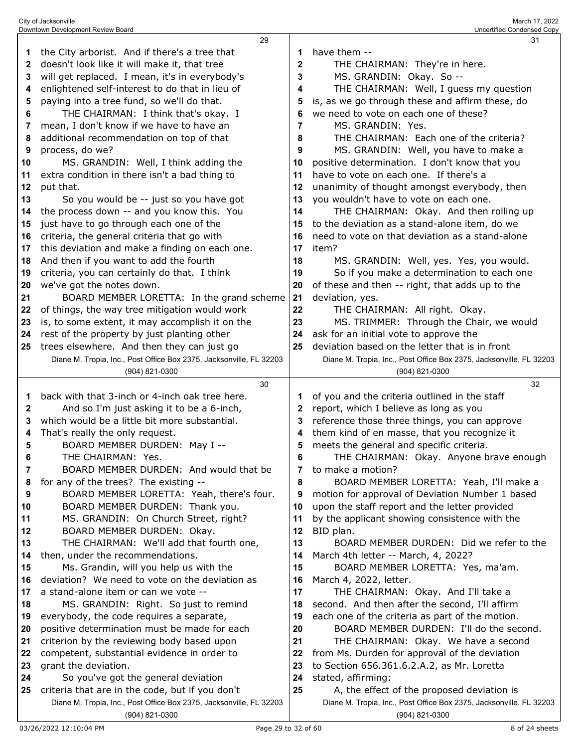|    | 29                                                                                                                     |              | 31                                                                                                                |
|----|------------------------------------------------------------------------------------------------------------------------|--------------|-------------------------------------------------------------------------------------------------------------------|
| 1  | the City arborist. And if there's a tree that                                                                          | 1            | have them --                                                                                                      |
| 2  | doesn't look like it will make it, that tree                                                                           | $\mathbf{2}$ | THE CHAIRMAN: They're in here.                                                                                    |
| 3  | will get replaced. I mean, it's in everybody's                                                                         | 3            | MS. GRANDIN: Okay. So --                                                                                          |
| 4  | enlightened self-interest to do that in lieu of                                                                        | 4            | THE CHAIRMAN: Well, I guess my question                                                                           |
| 5  | paying into a tree fund, so we'll do that.                                                                             | 5            | is, as we go through these and affirm these, do                                                                   |
|    |                                                                                                                        |              | we need to vote on each one of these?                                                                             |
| 6  | THE CHAIRMAN: I think that's okay. I                                                                                   | 6            |                                                                                                                   |
| 7  | mean, I don't know if we have to have an                                                                               | 7            | MS. GRANDIN: Yes.                                                                                                 |
| 8  | additional recommendation on top of that                                                                               | 8            | THE CHAIRMAN: Each one of the criteria?                                                                           |
| 9  | process, do we?                                                                                                        | 9            | MS. GRANDIN: Well, you have to make a                                                                             |
| 10 | MS. GRANDIN: Well, I think adding the                                                                                  | 10           | positive determination. I don't know that you                                                                     |
| 11 | extra condition in there isn't a bad thing to                                                                          | 11           | have to vote on each one. If there's a                                                                            |
| 12 | put that.                                                                                                              | 12           | unanimity of thought amongst everybody, then                                                                      |
| 13 | So you would be -- just so you have got                                                                                | 13           | you wouldn't have to vote on each one.                                                                            |
| 14 | the process down -- and you know this. You                                                                             | 14           | THE CHAIRMAN: Okay. And then rolling up                                                                           |
| 15 | just have to go through each one of the                                                                                | 15           | to the deviation as a stand-alone item, do we                                                                     |
| 16 | criteria, the general criteria that go with                                                                            | 16           | need to vote on that deviation as a stand-alone                                                                   |
| 17 | this deviation and make a finding on each one.                                                                         | 17           | item?                                                                                                             |
| 18 | And then if you want to add the fourth                                                                                 | 18           | MS. GRANDIN: Well, yes. Yes, you would.                                                                           |
| 19 | criteria, you can certainly do that. I think                                                                           | 19           | So if you make a determination to each one                                                                        |
| 20 | we've got the notes down.                                                                                              | 20           | of these and then -- right, that adds up to the                                                                   |
| 21 | BOARD MEMBER LORETTA: In the grand scheme                                                                              | 21           | deviation, yes.                                                                                                   |
|    |                                                                                                                        | 22           | THE CHAIRMAN: All right. Okay.                                                                                    |
| 22 | of things, the way tree mitigation would work                                                                          |              |                                                                                                                   |
| 23 | is, to some extent, it may accomplish it on the                                                                        | 23           | MS. TRIMMER: Through the Chair, we would                                                                          |
| 24 | rest of the property by just planting other                                                                            | 24           | ask for an initial vote to approve the                                                                            |
| 25 | trees elsewhere. And then they can just go                                                                             | 25           | deviation based on the letter that is in front                                                                    |
|    | Diane M. Tropia, Inc., Post Office Box 2375, Jacksonville, FL 32203                                                    |              | Diane M. Tropia, Inc., Post Office Box 2375, Jacksonville, FL 32203                                               |
|    | (904) 821-0300                                                                                                         |              | (904) 821-0300                                                                                                    |
|    |                                                                                                                        |              |                                                                                                                   |
|    | 30                                                                                                                     |              | 32                                                                                                                |
| 1  | back with that 3-inch or 4-inch oak tree here.                                                                         | 1            | of you and the criteria outlined in the staff                                                                     |
| 2  | And so I'm just asking it to be a 6-inch,                                                                              | $\mathbf{2}$ | report, which I believe as long as you                                                                            |
| 3  | which would be a little bit more substantial.                                                                          | 3            | reference those three things, you can approve                                                                     |
| 4  | That's really the only request.                                                                                        | 4            | them kind of en masse, that you recognize it                                                                      |
| 5  | BOARD MEMBER DURDEN: May I --                                                                                          | 5            | meets the general and specific criteria.                                                                          |
| 6  | THE CHAIRMAN: Yes.                                                                                                     | 6            | THE CHAIRMAN: Okay. Anyone brave enough                                                                           |
| 7  | BOARD MEMBER DURDEN: And would that be                                                                                 | 7            | to make a motion?                                                                                                 |
| 8  | for any of the trees? The existing --                                                                                  | 8            | BOARD MEMBER LORETTA: Yeah, I'll make a                                                                           |
| 9  |                                                                                                                        | 9            | motion for approval of Deviation Number 1 based                                                                   |
| 10 | BOARD MEMBER LORETTA: Yeah, there's four.<br>BOARD MEMBER DURDEN: Thank you.                                           | 10           |                                                                                                                   |
|    |                                                                                                                        | 11           | upon the staff report and the letter provided                                                                     |
| 11 | MS. GRANDIN: On Church Street, right?                                                                                  | 12           | by the applicant showing consistence with the                                                                     |
| 12 | BOARD MEMBER DURDEN: Okay.                                                                                             |              | BID plan.                                                                                                         |
| 13 | THE CHAIRMAN: We'll add that fourth one,                                                                               | 13           | BOARD MEMBER DURDEN: Did we refer to the                                                                          |
| 14 | then, under the recommendations.                                                                                       | 14           | March 4th letter -- March, 4, 2022?                                                                               |
| 15 | Ms. Grandin, will you help us with the                                                                                 | 15           | BOARD MEMBER LORETTA: Yes, ma'am.                                                                                 |
| 16 | deviation? We need to vote on the deviation as                                                                         | 16           | March 4, 2022, letter.                                                                                            |
| 17 | a stand-alone item or can we vote --                                                                                   | 17           | THE CHAIRMAN: Okay. And I'll take a                                                                               |
| 18 | MS. GRANDIN: Right. So just to remind                                                                                  | 18           | second. And then after the second, I'll affirm                                                                    |
| 19 | everybody, the code requires a separate,                                                                               | 19           | each one of the criteria as part of the motion.                                                                   |
| 20 | positive determination must be made for each                                                                           | 20           | BOARD MEMBER DURDEN: I'll do the second.                                                                          |
| 21 | criterion by the reviewing body based upon                                                                             | 21           | THE CHAIRMAN: Okay. We have a second                                                                              |
| 22 | competent, substantial evidence in order to                                                                            | 22           | from Ms. Durden for approval of the deviation                                                                     |
| 23 | grant the deviation.                                                                                                   | 23           | to Section 656.361.6.2.A.2, as Mr. Loretta                                                                        |
| 24 | So you've got the general deviation                                                                                    | 24           | stated, affirming:                                                                                                |
| 25 | criteria that are in the code, but if you don't<br>Diane M. Tropia, Inc., Post Office Box 2375, Jacksonville, FL 32203 | 25           | A, the effect of the proposed deviation is<br>Diane M. Tropia, Inc., Post Office Box 2375, Jacksonville, FL 32203 |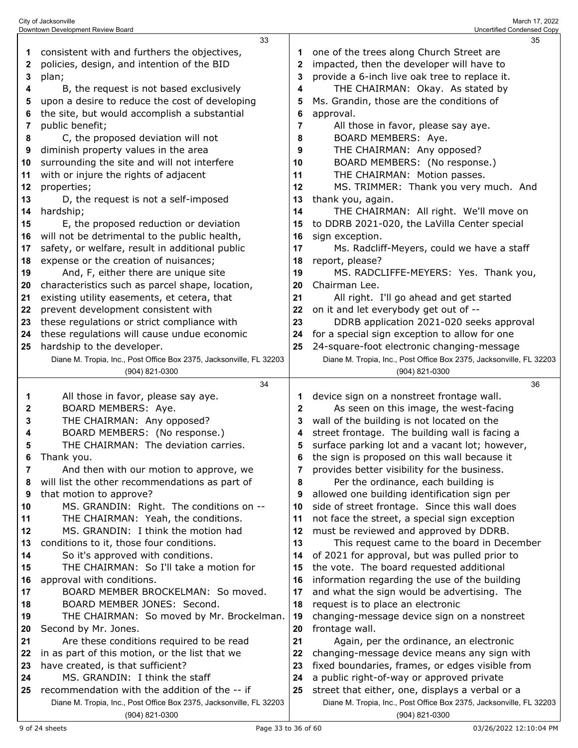|    | Downtown Development Review Board                                   |              | Uncertified Condensed Copy                                          |
|----|---------------------------------------------------------------------|--------------|---------------------------------------------------------------------|
|    | 33                                                                  |              | 35                                                                  |
| 1  | consistent with and furthers the objectives,                        | 1            | one of the trees along Church Street are                            |
| 2  | policies, design, and intention of the BID                          | $\mathbf{2}$ | impacted, then the developer will have to                           |
|    |                                                                     |              |                                                                     |
| 3  | plan;                                                               | 3            | provide a 6-inch live oak tree to replace it.                       |
| 4  | B, the request is not based exclusively                             | 4            | THE CHAIRMAN: Okay. As stated by                                    |
| 5  | upon a desire to reduce the cost of developing                      | 5            | Ms. Grandin, those are the conditions of                            |
| 6  | the site, but would accomplish a substantial                        | 6            | approval.                                                           |
| 7  | public benefit;                                                     | 7            | All those in favor, please say aye.                                 |
| 8  | C, the proposed deviation will not                                  | 8            | BOARD MEMBERS: Aye.                                                 |
|    |                                                                     | 9            | THE CHAIRMAN: Any opposed?                                          |
| 9  | diminish property values in the area                                |              |                                                                     |
| 10 | surrounding the site and will not interfere                         | 10           | BOARD MEMBERS: (No response.)                                       |
| 11 | with or injure the rights of adjacent                               | 11           | THE CHAIRMAN: Motion passes.                                        |
| 12 | properties;                                                         | 12           | MS. TRIMMER: Thank you very much. And                               |
| 13 | D, the request is not a self-imposed                                | 13           | thank you, again.                                                   |
| 14 | hardship;                                                           | 14           | THE CHAIRMAN: All right. We'll move on                              |
| 15 | E, the proposed reduction or deviation                              | 15           | to DDRB 2021-020, the LaVilla Center special                        |
|    |                                                                     |              |                                                                     |
| 16 | will not be detrimental to the public health,                       | 16           | sign exception.                                                     |
| 17 | safety, or welfare, result in additional public                     | 17           | Ms. Radcliff-Meyers, could we have a staff                          |
| 18 | expense or the creation of nuisances;                               | 18           | report, please?                                                     |
| 19 | And, F, either there are unique site                                | 19           | MS. RADCLIFFE-MEYERS: Yes. Thank you,                               |
| 20 | characteristics such as parcel shape, location,                     | 20           | Chairman Lee.                                                       |
| 21 | existing utility easements, et cetera, that                         | 21           | All right. I'll go ahead and get started                            |
| 22 | prevent development consistent with                                 | 22           | on it and let everybody get out of --                               |
| 23 | these regulations or strict compliance with                         | 23           | DDRB application 2021-020 seeks approval                            |
|    |                                                                     |              |                                                                     |
| 24 | these regulations will cause undue economic                         | 24           | for a special sign exception to allow for one                       |
| 25 | hardship to the developer.                                          | 25           | 24-square-foot electronic changing-message                          |
|    | Diane M. Tropia, Inc., Post Office Box 2375, Jacksonville, FL 32203 |              | Diane M. Tropia, Inc., Post Office Box 2375, Jacksonville, FL 32203 |
|    |                                                                     |              |                                                                     |
|    | (904) 821-0300                                                      |              | (904) 821-0300                                                      |
|    | 34                                                                  |              | 36                                                                  |
|    |                                                                     |              |                                                                     |
| 1  | All those in favor, please say aye.                                 | 1            | device sign on a nonstreet frontage wall.                           |
| 2  | BOARD MEMBERS: Aye.                                                 | 2            | As seen on this image, the west-facing                              |
| 3  | THE CHAIRMAN: Any opposed?                                          | 3            | wall of the building is not located on the                          |
| 4  | BOARD MEMBERS: (No response.)                                       | 4            | street frontage. The building wall is facing a                      |
| 5  | THE CHAIRMAN: The deviation carries.                                | 5            | surface parking lot and a vacant lot; however,                      |
| 6  | Thank you.                                                          | 6            | the sign is proposed on this wall because it                        |
| 7  | And then with our motion to approve, we                             | 7            | provides better visibility for the business.                        |
| 8  | will list the other recommendations as part of                      | 8            | Per the ordinance, each building is                                 |
| 9  |                                                                     | 9            |                                                                     |
|    | that motion to approve?                                             | 10           | allowed one building identification sign per                        |
| 10 | MS. GRANDIN: Right. The conditions on --                            |              | side of street frontage. Since this wall does                       |
| 11 | THE CHAIRMAN: Yeah, the conditions.                                 | 11           | not face the street, a special sign exception                       |
| 12 | MS. GRANDIN: I think the motion had                                 | 12           | must be reviewed and approved by DDRB.                              |
| 13 | conditions to it, those four conditions.                            | 13           | This request came to the board in December                          |
| 14 | So it's approved with conditions.                                   | 14           | of 2021 for approval, but was pulled prior to                       |
| 15 | THE CHAIRMAN: So I'll take a motion for                             | 15           | the vote. The board requested additional                            |
| 16 | approval with conditions.                                           | 16           | information regarding the use of the building                       |
| 17 | BOARD MEMBER BROCKELMAN: So moved.                                  | 17           | and what the sign would be advertising. The                         |
| 18 | BOARD MEMBER JONES: Second.                                         | 18           | request is to place an electronic                                   |
| 19 |                                                                     |              |                                                                     |
|    | THE CHAIRMAN: So moved by Mr. Brockelman.                           | 19           | changing-message device sign on a nonstreet                         |
| 20 | Second by Mr. Jones.                                                | 20           | frontage wall.                                                      |
| 21 | Are these conditions required to be read                            | 21           | Again, per the ordinance, an electronic                             |
| 22 | in as part of this motion, or the list that we                      | 22           | changing-message device means any sign with                         |
| 23 | have created, is that sufficient?                                   | 23           | fixed boundaries, frames, or edges visible from                     |
| 24 | MS. GRANDIN: I think the staff                                      | 24           | a public right-of-way or approved private                           |
| 25 | recommendation with the addition of the -- if                       | 25           | street that either, one, displays a verbal or a                     |
|    | Diane M. Tropia, Inc., Post Office Box 2375, Jacksonville, FL 32203 |              | Diane M. Tropia, Inc., Post Office Box 2375, Jacksonville, FL 32203 |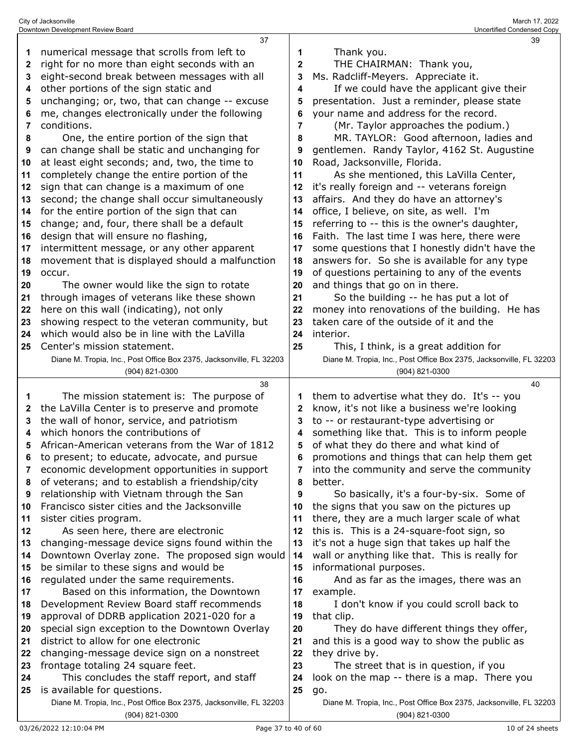| 1            | numerical message that scrolls from left to                                                 | 1      | Thank you.                                                                              |
|--------------|---------------------------------------------------------------------------------------------|--------|-----------------------------------------------------------------------------------------|
| $\mathbf{2}$ | right for no more than eight seconds with an                                                | 2      | THE CHAIRMAN: Thank you,                                                                |
| 3            | eight-second break between messages with all                                                | 3      | Ms. Radcliff-Meyers. Appreciate it.                                                     |
| 4            | other portions of the sign static and                                                       | 4      | If we could have the applicant give their                                               |
| 5            | unchanging; or, two, that can change -- excuse                                              | 5      | presentation. Just a reminder, please state                                             |
| 6            | me, changes electronically under the following                                              | 6      | your name and address for the record.                                                   |
| 7            | conditions.                                                                                 | 7      | (Mr. Taylor approaches the podium.)                                                     |
| 8            | One, the entire portion of the sign that                                                    | 8      | MR. TAYLOR: Good afternoon, ladies and                                                  |
| 9            | can change shall be static and unchanging for                                               | 9      | gentlemen. Randy Taylor, 4162 St. Augustine                                             |
| 10           | at least eight seconds; and, two, the time to                                               | 10     | Road, Jacksonville, Florida.                                                            |
| 11           | completely change the entire portion of the                                                 | 11     | As she mentioned, this LaVilla Center,                                                  |
| 12           | sign that can change is a maximum of one                                                    | 12     | it's really foreign and -- veterans foreign                                             |
| 13           | second; the change shall occur simultaneously                                               | 13     | affairs. And they do have an attorney's                                                 |
| 14           | for the entire portion of the sign that can                                                 | 14     | office, I believe, on site, as well. I'm                                                |
| 15           | change; and, four, there shall be a default                                                 | 15     | referring to -- this is the owner's daughter,                                           |
| 16           | design that will ensure no flashing,                                                        | 16     | Faith. The last time I was here, there were                                             |
| 17           | intermittent message, or any other apparent                                                 | 17     | some questions that I honestly didn't have the                                          |
| 18           | movement that is displayed should a malfunction                                             | 18     | answers for. So she is available for any type                                           |
| 19           | occur.                                                                                      | 19     | of questions pertaining to any of the events                                            |
| 20           | The owner would like the sign to rotate                                                     | 20     | and things that go on in there.                                                         |
| 21           | through images of veterans like these shown                                                 | 21     | So the building -- he has put a lot of                                                  |
| 22           | here on this wall (indicating), not only                                                    | 22     | money into renovations of the building. He has                                          |
| 23           | showing respect to the veteran community, but                                               | 23     | taken care of the outside of it and the                                                 |
| 24           | which would also be in line with the LaVilla                                                | 24     | interior.                                                                               |
| 25           | Center's mission statement.                                                                 | 25     | This, I think, is a great addition for                                                  |
|              | Diane M. Tropia, Inc., Post Office Box 2375, Jacksonville, FL 32203                         |        | Diane M. Tropia, Inc., Post Office Box 2375, Jacksonville, FL 32203                     |
|              | (904) 821-0300                                                                              |        | (904) 821-0300                                                                          |
|              | 38                                                                                          |        | 40                                                                                      |
| 1            | The mission statement is: The purpose of                                                    | 1      | them to advertise what they do. It's -- you                                             |
| 2<br>3       | the LaVilla Center is to preserve and promote<br>the wall of honor, service, and patriotism | 2<br>3 | know, it's not like a business we're looking<br>to -- or restaurant-type advertising or |
| 4            | which honors the contributions of                                                           | 4      | something like that. This is to inform people                                           |
| 5            | African-American veterans from the War of 1812                                              | 5      | of what they do there and what kind of                                                  |
| 6            | to present; to educate, advocate, and pursue                                                | 6      | promotions and things that can help them get                                            |
|              | economic development opportunities in support                                               |        | 7 into the community and serve the community                                            |
| 8            | of veterans; and to establish a friendship/city                                             | 8      | better.                                                                                 |
| 9            | relationship with Vietnam through the San                                                   | 9      | So basically, it's a four-by-six. Some of                                               |
| 10           | Francisco sister cities and the Jacksonville                                                | 10     | the signs that you saw on the pictures up                                               |
| 11           | sister cities program.                                                                      | 11     | there, they are a much larger scale of what                                             |
| 12           | As seen here, there are electronic                                                          | 12     | this is. This is a 24-square-foot sign, so                                              |
| 13           | changing-message device signs found within the                                              | 13     | it's not a huge sign that takes up half the                                             |
| 14           | Downtown Overlay zone. The proposed sign would                                              | 14     | wall or anything like that. This is really for                                          |
| 15           | be similar to these signs and would be                                                      | 15     | informational purposes.                                                                 |
| 16           | regulated under the same requirements.                                                      | 16     | And as far as the images, there was an                                                  |
| 17           | Based on this information, the Downtown                                                     | 17     | example.                                                                                |
| 18           | Development Review Board staff recommends                                                   | 18     | I don't know if you could scroll back to                                                |
| 19           | approval of DDRB application 2021-020 for a                                                 | 19     | that clip.                                                                              |
|              |                                                                                             |        |                                                                                         |
| 20           | special sign exception to the Downtown Overlay                                              | 20     | They do have different things they offer,                                               |
| 21           | district to allow for one electronic                                                        | 21     | and this is a good way to show the public as                                            |
| 22           | changing-message device sign on a nonstreet                                                 | 22     | they drive by.                                                                          |
| 23           | frontage totaling 24 square feet.                                                           | 23     | The street that is in question, if you                                                  |
| 24           | This concludes the staff report, and staff                                                  | 24     | look on the map -- there is a map. There you                                            |
| 25           | is available for questions.                                                                 | 25     | go.                                                                                     |
|              | Diane M. Tropia, Inc., Post Office Box 2375, Jacksonville, FL 32203                         |        | Diane M. Tropia, Inc., Post Office Box 2375, Jacksonville, FL 32203                     |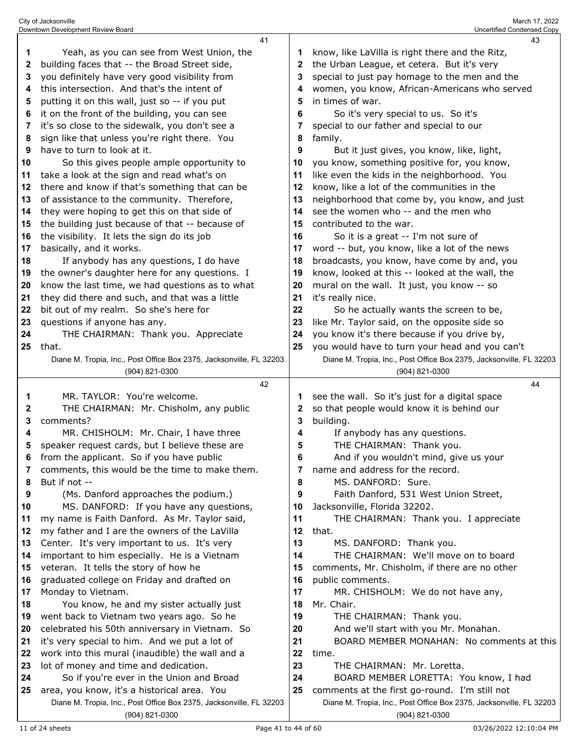|          | 41                                                                                      |          | 43                                                                                     |
|----------|-----------------------------------------------------------------------------------------|----------|----------------------------------------------------------------------------------------|
| 1        | Yeah, as you can see from West Union, the                                               | 1        | know, like LaVilla is right there and the Ritz,                                        |
| 2        | building faces that -- the Broad Street side,                                           | 2        | the Urban League, et cetera. But it's very                                             |
| 3        | you definitely have very good visibility from                                           | 3        | special to just pay homage to the men and the                                          |
| 4        | this intersection. And that's the intent of                                             | 4        | women, you know, African-Americans who served                                          |
| 5        | putting it on this wall, just so -- if you put                                          | 5        | in times of war.                                                                       |
| 6        | it on the front of the building, you can see                                            | 6        | So it's very special to us. So it's                                                    |
| 7        | it's so close to the sidewalk, you don't see a                                          | 7        | special to our father and special to our                                               |
| 8        | sign like that unless you're right there. You                                           | 8        | family.                                                                                |
| 9        | have to turn to look at it.                                                             | 9        | But it just gives, you know, like, light,                                              |
| 10       | So this gives people ample opportunity to                                               | 10       | you know, something positive for, you know,                                            |
| 11       | take a look at the sign and read what's on                                              | 11       | like even the kids in the neighborhood. You                                            |
| 12       | there and know if that's something that can be                                          | 12       | know, like a lot of the communities in the                                             |
| 13       | of assistance to the community. Therefore,                                              | 13       | neighborhood that come by, you know, and just                                          |
| 14       | they were hoping to get this on that side of                                            | 14       | see the women who -- and the men who                                                   |
| 15       | the building just because of that -- because of                                         | 15       | contributed to the war.                                                                |
| 16       | the visibility. It lets the sign do its job                                             | 16       | So it is a great -- I'm not sure of                                                    |
| 17       | basically, and it works.                                                                | 17       | word -- but, you know, like a lot of the news                                          |
| 18       | If anybody has any questions, I do have                                                 | 18       | broadcasts, you know, have come by and, you                                            |
| 19       | the owner's daughter here for any questions. I                                          | 19       | know, looked at this -- looked at the wall, the                                        |
| 20       | know the last time, we had questions as to what                                         | 20       | mural on the wall. It just, you know -- so                                             |
| 21       | they did there and such, and that was a little                                          | 21       | it's really nice.                                                                      |
| 22       | bit out of my realm. So she's here for                                                  | 22       | So he actually wants the screen to be,                                                 |
| 23       | questions if anyone has any.                                                            | 23       | like Mr. Taylor said, on the opposite side so                                          |
| 24       | THE CHAIRMAN: Thank you. Appreciate                                                     | 24       | you know it's there because if you drive by,                                           |
| 25       | that.                                                                                   | 25       | you would have to turn your head and you can't                                         |
|          | Diane M. Tropia, Inc., Post Office Box 2375, Jacksonville, FL 32203                     |          | Diane M. Tropia, Inc., Post Office Box 2375, Jacksonville, FL 32203                    |
|          | (904) 821-0300                                                                          |          | (904) 821-0300                                                                         |
|          | 42                                                                                      |          | 44                                                                                     |
| 1        | MR. TAYLOR: You're welcome.                                                             | 1        | see the wall. So it's just for a digital space                                         |
| 2        | THE CHAIRMAN: Mr. Chisholm, any public<br>comments?                                     | 2<br>3   | so that people would know it is behind our<br>building.                                |
| 3<br>4   | MR. CHISHOLM: Mr. Chair, I have three                                                   | 4        |                                                                                        |
| 5        | speaker request cards, but I believe these are                                          | 5        | If anybody has any questions.<br>THE CHAIRMAN: Thank you.                              |
| 6        | from the applicant. So if you have public                                               |          | And if you wouldn't mind, give us your                                                 |
| 7        | comments, this would be the time to make them.                                          | b<br>7   | name and address for the record.                                                       |
| 8        | But if not --                                                                           | 8        | MS. DANFORD: Sure.                                                                     |
| 9        | (Ms. Danford approaches the podium.)                                                    | 9        | Faith Danford, 531 West Union Street,                                                  |
| 10       | MS. DANFORD: If you have any questions,                                                 | 10       | Jacksonville, Florida 32202.                                                           |
| 11       | my name is Faith Danford. As Mr. Taylor said,                                           | 11       | THE CHAIRMAN: Thank you. I appreciate                                                  |
| 12       | my father and I are the owners of the LaVilla                                           | 12       | that.                                                                                  |
| 13       | Center. It's very important to us. It's very                                            | 13       | MS. DANFORD: Thank you.                                                                |
| 14       | important to him especially. He is a Vietnam                                            | 14       | THE CHAIRMAN: We'll move on to board                                                   |
| 15       | veteran. It tells the story of how he                                                   | 15       | comments, Mr. Chisholm, if there are no other                                          |
| 16       | graduated college on Friday and drafted on                                              | 16       | public comments.                                                                       |
| 17       | Monday to Vietnam.                                                                      | 17       | MR. CHISHOLM: We do not have any,                                                      |
| 18       | You know, he and my sister actually just                                                | 18       | Mr. Chair.                                                                             |
| 19       | went back to Vietnam two years ago. So he                                               | 19       | THE CHAIRMAN: Thank you.                                                               |
| 20       |                                                                                         | 20       | And we'll start with you Mr. Monahan.                                                  |
|          |                                                                                         |          |                                                                                        |
|          | celebrated his 50th anniversary in Vietnam. So                                          |          |                                                                                        |
| 21       | it's very special to him. And we put a lot of                                           | 21       | BOARD MEMBER MONAHAN: No comments at this                                              |
| 22<br>23 | work into this mural (inaudible) the wall and a                                         | 22<br>23 | time.<br>THE CHAIRMAN: Mr. Loretta.                                                    |
| 24       | lot of money and time and dedication.                                                   | 24       |                                                                                        |
| 25       | So if you're ever in the Union and Broad<br>area, you know, it's a historical area. You | 25       | BOARD MEMBER LORETTA: You know, I had<br>comments at the first go-round. I'm still not |

(904) 821-0300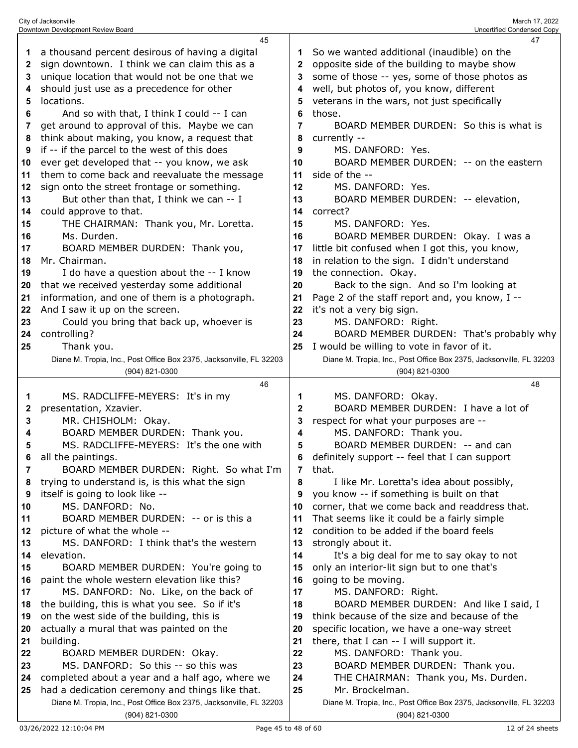|          | 45                                                                                                                     |              | 47                                                                  |
|----------|------------------------------------------------------------------------------------------------------------------------|--------------|---------------------------------------------------------------------|
| 1        | a thousand percent desirous of having a digital                                                                        |              | So we wanted additional (inaudible) on the                          |
| 2        | sign downtown. I think we can claim this as a                                                                          | $\mathbf{2}$ | opposite side of the building to maybe show                         |
| 3        | unique location that would not be one that we                                                                          | 3            | some of those -- yes, some of those photos as                       |
| 4        | should just use as a precedence for other                                                                              | 4            | well, but photos of, you know, different                            |
| 5        | locations.                                                                                                             | 5            | veterans in the wars, not just specifically                         |
|          |                                                                                                                        | 6            | those.                                                              |
| 6        | And so with that, I think I could -- I can                                                                             |              | BOARD MEMBER DURDEN: So this is what is                             |
| 7        | get around to approval of this. Maybe we can                                                                           | 7            |                                                                     |
| 8        | think about making, you know, a request that                                                                           | 8            | currently --                                                        |
| 9        | if -- if the parcel to the west of this does                                                                           | 9            | MS. DANFORD: Yes.                                                   |
| 10       | ever get developed that -- you know, we ask                                                                            | 10           | BOARD MEMBER DURDEN: -- on the eastern                              |
| 11       | them to come back and reevaluate the message                                                                           | 11           | side of the --                                                      |
| 12       | sign onto the street frontage or something.                                                                            | 12           | MS. DANFORD: Yes.                                                   |
| 13       | But other than that, I think we can -- I                                                                               | 13           | BOARD MEMBER DURDEN: -- elevation,                                  |
| 14       | could approve to that.                                                                                                 | 14           | correct?                                                            |
| 15       | THE CHAIRMAN: Thank you, Mr. Loretta.                                                                                  | 15           | MS. DANFORD: Yes.                                                   |
| 16       | Ms. Durden.                                                                                                            | 16           | BOARD MEMBER DURDEN: Okay. I was a                                  |
| 17       | BOARD MEMBER DURDEN: Thank you,                                                                                        | 17           | little bit confused when I got this, you know,                      |
| 18       | Mr. Chairman.                                                                                                          | 18           | in relation to the sign. I didn't understand                        |
| 19       | I do have a question about the -- I know                                                                               | 19           | the connection. Okay.                                               |
| 20       | that we received yesterday some additional                                                                             | 20           | Back to the sign. And so I'm looking at                             |
| 21       | information, and one of them is a photograph.                                                                          | 21           | Page 2 of the staff report and, you know, I --                      |
| 22       | And I saw it up on the screen.                                                                                         | 22           | it's not a very big sign.                                           |
| 23       | Could you bring that back up, whoever is                                                                               | 23           | MS. DANFORD: Right.                                                 |
| 24       | controlling?                                                                                                           | 24           | BOARD MEMBER DURDEN: That's probably why                            |
| 25       | Thank you.                                                                                                             | 25           | I would be willing to vote in favor of it.                          |
|          | Diane M. Tropia, Inc., Post Office Box 2375, Jacksonville, FL 32203                                                    |              | Diane M. Tropia, Inc., Post Office Box 2375, Jacksonville, FL 32203 |
|          | (904) 821-0300                                                                                                         |              | (904) 821-0300                                                      |
|          |                                                                                                                        |              |                                                                     |
|          | 46                                                                                                                     |              | 48                                                                  |
| 1        | MS. RADCLIFFE-MEYERS: It's in my                                                                                       | 1            | MS. DANFORD: Okay.                                                  |
| 2        | presentation, Xzavier.                                                                                                 | $\mathbf{2}$ | BOARD MEMBER DURDEN: I have a lot of                                |
| 3        | MR. CHISHOLM: Okay.                                                                                                    | 3            | respect for what your purposes are --                               |
| 4        | BOARD MEMBER DURDEN: Thank you.                                                                                        | 4            | MS. DANFORD: Thank you.                                             |
| 5        | MS. RADCLIFFE-MEYERS: It's the one with                                                                                | 5            | BOARD MEMBER DURDEN: -- and can                                     |
|          | all the paintings.                                                                                                     |              | definitely support -- feel that I can support                       |
| 7        | BOARD MEMBER DURDEN: Right. So what I'm                                                                                | 7            | that.                                                               |
| 8        | trying to understand is, is this what the sign                                                                         | 8            | I like Mr. Loretta's idea about possibly,                           |
| 9        | itself is going to look like --                                                                                        | 9            | you know -- if something is built on that                           |
| 10       | MS. DANFORD: No.                                                                                                       | 10           | corner, that we come back and readdress that.                       |
| 11       | BOARD MEMBER DURDEN: -- or is this a                                                                                   | 11           | That seems like it could be a fairly simple                         |
| 12       | picture of what the whole --                                                                                           | 12           | condition to be added if the board feels                            |
| 13       | MS. DANFORD: I think that's the western                                                                                | 13           | strongly about it.                                                  |
| 14       | elevation.                                                                                                             | 14           | It's a big deal for me to say okay to not                           |
| 15       | BOARD MEMBER DURDEN: You're going to                                                                                   | 15           | only an interior-lit sign but to one that's                         |
| 16       | paint the whole western elevation like this?                                                                           | 16           | going to be moving.                                                 |
| 17       | MS. DANFORD: No. Like, on the back of                                                                                  | 17           | MS. DANFORD: Right.                                                 |
| 18       | the building, this is what you see. So if it's                                                                         | 18           | BOARD MEMBER DURDEN: And like I said, I                             |
| 19       | on the west side of the building, this is                                                                              | 19           | think because of the size and because of the                        |
| 20       | actually a mural that was painted on the                                                                               | 20           | specific location, we have a one-way street                         |
| 21       | building.                                                                                                              | 21           | there, that I can -- I will support it.                             |
| 22       | BOARD MEMBER DURDEN: Okay.                                                                                             | 22           | MS. DANFORD: Thank you.                                             |
| 23       | MS. DANFORD: So this -- so this was                                                                                    | 23           | BOARD MEMBER DURDEN: Thank you.                                     |
| 24<br>25 | completed about a year and a half ago, where we                                                                        | 24<br>25     | THE CHAIRMAN: Thank you, Ms. Durden.<br>Mr. Brockelman.             |
|          | had a dedication ceremony and things like that.<br>Diane M. Tropia, Inc., Post Office Box 2375, Jacksonville, FL 32203 |              | Diane M. Tropia, Inc., Post Office Box 2375, Jacksonville, FL 32203 |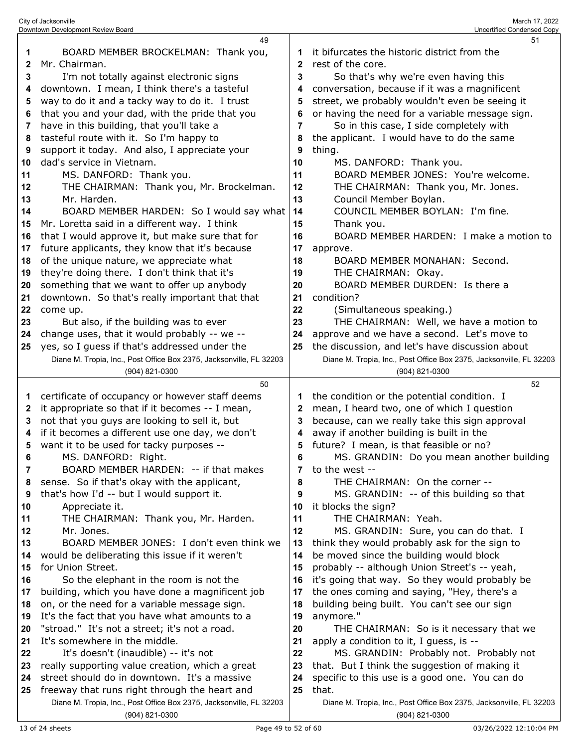|              | 49                                                                                              |          | 51                                                                                             |
|--------------|-------------------------------------------------------------------------------------------------|----------|------------------------------------------------------------------------------------------------|
| 1            | BOARD MEMBER BROCKELMAN: Thank you,                                                             | 1        | it bifurcates the historic district from the                                                   |
| $\mathbf{2}$ | Mr. Chairman.                                                                                   | 2        | rest of the core.                                                                              |
| 3            | I'm not totally against electronic signs                                                        | 3        | So that's why we're even having this                                                           |
| 4            | downtown. I mean, I think there's a tasteful                                                    | 4        | conversation, because if it was a magnificent                                                  |
| 5            | way to do it and a tacky way to do it. I trust                                                  | 5        | street, we probably wouldn't even be seeing it                                                 |
| 6            | that you and your dad, with the pride that you                                                  | 6        | or having the need for a variable message sign.                                                |
| 7            | have in this building, that you'll take a                                                       | 7        | So in this case, I side completely with                                                        |
| 8            | tasteful route with it. So I'm happy to                                                         | 8        | the applicant. I would have to do the same                                                     |
| 9            | support it today. And also, I appreciate your                                                   | 9        | thing.                                                                                         |
| 10           | dad's service in Vietnam.                                                                       | 10       | MS. DANFORD: Thank you.                                                                        |
| 11           | MS. DANFORD: Thank you.                                                                         | 11       | BOARD MEMBER JONES: You're welcome.                                                            |
| 12           | THE CHAIRMAN: Thank you, Mr. Brockelman.                                                        | 12       | THE CHAIRMAN: Thank you, Mr. Jones.                                                            |
| 13           | Mr. Harden.                                                                                     | 13       | Council Member Boylan.                                                                         |
| 14           | BOARD MEMBER HARDEN: So I would say what                                                        | 14       | COUNCIL MEMBER BOYLAN: I'm fine.                                                               |
| 15           | Mr. Loretta said in a different way. I think                                                    | 15       | Thank you.                                                                                     |
| 16           | that I would approve it, but make sure that for                                                 | 16       | BOARD MEMBER HARDEN: I make a motion to                                                        |
| 17           | future applicants, they know that it's because                                                  | 17       |                                                                                                |
| 18           |                                                                                                 | 18       | approve.<br>BOARD MEMBER MONAHAN: Second.                                                      |
|              | of the unique nature, we appreciate what                                                        |          |                                                                                                |
| 19           | they're doing there. I don't think that it's                                                    | 19       | THE CHAIRMAN: Okay.<br>BOARD MEMBER DURDEN: Is there a                                         |
| 20           | something that we want to offer up anybody                                                      | 20       | condition?                                                                                     |
| 21           | downtown. So that's really important that that                                                  | 21<br>22 |                                                                                                |
| 22           | come up.                                                                                        | 23       | (Simultaneous speaking.)<br>THE CHAIRMAN: Well, we have a motion to                            |
| 23           | But also, if the building was to ever                                                           | 24       |                                                                                                |
| 24           | change uses, that it would probably -- we --<br>yes, so I guess if that's addressed under the   | 25       | approve and we have a second. Let's move to<br>the discussion, and let's have discussion about |
| 25           | Diane M. Tropia, Inc., Post Office Box 2375, Jacksonville, FL 32203                             |          | Diane M. Tropia, Inc., Post Office Box 2375, Jacksonville, FL 32203                            |
|              | (904) 821-0300                                                                                  |          | (904) 821-0300                                                                                 |
|              | 50                                                                                              |          | 52                                                                                             |
|              |                                                                                                 |          |                                                                                                |
|              |                                                                                                 |          |                                                                                                |
| 1            | certificate of occupancy or however staff deems                                                 | 1        | the condition or the potential condition. I                                                    |
| $\mathbf{2}$ | it appropriate so that if it becomes -- I mean,                                                 | 2        | mean, I heard two, one of which I question                                                     |
| 3            | not that you guys are looking to sell it, but                                                   | 3        | because, can we really take this sign approval                                                 |
| 4            | if it becomes a different use one day, we don't                                                 | 4        | away if another building is built in the                                                       |
| 5            | want it to be used for tacky purposes --                                                        | 5        | future? I mean, is that feasible or no?                                                        |
| 6            | MS. DANFORD: Right.                                                                             |          | MS. GRANDIN: Do you mean another building                                                      |
| 7            | BOARD MEMBER HARDEN: -- if that makes                                                           | 7        | to the west --                                                                                 |
| 8            | sense. So if that's okay with the applicant,                                                    | 8        | THE CHAIRMAN: On the corner --                                                                 |
| 9            | that's how I'd -- but I would support it.                                                       | 9        | MS. GRANDIN: -- of this building so that                                                       |
| 10           | Appreciate it.                                                                                  | 10       | it blocks the sign?                                                                            |
| 11           | THE CHAIRMAN: Thank you, Mr. Harden.                                                            | 11<br>12 | THE CHAIRMAN: Yeah.                                                                            |
| 12           | Mr. Jones.                                                                                      |          | MS. GRANDIN: Sure, you can do that. I                                                          |
| 13<br>14     | BOARD MEMBER JONES: I don't even think we                                                       | 13<br>14 | think they would probably ask for the sign to                                                  |
| 15           | would be deliberating this issue if it weren't                                                  | 15       | be moved since the building would block                                                        |
| 16           | for Union Street.<br>So the elephant in the room is not the                                     | 16       | probably -- although Union Street's -- yeah,                                                   |
| 17           |                                                                                                 | 17       | it's going that way. So they would probably be                                                 |
| 18           | building, which you have done a magnificent job<br>on, or the need for a variable message sign. | 18       | the ones coming and saying, "Hey, there's a<br>building being built. You can't see our sign    |
| 19           | It's the fact that you have what amounts to a                                                   | 19       | anymore."                                                                                      |
| 20           | "stroad." It's not a street; it's not a road.                                                   | 20       | THE CHAIRMAN: So is it necessary that we                                                       |
| 21           | It's somewhere in the middle.                                                                   | 21       | apply a condition to it, I guess, is --                                                        |
| 22           | It's doesn't (inaudible) -- it's not                                                            | 22       | MS. GRANDIN: Probably not. Probably not                                                        |
| 23           | really supporting value creation, which a great                                                 | 23       | that. But I think the suggestion of making it                                                  |
| 24           | street should do in downtown. It's a massive                                                    | 24       | specific to this use is a good one. You can do                                                 |
| 25           | freeway that runs right through the heart and                                                   | 25       | that.                                                                                          |
|              | Diane M. Tropia, Inc., Post Office Box 2375, Jacksonville, FL 32203                             |          | Diane M. Tropia, Inc., Post Office Box 2375, Jacksonville, FL 32203                            |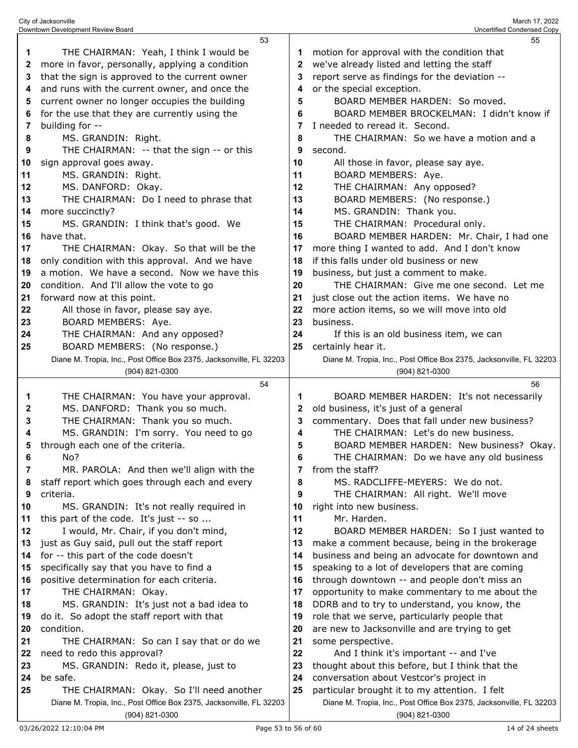|    | 53                                                                  |              | 55                                                                                       |
|----|---------------------------------------------------------------------|--------------|------------------------------------------------------------------------------------------|
| 1  | THE CHAIRMAN: Yeah, I think I would be                              | 1            | motion for approval with the condition that                                              |
| 2  | more in favor, personally, applying a condition                     | $\mathbf{2}$ | we've already listed and letting the staff                                               |
| 3  | that the sign is approved to the current owner                      | 3            | report serve as findings for the deviation --                                            |
| 4  | and runs with the current owner, and once the                       | 4            | or the special exception.                                                                |
| 5  | current owner no longer occupies the building                       | 5            | BOARD MEMBER HARDEN: So moved.                                                           |
| 6  | for the use that they are currently using the                       | 6            | BOARD MEMBER BROCKELMAN: I didn't know if                                                |
|    |                                                                     | 7            | I needed to reread it. Second.                                                           |
| 7  | building for --                                                     |              |                                                                                          |
| 8  | MS. GRANDIN: Right.                                                 | 8            | THE CHAIRMAN: So we have a motion and a                                                  |
| 9  | THE CHAIRMAN: -- that the sign -- or this                           | 9            | second.                                                                                  |
| 10 | sign approval goes away.                                            | 10           | All those in favor, please say aye.                                                      |
| 11 | MS. GRANDIN: Right.                                                 | 11           | BOARD MEMBERS: Aye.                                                                      |
| 12 | MS. DANFORD: Okay.                                                  | 12           | THE CHAIRMAN: Any opposed?                                                               |
| 13 | THE CHAIRMAN: Do I need to phrase that                              | 13           | BOARD MEMBERS: (No response.)                                                            |
| 14 | more succinctly?                                                    | 14           | MS. GRANDIN: Thank you.                                                                  |
| 15 | MS. GRANDIN: I think that's good. We                                | 15           | THE CHAIRMAN: Procedural only.                                                           |
| 16 | have that.                                                          | 16           | BOARD MEMBER HARDEN: Mr. Chair, I had one                                                |
| 17 | THE CHAIRMAN: Okay. So that will be the                             | 17           | more thing I wanted to add. And I don't know                                             |
| 18 | only condition with this approval. And we have                      | 18           | if this falls under old business or new                                                  |
| 19 | a motion. We have a second. Now we have this                        | 19           | business, but just a comment to make.                                                    |
| 20 | condition. And I'll allow the vote to go                            | 20           | THE CHAIRMAN: Give me one second. Let me                                                 |
| 21 | forward now at this point.                                          | 21           | just close out the action items. We have no                                              |
| 22 | All those in favor, please say aye.                                 | 22           | more action items, so we will move into old                                              |
| 23 | BOARD MEMBERS: Aye.                                                 | 23           | business.                                                                                |
| 24 | THE CHAIRMAN: And any opposed?                                      | 24           | If this is an old business item, we can                                                  |
| 25 | BOARD MEMBERS: (No response.)                                       | 25           | certainly hear it.                                                                       |
|    | Diane M. Tropia, Inc., Post Office Box 2375, Jacksonville, FL 32203 |              | Diane M. Tropia, Inc., Post Office Box 2375, Jacksonville, FL 32203                      |
|    |                                                                     |              | (904) 821-0300                                                                           |
|    | (904) 821-0300                                                      |              |                                                                                          |
|    |                                                                     |              |                                                                                          |
|    | 54                                                                  |              | 56                                                                                       |
| 1  | THE CHAIRMAN: You have your approval.                               | 1            | BOARD MEMBER HARDEN: It's not necessarily                                                |
| 2  | MS. DANFORD: Thank you so much.                                     | 2            | old business, it's just of a general                                                     |
| 3  | THE CHAIRMAN: Thank you so much.                                    | 3            | commentary. Does that fall under new business?                                           |
| 4  | MS. GRANDIN: I'm sorry. You need to go                              | 4            | THE CHAIRMAN: Let's do new business.                                                     |
| 5  | through each one of the criteria.                                   | 5            | BOARD MEMBER HARDEN: New business? Okay.                                                 |
| 6  | No?                                                                 | 6            | THE CHAIRMAN: Do we have any old business                                                |
| 7  | MR. PAROLA: And then we'll align with the                           | 7            | from the staff?                                                                          |
| 8  | staff report which goes through each and every                      | 8            | MS. RADCLIFFE-MEYERS: We do not.                                                         |
| 9  | criteria.                                                           | 9            | THE CHAIRMAN: All right. We'll move                                                      |
| 10 | MS. GRANDIN: It's not really required in                            | 10           | right into new business.                                                                 |
| 11 | this part of the code. It's just -- so                              | 11           | Mr. Harden.                                                                              |
| 12 | I would, Mr. Chair, if you don't mind,                              | 12           | BOARD MEMBER HARDEN: So I just wanted to                                                 |
| 13 | just as Guy said, pull out the staff report                         | 13           | make a comment because, being in the brokerage                                           |
| 14 | for -- this part of the code doesn't                                | 14           | business and being an advocate for downtown and                                          |
| 15 | specifically say that you have to find a                            | 15           | speaking to a lot of developers that are coming                                          |
| 16 | positive determination for each criteria.                           | 16           | through downtown -- and people don't miss an                                             |
| 17 | THE CHAIRMAN: Okay.                                                 | 17           | opportunity to make commentary to me about the                                           |
| 18 | MS. GRANDIN: It's just not a bad idea to                            | 18           | DDRB and to try to understand, you know, the                                             |
| 19 | do it. So adopt the staff report with that                          | 19           | role that we serve, particularly people that                                             |
| 20 | condition.                                                          | 20           |                                                                                          |
| 21 | THE CHAIRMAN: So can I say that or do we                            | 21           | are new to Jacksonville and are trying to get<br>some perspective.                       |
| 22 |                                                                     | 22           |                                                                                          |
| 23 | need to redo this approval?                                         | 23           | And I think it's important -- and I've                                                   |
| 24 | MS. GRANDIN: Redo it, please, just to                               | 24           | thought about this before, but I think that the                                          |
| 25 | be safe.<br>THE CHAIRMAN: Okay. So I'll need another                | 25           | conversation about Vestcor's project in<br>particular brought it to my attention. I felt |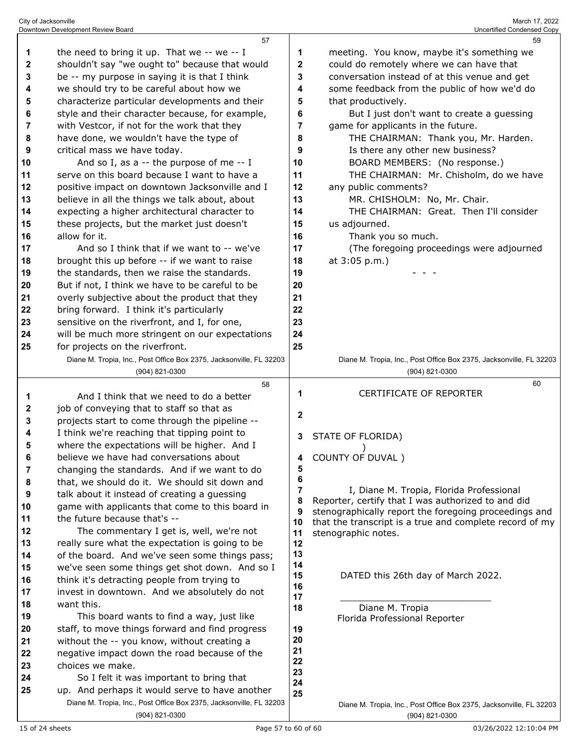|    | 57                                                                                                                    |          | 59                                                                                                          |
|----|-----------------------------------------------------------------------------------------------------------------------|----------|-------------------------------------------------------------------------------------------------------------|
| 1  | the need to bring it up. That we -- we -- I                                                                           | 1        | meeting. You know, maybe it's something we                                                                  |
| 2  | shouldn't say "we ought to" because that would                                                                        | 2        | could do remotely where we can have that                                                                    |
| 3  | be -- my purpose in saying it is that I think                                                                         | 3        | conversation instead of at this venue and get                                                               |
| 4  | we should try to be careful about how we                                                                              | 4        | some feedback from the public of how we'd do                                                                |
| 5  | characterize particular developments and their                                                                        | 5        | that productively.                                                                                          |
| 6  | style and their character because, for example,                                                                       | 6        | But I just don't want to create a guessing                                                                  |
| 7  | with Vestcor, if not for the work that they                                                                           | 7        | game for applicants in the future.                                                                          |
| 8  | have done, we wouldn't have the type of                                                                               | 8        | THE CHAIRMAN: Thank you, Mr. Harden.                                                                        |
| 9  | critical mass we have today.                                                                                          | 9        | Is there any other new business?                                                                            |
| 10 | And so I, as a $-$ the purpose of me $-$ I                                                                            | 10       | BOARD MEMBERS: (No response.)                                                                               |
| 11 | serve on this board because I want to have a                                                                          | 11       | THE CHAIRMAN: Mr. Chisholm, do we have                                                                      |
| 12 | positive impact on downtown Jacksonville and I                                                                        | 12       | any public comments?                                                                                        |
| 13 | believe in all the things we talk about, about                                                                        | 13       | MR. CHISHOLM: No, Mr. Chair.                                                                                |
| 14 | expecting a higher architectural character to                                                                         | 14       | THE CHAIRMAN: Great. Then I'll consider                                                                     |
| 15 | these projects, but the market just doesn't                                                                           | 15       | us adjourned.                                                                                               |
| 16 | allow for it.                                                                                                         | 16       | Thank you so much.                                                                                          |
| 17 | And so I think that if we want to -- we've                                                                            | 17       | (The foregoing proceedings were adjourned                                                                   |
| 18 | brought this up before -- if we want to raise                                                                         | 18       | at 3:05 p.m.)                                                                                               |
| 19 | the standards, then we raise the standards.                                                                           | 19       |                                                                                                             |
| 20 | But if not, I think we have to be careful to be                                                                       | 20       |                                                                                                             |
| 21 | overly subjective about the product that they                                                                         | 21       |                                                                                                             |
| 22 | bring forward. I think it's particularly                                                                              | 22       |                                                                                                             |
| 23 | sensitive on the riverfront, and I, for one,                                                                          | 23       |                                                                                                             |
| 24 | will be much more stringent on our expectations                                                                       | 24       |                                                                                                             |
| 25 | for projects on the riverfront.                                                                                       | 25       |                                                                                                             |
|    | Diane M. Tropia, Inc., Post Office Box 2375, Jacksonville, FL 32203                                                   |          | Diane M. Tropia, Inc., Post Office Box 2375, Jacksonville, FL 32203                                         |
|    | (904) 821-0300                                                                                                        |          | (904) 821-0300                                                                                              |
|    |                                                                                                                       |          |                                                                                                             |
|    | 58                                                                                                                    |          | 60                                                                                                          |
| 1  | And I think that we need to do a better                                                                               | 1        | <b>CERTIFICATE OF REPORTER</b>                                                                              |
| 2  | job of conveying that to staff so that as                                                                             |          |                                                                                                             |
| 3  | projects start to come through the pipeline --                                                                        | 2        |                                                                                                             |
| 4  | I think we're reaching that tipping point to                                                                          | 3.       | STATE OF FLORIDA)                                                                                           |
| 5  | where the expectations will be higher. And I                                                                          |          |                                                                                                             |
| 6  | believe we have had conversations about                                                                               | 4        | COUNTY OF DUVAL)                                                                                            |
| 7  | changing the standards. And if we want to do                                                                          | 5        |                                                                                                             |
| 8  | that, we should do it. We should sit down and                                                                         | 6        |                                                                                                             |
| 9  | talk about it instead of creating a guessing                                                                          | 7<br>8   | I, Diane M. Tropia, Florida Professional                                                                    |
| 10 | game with applicants that come to this board in                                                                       | 9        | Reporter, certify that I was authorized to and did<br>stenographically report the foregoing proceedings and |
| 11 | the future because that's --                                                                                          | 10       | that the transcript is a true and complete record of my                                                     |
| 12 | The commentary I get is, well, we're not                                                                              | 11       | stenographic notes.                                                                                         |
| 13 | really sure what the expectation is going to be                                                                       | 12       |                                                                                                             |
| 14 | of the board. And we've seen some things pass;                                                                        | 13       |                                                                                                             |
| 15 | we've seen some things get shot down. And so I                                                                        | 14<br>15 |                                                                                                             |
| 16 | think it's detracting people from trying to                                                                           | 16       | DATED this 26th day of March 2022.                                                                          |
| 17 | invest in downtown. And we absolutely do not                                                                          | 17       |                                                                                                             |
| 18 | want this.                                                                                                            | 18       | Diane M. Tropia                                                                                             |
| 19 | This board wants to find a way, just like                                                                             |          | Florida Professional Reporter                                                                               |
| 20 | staff, to move things forward and find progress                                                                       | 19<br>20 |                                                                                                             |
| 21 | without the -- you know, without creating a                                                                           | 21       |                                                                                                             |
| 22 | negative impact down the road because of the                                                                          | 22       |                                                                                                             |
| 23 | choices we make.                                                                                                      | 23       |                                                                                                             |
| 24 | So I felt it was important to bring that                                                                              | 24       |                                                                                                             |
| 25 | up. And perhaps it would serve to have another<br>Diane M. Tropia, Inc., Post Office Box 2375, Jacksonville, FL 32203 | 25       | Diane M. Tropia, Inc., Post Office Box 2375, Jacksonville, FL 32203                                         |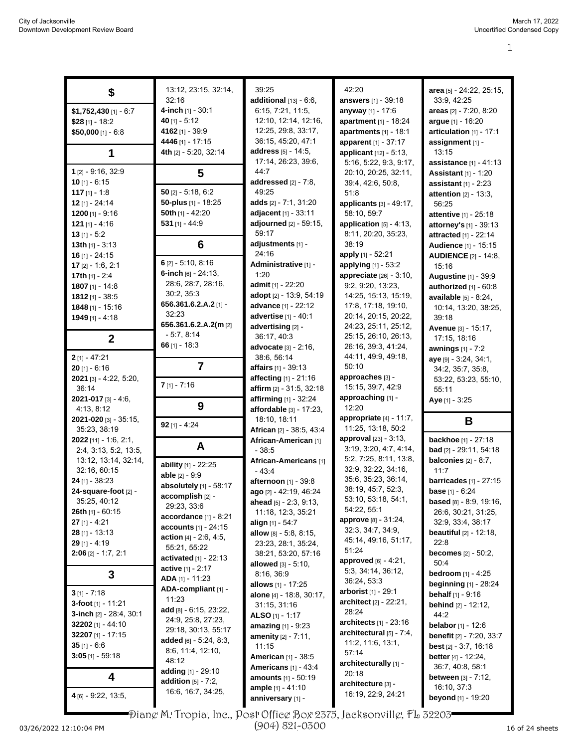| \$                                           | 13:12, 23:15, 32:14,<br>32:16              | 39:25<br>additional $[13] - 6.6$ ,               | 42:20<br><b>answers</b> [1] - 39:18              | area [5] - 24:22, 25:15,<br>33:9, 42:25                         |
|----------------------------------------------|--------------------------------------------|--------------------------------------------------|--------------------------------------------------|-----------------------------------------------------------------|
| $$1,752,430$ [1] - 6:7                       | 4-inch [1] - 30:1                          | 6:15, 7:21, 11:5,                                | anyway [1] - 17:6                                | areas [2] - 7:20, 8:20                                          |
| \$28 $[1] - 18:2$                            | 40 $[1] - 5:12$                            | 12:10, 12:14, 12:16,                             | apartment [1] - 18:24                            | argue [1] - 16:20                                               |
| $$50,000$ [1] - 6:8                          | 4162 [1] - 39:9                            | 12:25, 29:8, 33:17,                              | apartments [1] - 18:1                            | articulation [1] - 17:1                                         |
|                                              | 4446 [1] - 17:15                           | 36:15, 45:20, 47:1                               | apparent [1] - 37:17                             | assignment [1] -                                                |
| 1                                            | 4th [2] - 5:20, 32:14                      | address [5] - 14:5,                              | applicant [12] - 5:13,                           | 13:15                                                           |
|                                              |                                            | 17:14, 26:23, 39:6,                              | 5:16, 5:22, 9:3, 9:17,                           | <b>assistance</b> $[1] - 41:13$                                 |
| $1$ [2] - 9:16, 32:9                         | 5                                          | 44:7                                             | 20:10, 20:25, 32:11,                             | <b>Assistant</b> [1] - 1:20                                     |
| $10$ [1] - 6:15                              | $50$ [2] - 5:18, 6:2                       | addressed [2] - 7:8,<br>49:25                    | 39:4, 42:6, 50:8,                                | <b>assistant</b> $[1] - 2:23$                                   |
| 117 $[1] - 1:8$<br>$12$ [1] - 24:14          | 50-plus [1] - 18:25                        | adds [2] - 7:1, 31:20                            | 51:8                                             | attention $[2] - 13:3$ ,                                        |
| 1200 $[1] - 9:16$                            | 50th [1] - 42:20                           | adjacent [1] - 33:11                             | applicants [3] - 49:17,<br>58:10, 59:7           | 56:25<br>attentive [1] - 25:18                                  |
| 121 $[1] - 4:16$                             | $531$ [1] - 44:9                           | adjourned [2] - 59:15,                           | application $[5] - 4:13$ ,                       | attorney's [1] - 39:13                                          |
| $13$ [1] - 5:2                               |                                            | 59:17                                            | 8:11, 20:20, 35:23,                              | attracted [1] - 22:14                                           |
| 13th $[1] - 3.13$                            | 6                                          | adjustments [1] -                                | 38:19                                            | Audience [1] - 15:15                                            |
| $16$ [1] - 24:15                             |                                            | 24:16                                            | apply [1] - 52:21                                | <b>AUDIENCE</b> [2] - 14:8,                                     |
| $17$ [2] - 1:6, 2:1                          | $6$ [2] - 5:10, 8:16                       | Administrative [1] -                             | applying [1] - 53:2                              | 15:16                                                           |
| 17th $[1] - 2:4$                             | 6-inch $[6] - 24:13$ ,                     | 1:20                                             | <b>appreciate</b> $[26] - 3:10$ ,                | <b>Augustine [1] - 39:9</b>                                     |
| $1807$ [1] - 14:8                            | 28:6, 28:7, 28:16,<br>30:2, 35:3           | admit [1] - 22:20                                | 9:2, 9:20, 13:23,                                | authorized [1] - 60:8                                           |
| $1812$ [1] - 38:5                            | 656.361.6.2.A.2 [1] -                      | adopt [2] - 13:9, 54:19                          | 14:25, 15:13, 15:19,                             | <b>available</b> $[5] - 8:24$ ,                                 |
| 1848 [1] - 15:16                             | 32:23                                      | advance [1] - 22:12<br>advertise [1] - 40:1      | 17:8, 17:18, 19:10,<br>20:14, 20:15, 20:22,      | 10:14, 13:20, 38:25,                                            |
| $1949$ [1] - 4:18                            | 656.361.6.2.A.2(m [2]                      | advertising [2] -                                | 24:23, 25:11, 25:12,                             | 39:18                                                           |
| $\mathbf{2}$                                 | $-5:7, 8:14$                               | 36:17, 40:3                                      | 25:15, 26:10, 26:13,                             | Avenue [3] - 15:17,<br>17:15, 18:16                             |
|                                              | 66 $[1] - 18:3$                            | advocate [3] - 2:16,                             | 26:16, 39:3, 41:24,                              | awnings $[1] - 7:2$                                             |
| $2$ [1] - 47:21                              |                                            | 38:6, 56:14                                      | 44:11, 49:9, 49:18,                              | aye [9] - 3:24, 34:1,                                           |
| $20$ [1] - 6:16                              | 7                                          | affairs [1] - 39:13                              | 50:10                                            | 34:2, 35:7, 35:8,                                               |
| 2021 [3] - 4:22, 5:20,                       |                                            | affecting [1] - 21:16                            | approaches [3] -                                 | 53:22, 53:23, 55:10,                                            |
| 36:14                                        | $7$ [1] - 7:16                             | affirm $[2] - 31.5, 32.18$                       | 15:15, 39:7, 42:9                                | 55:11                                                           |
| $2021 - 017$ [3] - 4:6,                      | 9                                          | affirming $[1] - 32.24$                          | approaching [1] -                                | Aye [1] - 3:25                                                  |
| 4:13, 8:12                                   |                                            | affordable [3] - 17:23,                          | 12:20                                            |                                                                 |
| <b>2021-020</b> [3] - 35:15,<br>35:23, 38:19 | $92$ [1] - 4:24                            | 18:10, 18:11                                     | appropriate $[4] - 11:7$ ,<br>11:25, 13:18, 50:2 | В                                                               |
| 2022 [11] - 1:6, 2:1,                        |                                            | African [2] - 38:5, 43:4<br>African-American [1] | approval [23] - 3:13,                            | <b>backhoe</b> $[1] - 27:18$                                    |
| 2:4, 3:13, 5:2, 13:5,                        | A                                          | $-38:5$                                          | 3:19, 3:20, 4:7, 4:14,                           | <b>bad</b> [2] - 29:11, 54:18                                   |
| 13:12, 13:14, 32:14,                         |                                            | African-Americans [1]                            | 5:2, 7:25, 8:11, 13:8,                           | balconies $[2] - 8:7$ ,                                         |
| 32:16, 60:15                                 | ability [1] - 22:25                        | $-43:4$                                          | 32.9, 32.22, 34.16,                              | 11:7                                                            |
| $24$ [1] - 38:23                             | able $[2] - 9:9$<br>absolutely [1] - 58:17 | afternoon [1] - 39:8                             | 35.6, 35.23, 36:14,                              | barricades $[1]$ - 27:15                                        |
| 24-square-foot [2] -                         | accomplish [2] -                           | ago [2] - 42:19, 46:24                           | 38:19, 45:7, 52:3,                               | base [1] - 6:24                                                 |
| 35:25, 40:12                                 | 29:23, 33.6                                | ahead $[5] - 2.3, 9.13$ ,                        | 53:10, 53:18, 54:1,                              | <b>based</b> [8] - 8:9, 19:16,                                  |
| <b>26th</b> [1] - 60:15                      | accordance [1] - 8:21                      | 11:18, 12:3, 35:21                               | 54:22, 55:1<br><b>approve</b> [8] - 31:24,       | 26.6, 30.21, 31.25,                                             |
| $27$ [1] - 4:21                              | <b>accounts</b> $[1] - 24:15$              | <b>align</b> [1] - 54:7                          | 32:3, 34:7, 34:9,                                | 32.9, 33.4, 38.17                                               |
| $28$ [1] - 13:13<br>$29$ [1] - 4:19          | <b>action</b> $[4] - 2.6, 4.5,$            | <b>allow</b> $[8] - 5.8$ , 8.15,                 | 45:14, 49:16, 51:17,                             | <b>beautiful</b> $[2] - 12:18$ ,<br>22:8                        |
| $2:06$ [2] - 1:7, 2:1                        | 55:21, 55:22                               | 23:23, 28:1, 35:24,<br>38:21, 53:20, 57:16       | 51:24                                            | <b>becomes</b> $[2] - 50:2$ ,                                   |
|                                              | <b>activated</b> $[1]$ - 22:13             | <b>allowed</b> [3] - 5:10,                       | approved [6] - 4:21,                             | 50:4                                                            |
| 3                                            | <b>active</b> $[1] - 2:17$                 | 8:16, 36.9                                       | 5:3, 34:14, 36:12,                               | <b>bedroom</b> $[1] - 4:25$                                     |
|                                              | ADA [1] - 11:23<br>ADA-compliant [1] -     | <b>allows</b> [1] - 17:25                        | 36:24, 53:3                                      | <b>beginning</b> [1] - 28:24                                    |
| $3$ [1] - 7:18                               | 11:23                                      | alone [4] - 18:8, 30:17,                         | <b>arborist</b> [1] - 29:1                       | behalf [1] - 9:16                                               |
| 3-foot $[1]$ - 11:21                         | add $[8] - 6:15$ , 23.22,                  | 31:15, 31:16                                     | architect [2] - 22:21,<br>28:24                  | <b>behind</b> $[2] - 12:12$ ,                                   |
| <b>3-inch</b> $[2] - 28.4, 30.1$             | 24.9, 25.8, 27.23,                         | ALSO $[1] - 1:17$                                | architects $[1]$ - 23:16                         | 44.2                                                            |
| 32202 $[1] - 44.10$<br>32207 $[1]$ - 17:15   | 29:18, 30:13, 55:17                        | amazing [1] - 9:23                               | architectural $[5]$ - 7:4,                       | <b>belabor</b> $[1] - 12:6$                                     |
| 35 $[1] - 6.6$                               | added $[6] - 5:24, 8:3,$                   | <b>amenity</b> $[2] - 7:11$ ,                    | 11.2, 11.6, 13.1,                                | benefit [2] - 7:20, 33:7                                        |
| $3:05$ [1] - 59:18                           | 8.6, 11.4, 12.10,                          | 11:15<br><b>American</b> [1] - 38:5              | 57:14                                            | <b>best</b> $[2] - 3:7, 16:18$<br><b>better</b> $[4] - 12.24$ , |
|                                              | 48:12                                      | <b>Americans</b> [1] - 43:4                      | architecturally [1] -                            | 36:7, 40:8, 58:1                                                |
| 4                                            | adding $[1] - 29:10$                       | <b>amounts</b> [1] - 50:19                       | 20:18                                            | <b>between</b> $[3] - 7:12$ ,                                   |
|                                              | addition $[5]$ - $7:2$ ,                   | <b>ample</b> [1] - 41:10                         | architecture [3] -                               | 16:10, 37:3                                                     |
| $4$ [6] - 9:22, 13:5,                        | 16:6, 16:7, 34:25,                         | anniversary [1] -                                | 16:19, 22:9, 24:21                               | <b>beyond</b> [1] - 19:20                                       |

Diane M. Tropia, Inc., Post Office Box 2375, Jacksonville, FL 32203

(904) 821-0300

I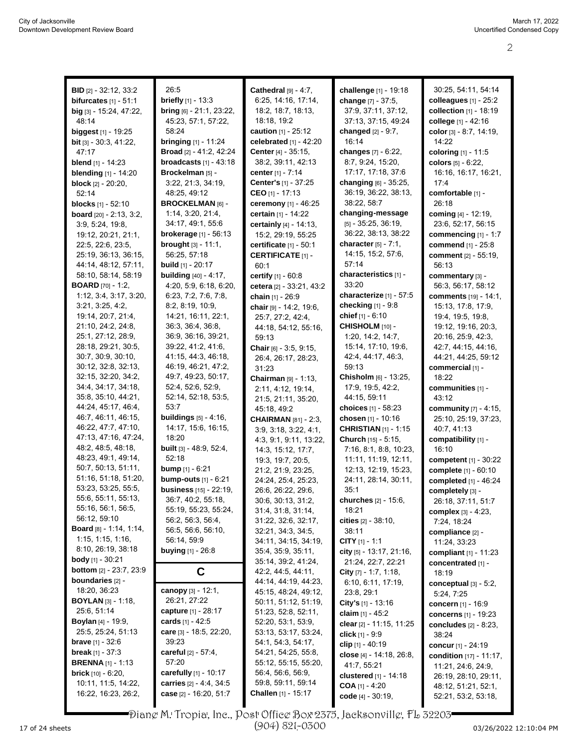| <b>BID</b> $[2] - 32:12, 33:2$   | 26:5                           | Cathedral $[9] - 4:7$ ,         | challenge [1] - 19:18        | 30:25, 54:11, 54:14          |
|----------------------------------|--------------------------------|---------------------------------|------------------------------|------------------------------|
| bifurcates $[1] - 51:1$          | briefly [1] - 13:3             | 6:25, 14:16, 17:14,             | change [7] - 37:5.           | colleagues $[1]$ - 25:2      |
| big [3] - 15:24, 47:22,          | bring [6] - 21:1, 23:22,       | 18:2, 18:7, 18:13,              | 37:9, 37:11, 37:12,          | collection [1] - 18:19       |
| 48:14                            | 45:23, 57:1, 57:22,            | 18:18, 19:2                     | 37:13, 37:15, 49:24          | college [1] - 42:16          |
| <b>biggest</b> [1] - 19:25       | 58:24                          | caution [1] - 25:12             | changed $[2] - 9:7$ ,        | color $[3] - 8.7, 14.19,$    |
|                                  | <b>bringing</b> $[1]$ - 11:24  | celebrated [1] - 42:20          | 16:14                        | 14:22                        |
| <b>bit</b> $[3] - 30:3, 41:22,$  |                                |                                 |                              |                              |
| 47:17                            | <b>Broad</b> [2] - 41.2, 42.24 | Center [4] - 35:15,             | changes [7] - 6:22,          | coloring [1] - 11:5          |
| <b>blend</b> [1] - 14:23         | broadcasts $[1] - 43.18$       | 38:2, 39:11, 42:13              | 8:7, 9:24, 15:20,            | colors [5] - 6:22,           |
| <b>blending</b> [1] - 14:20      | Brockelman [5] -               | center [1] - 7:14               | 17:17, 17:18, 37:6           | 16:16, 16:17, 16:21,         |
| <b>block</b> $[2] - 20:20$ ,     | 3:22, 21:3, 34:19,             | Center's [1] - 37:25            | changing [6] - 35:25,        | 17:4                         |
| 52:14                            | 48:25, 49:12                   | CEO [1] - 17:13                 | 36:19, 36:22, 38:13,         | comfortable [1] -            |
| <b>blocks</b> $[1] - 52:10$      | <b>BROCKELMAN [6] -</b>        | ceremony [1] - 46:25            | 38:22, 58:7                  | 26:18                        |
| board [20] - 2:13, 3:2,          | 1:14, 3:20, 21:4,              | certain [1] - 14:22             | changing-message             | coming [4] - 12:19,          |
| 3.9, 5.24, 19.8,                 | 34:17, 49:1, 55:6              | certainly [4] - 14:13,          | $[5] - 35.25, 36.19,$        | 23.6, 52.17, 56.15           |
| 19:12, 20:21, 21:1,              | <b>brokerage</b> $[1]$ - 56:13 | 15:2, 29:19, 55:25              | 36:22, 38:13, 38:22          | commencing [1] - 1:7         |
| 22:5, 22:6, 23:5,                | brought [3] - 11:1,            | certificate $[1] - 50:1$        | character $[5] - 7.1$ ,      | commend [1] - 25:8           |
| 25:19, 36:13, 36:15,             | 56:25, 57:18                   | <b>CERTIFICATE [1] -</b>        | 14:15, 15:2, 57:6,           | comment [2] - 55:19,         |
| 44:14, 48:12, 57:11,             | <b>build</b> [1] - 20:17       | 60:1                            | 57:14                        | 56:13                        |
| 58:10, 58:14, 58:19              | <b>building</b> [40] - 4:17,   | certify [1] - 60:8              | characteristics [1] -        | commentary [3] -             |
| <b>BOARD</b> [70] - 1:2,         | 4:20, 5:9, 6:18, 6:20,         | cetera [2] - 33:21, 43:2        | 33:20                        | 56:3, 56:17, 58:12           |
| 1:12, 3:4, 3:17, 3:20,           | 6:23, 7:2, 7:6, 7:8,           |                                 | characterize [1] - 57:5      | comments [19] - 14:1,        |
| 3:21, 3:25, 4:2,                 | 8:2, 8:19, 10:9,               | chain [1] - 26:9                | checking $[1]$ - $9.8$       |                              |
|                                  |                                | chair [9] - 14:2, 19:6,         | chief [1] - 6:10             | 15:13, 17:8, 17:9,           |
| 19:14, 20:7, 21:4,               | 14:21, 16:11, 22:1,            | 25:7, 27:2, 42:4,               |                              | 19:4, 19:5, 19:8,            |
| 21:10, 24:2, 24:8,               | 36:3, 36:4, 36:8,              | 44:18, 54:12, 55:16,            | CHISHOLM [10] -              | 19:12, 19:16, 20:3,          |
| 25:1, 27:12, 28:9,               | 36:9, 36:16, 39:21,            | 59:13                           | 1:20, 14:2, 14:7,            | 20:16, 25:9, 42:3,           |
| 28:18, 29:21, 30:5,              | 39:22, 41:2, 41:6,             | <b>Chair</b> $[6] - 3.5, 9.15,$ | 15:14, 17:10, 19:6,          | 42:7, 44:15, 44:16,          |
| 30:7, 30:9, 30:10,               | 41:15, 44:3, 46:18,            | 26:4, 26:17, 28:23,             | 42.4, 44.17, 46.3,           | 44:21, 44:25, 59:12          |
| 30:12, 32:8, 32:13,              | 46:19, 46:21, 47:2,            | 31:23                           | 59:13                        | commercial [1] -             |
| 32:15, 32:20, 34:2,              | 49:7, 49:23, 50:17,            | <b>Chairman</b> $[9] - 1:13$ ,  | Chisholm [6] - 13:25,        | 18:22                        |
| 34.4, 34.17, 34.18,              | 52:4, 52:6, 52:9,              | 2:11, 4:12, 19:14,              | 17:9, 19:5, 42:2,            | communities [1] -            |
| 35:8, 35:10, 44:21,              | 52:14, 52:18, 53:5,            | 21:5, 21:11, 35:20,             | 44:15, 59:11                 | 43:12                        |
| 44.24, 45:17, 46.4,              | 53:7                           | 45:18, 49:2                     | choices [1] - 58:23          | community [7] - 4:15,        |
| 46:7, 46:11, 46:15,              | <b>buildings</b> [5] - 4:16,   | <b>CHAIRMAN</b> [81] - 2:3,     | chosen [1] - 10:16           | 25:10, 25:19, 37:23,         |
| 46:22, 47:7, 47:10,              | 14:17, 15:6, 16:15,            | 3:9, 3:18, 3:22, 4:1,           | <b>CHRISTIAN [1] - 1:15</b>  | 40:7, 41:13                  |
| 47:13, 47:16, 47:24,             | 18:20                          | 4:3, 9:1, 9:11, 13:22,          | Church [15] - 5:15,          | compatibility [1] -          |
| 48:2, 48:5, 48:18,               | <b>built</b> [3] - 48:9, 52:4, | 14:3, 15:12, 17:7,              | 7:16, 8:1, 8:8, 10:23,       | 16:10                        |
| 48:23, 49:1, 49:14,              | 52:18                          | 19:3, 19:7, 20:5,               | 11:11, 11:19, 12:11,         | <b>competent</b> [1] - 30:22 |
| 50:7, 50:13, 51:11,              | bump [1] - 6:21                | 21:2, 21:9, 23:25,              | 12:13, 12:19, 15:23,         | complete [1] - 60:10         |
| 51:16, 51:18, 51:20,             | bump-outs [1] - 6:21           | 24:24, 25:4, 25:23,             | 24:11, 28:14, 30:11,         | completed [1] - 46:24        |
| 53:23, 53:25, 55:5,              | <b>business</b> [15] - 22:19,  | 26:6, 26:22, 29:6,              | 35:1                         | completely [3] -             |
| 55:6, 55:11, 55:13,              | 36:7, 40:2, 55:18,             |                                 | churches [2] - 15:6,         |                              |
| 55:16, 56:1, 56:5,               | 55:19, 55:23, 55:24,           | 30:6, 30:13, 31:2,              |                              | 26:18, 37:11, 51:7           |
| 56:12, 59:10                     | 56:2, 56:3, 56:4,              | 31:4, 31:8, 31:14,              | 18:21                        | complex [3] - 4:23,          |
| <b>Board</b> $[8] - 1.14, 1.14,$ |                                | 31:22, 32:6, 32:17,             | cities $[2] - 38:10$ ,       | 7:24, 18:24                  |
| 1:15, 1:15, 1:16,                | 56.5, 56.6, 56.10,             | 32:21, 34:3, 34:5,              | 38:11                        | compliance [2] -             |
| 8:10, 26:19, 38:18               | 56:14, 59:9                    | 34:11, 34:15, 34:19,            | <b>CITY</b> $[1] - 1:1$      | 11:24, 33:23                 |
|                                  | <b>buying</b> $[1] - 26.8$     | 35.4, 35.9, 35.11,              | city $[5] - 13:17, 21:16$ ,  | compliant [1] - 11:23        |
| body [1] - 30:21                 |                                | 35:14, 39:2, 41:24,             | 21:24, 22:7, 22:21           | concentrated [1] -           |
| <b>bottom</b> $[2] - 23.7, 23.9$ | C                              | 42:2, 44:5, 44:11,              | City [7] - 1:7, 1:18,        | 18:19                        |
| boundaries [2] -                 |                                | 44:14, 44:19, 44:23,            | 6:10, 6:11, 17:19,           | conceptual $[3] - 5:2$ ,     |
| 18:20, 36:23                     | canopy $[3] - 12:1$ ,          | 45:15, 48:24, 49:12,            | 23:8, 29:1                   | 5:24, 7:25                   |
| <b>BOYLAN</b> $[3] - 1:18$       | 26:21, 27:22                   | 50:11, 51:12, 51:19,            | City's $[1]$ - 13:16         | concern [1] - 16:9           |
| 25:6, 51:14                      | capture [1] - 28:17            | 51:23, 52:8, 52:11,             | claim $[1] - 45:2$           | concerns [1] - 19:23         |
| <b>Boylan</b> [4] - 19:9,        | cards $[1] - 42.5$             | 52:20, 53:1, 53:9,              | clear [2] - 11:15, 11:25     | concludes $[2] - 8:23$ ,     |
| 25:5, 25:24, 51:13               | care [3] - 18:5, 22:20,        | 53:13, 53:17, 53:24,            | click $[1] - 9.9$            | 38:24                        |
| <b>brave</b> $[1] - 32:6$        | 39:23                          | 54:1, 54:3, 54:17,              | clip [1] - 40:19             | concur [1] - 24:19           |
| <b>break</b> $[1] - 37:3$        | careful $[2] - 57:4,$          | 54:21, 54:25, 55:8,             | close [4] - 14:18, 26:8,     | condition [17] - 11:17,      |
| <b>BRENNA</b> [1] - 1:13         | 57:20                          | 55:12, 55:15, 55:20,            | 41:7, 55:21                  | 11:21, 24:6, 24:9,           |
| <b>brick</b> $[10] - 6:20$ ,     | carefully [1] - 10:17          | 56:4, 56:6, 56:9,               | <b>clustered</b> [1] - 14:18 |                              |
| 10:11, 11:5, 14:22,              | carries [2] - 4:4, 34:5        | 59:8, 59:11, 59:14              |                              | 26:19, 28:10, 29:11,         |
| 16:22, 16:23, 26:2,              | case [2] - 16:20, 51:7         | <b>Challen</b> [1] - 15:17      | <b>COA</b> [1] - 4:20        | 48:12, 51:21, 52:1,          |
|                                  |                                |                                 | code [4] - 30:19,            | 52:21, 53:2, 53:18,          |
|                                  |                                |                                 |                              |                              |

 $\,$  Dian $\,$ e M. Tropia, Inc., Post Office Box 2375, Jacksonvill $\,$ e, F $\,$ b 32203 $\,$ (904) 821-0300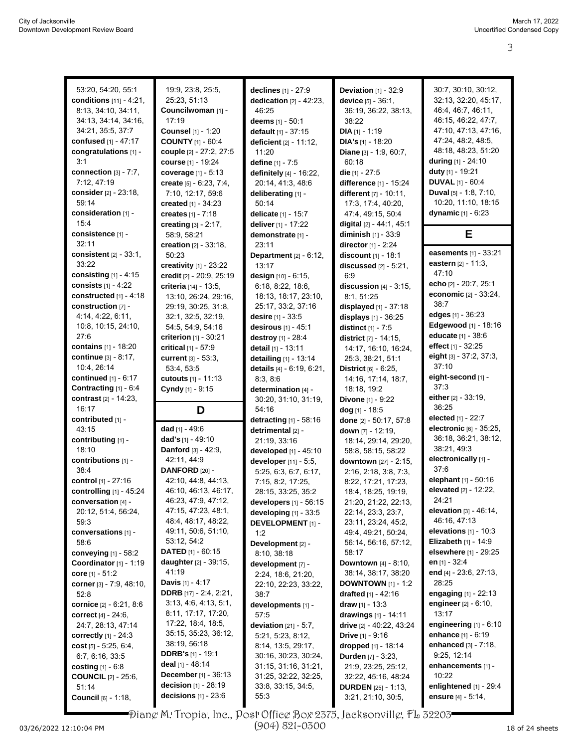| 53:20, 54:20, 55:1                  | 19:9, 23:8, 25:5,                                      | declines $[1] - 27:9$                      | <b>Deviation</b> $[1]$ - 32:9                     | 30:7, 30:10, 30:12,                              |
|-------------------------------------|--------------------------------------------------------|--------------------------------------------|---------------------------------------------------|--------------------------------------------------|
| conditions [11] - 4:21.             | 25:23, 51:13                                           | dedication $[2] - 42:23$ ,                 | device [5] - 36:1,                                | 32:13, 32:20, 45:17,                             |
| 8:13, 34:10, 34:11,                 | Councilwoman [1] -                                     | 46:25                                      |                                                   | 46:4, 46:7, 46:11,                               |
| 34:13, 34:14, 34:16,                | 17:19                                                  |                                            | 36:19, 36:22, 38:13,<br>38:22                     | 46:15, 46:22, 47:7,                              |
| 34:21, 35:5, 37:7                   | Counsel [1] - 1:20                                     | deems $[1] - 50.1$<br>default [1] - 37:15  | $DIA [1] - 1:19$                                  | 47:10, 47:13, 47:16,                             |
| <b>confused</b> [1] - 47:17         | <b>COUNTY [1] - 60:4</b>                               |                                            | <b>DIA's</b> $[1]$ - 18:20                        | 47:24, 48:2, 48:5,                               |
| congratulations [1] -               | couple [2] - 27:2, 27:5                                | deficient [2] - 11:12,<br>11:20            | <b>Diane</b> $[3] - 1.9, 60.7$ ,                  | 48:18, 48:23, 51:20                              |
| 3:1                                 | course [1] - 19:24                                     |                                            |                                                   | during $[1] - 24:10$                             |
| connection [3] - 7:7.               |                                                        | define [1] - 7:5                           | 60:18<br>die $[1] - 27:5$                         | duty [1] - 19:21                                 |
| 7:12, 47:19                         | coverage [1] - 5:13                                    | definitely [4] - 16:22,                    | difference [1] - 15:24                            | <b>DUVAL</b> $[1] - 60.4$                        |
| <b>consider</b> [2] - 23:18,        | create $[5] - 6.23, 7.4,$<br>7:10, 12:17, 59:6         | 20:14, 41:3, 48:6<br>deliberating [1] -    | different $[7] - 10:11$ ,                         | <b>Duval</b> $[5] - 1.8$ , $7.10$ ,              |
| 59:14                               | created [1] - 34:23                                    | 50:14                                      | 17:3, 17:4, 40:20,                                | 10:20, 11:10, 18:15                              |
| consideration [1] -                 | creates [1] - 7:18                                     |                                            | 47:4, 49:15, 50:4                                 | dynamic [1] - 6:23                               |
| 15:4                                |                                                        | delicate [1] - 15:7                        |                                                   |                                                  |
| consistence [1] -                   | creating [3] - 2:17,                                   | deliver [1] - 17:22                        | digital [2] - 44: 1, 45: 1                        | Е                                                |
| 32:11                               | 58:9, 58:21                                            | demonstrate [1] -                          | diminish [1] - 33:9                               |                                                  |
| consistent $[2] - 33:1$ ,           | creation [2] - 33:18,<br>50:23                         | 23:11                                      | <b>director</b> $[1] - 2:24$                      | easements [1] - 33:21                            |
| 33:22                               |                                                        | <b>Department</b> [2] - 6:12,              | discount [1] - 18:1                               | eastern [2] - 11:3,                              |
| consisting $[1] - 4:15$             | creativity [1] - 23:22                                 | 13:17                                      | discussed $[2] - 5:21$ ,                          | 47:10                                            |
| consists [1] - 4:22                 | credit [2] - 20:9, 25:19                               | design [10] - 6:15,                        | 6.9                                               | echo [2] - 20:7, 25:1                            |
| constructed $[1] - 4:18$            | criteria [14] - 13:5,<br>13:10, 26:24, 29:16,          | 6:18, 8:22, 18:6,<br>18:13, 18:17, 23:10,  | discussion $[4]$ - 3:15,<br>8:1, 51:25            | economic [2] - 33:24,                            |
| construction [7] -                  |                                                        |                                            |                                                   | 38:7                                             |
| 4:14, 4:22, 6:11,                   | 29:19, 30:25, 31:8,                                    | 25:17, 33:2, 37:16                         | displayed [1] - 37:18                             | edges [1] - 36:23                                |
| 10:8, 10:15, 24:10,                 | 32:1, 32:5, 32:19,                                     | <b>desire</b> $[1] - 33.5$                 | displays $[1] - 36:25$                            | Edgewood [1] - 18:16                             |
| 27:6                                | 54:5, 54:9, 54:16                                      | desirous [1] - 45:1                        | distinct $[1] - 7.5$                              | educate [1] - 38:6                               |
| <b>contains</b> $[1]$ - 18:20       | criterion [1] - 30:21                                  | destroy [1] - 28:4                         | district [7] - 14:15,                             | <b>effect</b> [1] - 32:25                        |
| <b>continue</b> $[3] - 8:17$ ,      | critical $[1] - 57.9$                                  | detail [1] - 13:11                         | 14:17, 16:10, 16:24,                              | eight [3] - 37:2, 37:3,                          |
| 10:4, 26:14                         | current [3] - 53:3,                                    | detailing [1] - 13:14                      | 25:3, 38:21, 51:1                                 | 37:10                                            |
| <b>continued</b> $[1] - 6.17$       | 53.4, 53.5                                             | details [4] - 6:19, 6:21,                  | <b>District</b> $[6] - 6:25$ ,                    | eight-second [1] -                               |
| Contracting [1] - 6:4               | cutouts [1] - 11:13                                    | 8.3, 8.6                                   | 14:16, 17:14, 18:7,                               | 37:3                                             |
|                                     |                                                        |                                            |                                                   |                                                  |
|                                     | Cyndy [1] - 9:15                                       | determination [4] -                        | 18:18, 19:2                                       |                                                  |
| contrast [2] - 14:23,               |                                                        | 30:20, 31:10, 31:19,                       | <b>Divone</b> [1] - 9:22                          | either [2] - 33:19,                              |
| 16:17                               | D                                                      | 54:16                                      | dog [1] - 18:5                                    | 36:25                                            |
| contributed [1] -                   |                                                        | detracting [1] - 58:16                     | done [2] - 50:17, 57:8                            | <b>elected</b> $[1]$ - 22:7                      |
| 43:15                               | dad $[1] - 49.6$                                       | detrimental [2] -                          | down [7] - 12:19,                                 | electronic [6] - 35:25,                          |
| contributing [1] -                  | dad's [1] - 49:10                                      | 21:19, 33:16                               | 18:14, 29:14, 29:20,                              | 36:18, 36:21, 38:12,                             |
| 18:10                               | Danford [3] - 42:9,                                    | developed [1] - 45:10                      | 58:8, 58:15, 58:22                                | 38:21, 49:3                                      |
| contributions [1] -                 | 42:11, 44:9                                            | developer [11] - 5:5,                      | downtown [27] - 2:15,                             | electronically [1] -                             |
| 38:4                                | DANFORD [20] -                                         | 5:25, 6:3, 6:7, 6:17,                      | 2:16, 2:18, 3:8, 7:3,                             | 37:6                                             |
| control [1] - 27:16                 | 42:10, 44:8, 44:13,                                    | 7:15, 8:2, 17:25,                          | 8:22, 17:21, 17:23,                               | elephant [1] - 50:16                             |
| controlling [1] - 45:24             | 46:10, 46:13, 46:17,                                   | 28:15, 33:25, 35:2                         | 18:4, 18:25, 19:19,                               | elevated [2] - 12:22,                            |
| conversation [4] -                  | 46:23, 47:9, 47:12,                                    | developers $[1]$ - 56:15                   | 21:20, 21:22, 22:13,                              | 24:21                                            |
| 20:12, 51:4, 56:24,                 | 47:15, 47:23, 48:1,                                    | developing [1] - 33:5                      | 22:14, 23:3, 23:7,                                | <b>elevation</b> $[3] - 46:14$ ,<br>46:16, 47:13 |
| 59:3                                | 48:4, 48:17, 48:22,<br>49:11, 50:6, 51:10,             | <b>DEVELOPMENT</b> [1] -                   | 23:11, 23:24, 45:2,                               | elevations $[1] - 10:3$                          |
| conversations [1] -                 |                                                        | 1:2                                        | 49:4, 49:21, 50:24,                               |                                                  |
| 58:6                                | 53:12, 54:2                                            | Development [2] -                          | 56:14, 56:16, 57:12,                              | <b>Elizabeth</b> $[1] - 14.9$                    |
| conveying $[1]$ - 58:2              | <b>DATED</b> $[1]$ - 60:15                             | 8:10, 38:18                                | 58:17                                             | elsewhere [1] - 29:25                            |
| Coordinator $[1] - 1:19$            | daughter [2] - 39:15,<br>41:19                         | development [7] -                          | <b>Downtown</b> $[4] - 8:10$ ,                    | en <sub>[1]</sub> - 32:4                         |
| <b>core</b> [1] - 51:2              |                                                        | 2:24, 18:6, 21:20,                         | 38:14, 38:17, 38:20                               | end [4] - 23:6, 27:13,                           |
| corner [3] - 7:9, 48:10,            | <b>Davis</b> $[1] - 4.17$                              | 22:10, 22:23, 33:22,                       | <b>DOWNTOWN</b> $[1] - 1:2$                       | 28:25                                            |
| 52:8                                | <b>DDRB</b> [17] - 2:4, 2:21,<br>3:13, 4:6, 4:13, 5:1, | 38:7                                       | drafted $[1] - 42:16$                             | engaging $[1] - 22:13$                           |
| cornice [2] - 6:21, 8:6             | 8:11, 17:17, 17:20,                                    | developments [1] -<br>57:5                 | draw $[1] - 13.3$<br>drawings [1] - 14:11         | engineer $[2] - 6:10$ ,<br>13:17                 |
| <b>correct</b> $[4] - 24:6,$        | 17:22, 18:4, 18:5,                                     |                                            |                                                   | engineering $[1]$ - $6:10$                       |
| 24:7, 28:13, 47:14                  | 35:15, 35:23, 36:12,                                   | <b>deviation</b> $[21] - 5:7$ ,            | drive [2] - 40.22, 43:24                          | enhance [1] - 6:19                               |
| <b>correctly</b> $[1] - 24:3$       | 38:19, 56:18                                           | 5:21, 5:23, 8:12,                          | <b>Drive</b> $[1] - 9:16$                         | <b>enhanced</b> $[3] - 7:18$ ,                   |
| cost $[5] - 5.25, 6.4,$             | <b>DDRB's</b> [1] - 19:1                               | 8:14, 13:5, 29:17,                         | dropped [1] - 18:14                               | 9:25, 12:14                                      |
| 6.7, 6.16, 33.5                     | deal [1] - 48:14                                       | 30:16, 30:23, 30:24,                       | Durden [7] - 3:23,                                |                                                  |
| <b>costing</b> $[1] - 6.8$          | <b>December</b> [1] - 36:13                            | 31:15, 31:16, 31:21,                       | 21:9, 23:25, 25:12,                               | enhancements [1] -<br>10:22                      |
| <b>COUNCIL</b> $[2] - 25:6$ ,       | decision $[1]$ - 28:19                                 | 31:25, 32:22, 32:25,<br>33:8, 33:15, 34:5, | 32:22, 45:16, 48:24                               | enlightened $[1]$ - 29:4                         |
| 51:14<br><b>Council</b> [6] - 1:18, | decisions $[1]$ - 23:6                                 | 55:3                                       | <b>DURDEN</b> $[25] - 1:13$<br>3:21, 21:10, 30:5, | ensure [4] - 5:14,                               |

Ц Piane M. Tropia, Inc., Post Office Box 2375, Jacksonville, FL 32203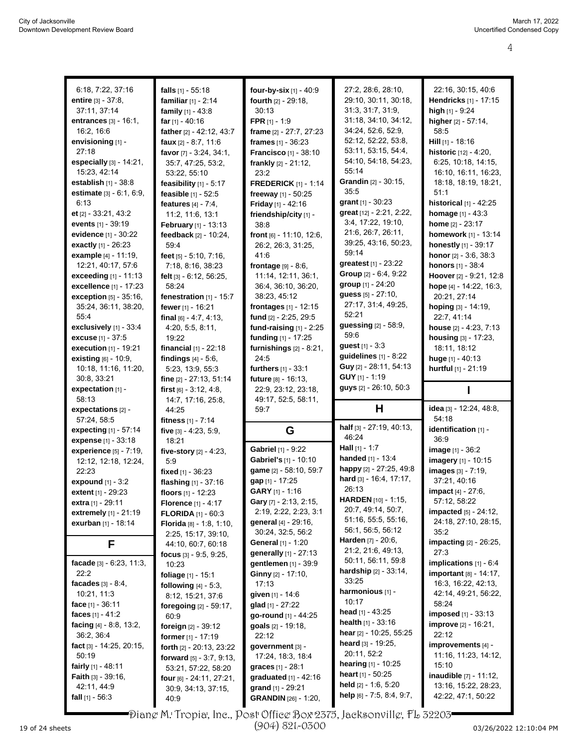| 6:18, 7:22, 37:16                                      | falls $[1] - 55:18$                               | four-by-six [1] - 40:9                           | 27:2, 28:6, 28:10,                                  | 22:16, 30:15, 40:6                         |
|--------------------------------------------------------|---------------------------------------------------|--------------------------------------------------|-----------------------------------------------------|--------------------------------------------|
| entire $[3] - 37:8$ ,                                  | familiar $[1] - 2:14$                             | fourth [2] - 29:18.                              | 29:10, 30:11, 30:18,                                | Hendricks [1] - 17:15                      |
| 37:11, 37:14                                           | family [1] - 43:8                                 | 30:13                                            | 31:3, 31:7, 31:9,                                   | high [1] - 9:24                            |
| entrances $[3] - 16:1$ ,                               | far [1] - 40:16                                   | <b>FPR</b> $[1] - 1:9$                           | 31:18, 34:10, 34:12,                                | higher [2] - 57:14,                        |
| 16:2, 16:6                                             | father [2] - 42:12, 43:7                          | frame [2] - 27:7, 27:23                          | 34:24, 52:6, 52:9,                                  | 58.5                                       |
| envisioning [1] -                                      | faux $[2] - 8.7, 11.6$                            | frames $[1] - 36:23$                             | 52:12, 52:22, 53:8,                                 | $Hill$ [1] - 18:16                         |
| 27:18                                                  | favor [7] - 3:24, 34:1,                           | <b>Francisco</b> [1] - 38:10                     | 53:11, 53:15, 54:4,                                 | historic [12] - 4:20,                      |
| especially $[3] - 14:21$ ,                             | 35:7, 47:25, 53:2,                                | frankly [2] - 21:12,                             | 54:10, 54:18, 54:23,                                | 6:25, 10:18, 14:15,                        |
| 15:23, 42:14                                           | 53:22, 55:10                                      | 23:2                                             | 55:14                                               | 16:10, 16:11, 16:23,                       |
| establish [1] - 38:8                                   | feasibility [1] - 5:17                            | <b>FREDERICK [1] - 1:14</b>                      | Grandin [2] - 30:15,                                | 18:18, 18:19, 18:21,                       |
| estimate [3] - 6:1, 6:9,                               | feasible [1] - 52:5                               | freeway [1] - 50:25                              | 35.5                                                | 51:1                                       |
| 6:13                                                   | features $[4] - 7:4$ ,                            | <b>Friday</b> [1] - 42:16                        | grant [1] - 30:23                                   | historical $[1]$ - 42:25                   |
| et $[2] - 33.21, 43.2$                                 | 11:2, 11:6, 13:1                                  | friendship/city [1] -                            | great [12] - 2:21, 2:22,                            | <b>homage</b> $[1] - 43.3$                 |
| events $[1] - 39.19$                                   | February [1] - 13:13                              | 38:8                                             | 3:4, 17:22, 19:10,                                  | home $[2] - 23:17$                         |
| evidence $[1] - 30:22$                                 | feedback $[2] - 10:24$ ,                          | front [6] - 11:10, 12:6,                         | 21:6, 26:7, 26:11,                                  | homework [1] - 13:14                       |
| <b>exactly</b> $[1] - 26:23$                           | 59:4                                              | 26:2, 26:3, 31:25,                               | 39:25, 43:16, 50:23,                                | honestly [1] - 39:17                       |
| example [4] - 11:19,                                   | feet [5] - 5:10, 7:16,                            | 41:6                                             | 59:14                                               | <b>honor</b> $[2] - 3.6, 38.3$             |
| 12:21, 40:17, 57:6                                     | 7:18, 8:16, 38:23                                 | frontage $[9] - 8.6$ ,                           | <b>greatest</b> $[1] - 23:22$                       | honors [1] - 38:4                          |
| <b>exceeding</b> $[1] - 11:13$                         | felt [3] - 6:12, 56:25,                           | 11:14, 12:11, 36:1,                              | Group [2] - 6:4, 9:22                               | Hoover [2] - 9:21, 12:8                    |
| <b>excellence</b> $[1] - 17:23$                        | 58:24                                             | 36:4, 36:10, 36:20,                              | group [1] - 24:20                                   | hope [4] - 14.22, 16:3,                    |
| <b>exception</b> $[5] - 35.16$ ,                       | fenestration [1] - 15:7                           | 38:23, 45:12                                     | guess [5] - 27:10,<br>27:17, 31:4, 49:25,           | 20:21, 27:14                               |
| 35:24, 36:11, 38:20,                                   | fewer [1] - 16:21                                 | frontages [1] - 12:15                            | 52:21                                               | hoping [3] - 14:19,                        |
| 55:4                                                   | final $[6] - 4.7, 4.13$ ,                         | fund [2] - 2:25, 29:5                            | guessing [2] - 58:9,                                | 22:7, 41:14                                |
| exclusively $[1]$ - 33:4                               | 4:20, 5:5, 8:11,                                  | fund-raising $[1]$ - 2:25                        | 59:6                                                | house $[2] - 4:23, 7:13$                   |
| excuse [1] - 37:5                                      | 19:22                                             | funding [1] - 17:25                              | guest [1] - 3:3                                     | housing [3] - 17:23,<br>18:11, 18:12       |
| <b>execution</b> $[1] - 19:21$<br>existing [6] - 10:9, | financial $[1]$ - 22:18<br>findings $[4] - 5.6$ , | furnishings $[2] - 8:21$ ,<br>24:5               | guidelines $[1] - 8:22$                             | huge $[1] - 40:13$                         |
| 10:18, 11:16, 11:20,                                   | 5:23, 13:9, 55:3                                  | furthers [1] - 33:1                              | Guy [2] - 28:11, 54:13                              | hurtful [1] - 21:19                        |
| 30:8, 33:21                                            | fine [2] - 27:13, 51:14                           | future [8] - 16:13,                              | <b>GUY</b> $[1]$ - 1:19                             |                                            |
| expectation $[1]$ -                                    | first $[6] - 3:12, 4:8,$                          | 22:9, 23:12, 23:18,                              | guys [2] - 26:10, 50:3                              |                                            |
|                                                        |                                                   |                                                  |                                                     |                                            |
| 58:13                                                  | 14:7, 17:16, 25:8,                                |                                                  |                                                     |                                            |
| expectations [2] -                                     | 44:25                                             | 49:17, 52:5, 58:11,<br>59:7                      | н                                                   | idea [3] - 12:24, 48:8,                    |
| 57:24, 58:5                                            | fitness [1] - 7:14                                |                                                  |                                                     | 54:18                                      |
| expecting [1] - 57:14                                  | five [3] - 4:23, 5:9,                             | G                                                | half [3] - 27:19, 40:13,                            | identification [1] -                       |
| expense [1] - 33:18                                    | 18:21                                             |                                                  | 46:24                                               | 36.9                                       |
| experience $[5]$ - $7:19$ ,                            | five-story [2] - 4:23,                            | <b>Gabriel</b> [1] - 9:22                        | <b>Hall</b> $[1] - 1:7$                             | image [1] - 36:2                           |
| 12:12, 12:18, 12:24,                                   | 5.9                                               | Gabriel's [1] - 10:10                            | <b>handed</b> $[1]$ - 13:4                          | imagery [1] - 10:15                        |
| 22:23                                                  | fixed [1] - 36:23                                 | game [2] - 58:10, 59:7                           | happy [2] - 27:25, 49:8                             | images [3] - 7:19,                         |
| expound [1] - 3:2                                      | flashing [1] - 37:16                              | gap [1] - 17:25                                  | hard [3] - 16:4, 17:17,                             | 37:21, 40:16                               |
| extent [1] - 29:23                                     | floors [1] - 12:23                                | GARY [1] - 1:16                                  | 26:13                                               | impact [4] - 27:6,                         |
| extra [1] - 29:11                                      | Florence [1] - 4:17                               | Gary [7] - 2:13, 2:15,                           | <b>HARDEN</b> $[10] - 1.15$ ,<br>20:7, 49:14, 50:7, | 57:12, 58:22                               |
| extremely [1] - 21:19                                  | <b>FLORIDA</b> $[1] - 60:3$                       | 2:19, 2:22, 2:23, 3:1                            | 51:16, 55:5, 55:16,                                 | impacted [5] - 24:12,                      |
| exurban [1] - 18:14                                    | <b>Florida</b> $[8] - 1.8, 1.10,$                 | general [4] - 29:16,                             | 56:1, 56:5, 56:12                                   | 24:18, 27:10, 28:15,<br>35:2               |
|                                                        | 2:25, 15:17, 39:10,                               | 30:24, 32:5, 56:2<br>General [1] - 1:20          | <b>Harden</b> [7] - 20:6,                           |                                            |
| F                                                      | 44:10, 60:7, 60:18                                | generally [1] - 27:13                            | 21.2, 21.6, 49.13,                                  | impacting [2] - 26:25,<br>27:3             |
| facade $[3] - 6:23, 11:3,$                             | focus $[3] - 9.5, 9.25,$                          | gentlemen [1] - 39:9                             | 50:11, 56:11, 59:8                                  | implications $[1] - 6.4$                   |
| 22:2                                                   | 10:23                                             | Ginny [2] - 17:10,                               | <b>hardship</b> $[2] - 33.14$ ,                     | important [8] - 14:17,                     |
| facades $[3] - 8.4$ ,                                  | foliage [1] - 15:1                                | 17:13                                            | 33:25                                               | 16:3, 16:22, 42:13,                        |
| 10:21, 11:3                                            | following $[4] - 5:3$ ,                           | given [1] - 14:6                                 | harmonious [1] -                                    | 42:14, 49:21, 56:22,                       |
| face $[1] - 36:11$                                     | 8:12, 15:21, 37:6<br>foregoing [2] - 59:17,       | glad [1] - 27:22                                 | 10:17                                               | 58:24                                      |
| faces $[1] - 41.2$                                     | 60.9                                              | go-round [1] - 44:25                             | head $[1] - 43:25$                                  | imposed [1] - 33:13                        |
| facing $[4] - 8.8, 13.2,$                              | foreign [2] - 39:12                               | <b>goals</b> $[2] - 19:18$                       | <b>health</b> $[1] - 33.16$                         | <b>improve</b> [2] - 16:21,                |
| 36:2, 36:4                                             | <b>former</b> $[1] - 17:19$                       | 22:12                                            | <b>hear</b> $[2]$ - 10:25, 55:25                    | 22:12                                      |
| fact $[3] - 14.25, 20.15,$                             | forth [2] - 20:13, 23:22                          | government [3] -                                 | heard [3] - 19:25,                                  | improvements [4] -                         |
| 50:19                                                  | <b>forward</b> $[5] - 3:7, 9:13,$                 | 17:24, 18:3, 18:4                                | 20:11, 52:2                                         | 11:16, 11:23, 14:12,                       |
| fairly $[1] - 48:11$                                   | 53:21, 57:22, 58:20                               | <b>graces</b> $[1] - 28.1$                       | <b>hearing</b> $[1]$ - 10:25                        | 15:10                                      |
| <b>Faith</b> $[3] - 39:16$ ,                           | four [6] - 24:11, 27:21,                          | <b>graduated</b> $[1] - 42:16$                   | <b>heart</b> $[1]$ - 50:25                          | <b>inaudible</b> [7] - 11:12,              |
| 42:11, 44:9<br>fall $[1] - 56:3$                       | 30:9, 34:13, 37:15,<br>40.9                       | grand [1] - 29:21<br><b>GRANDIN</b> [26] - 1:20, | held $[2] - 1.6, 5.20$<br>help [6] - 7:5, 8:4, 9:7, | 13:16, 15:22, 28:23,<br>42:22, 47:1, 50:22 |

Diane M. Tropia, Inc., Post Office Box 2375, Jacksonville, FL 32203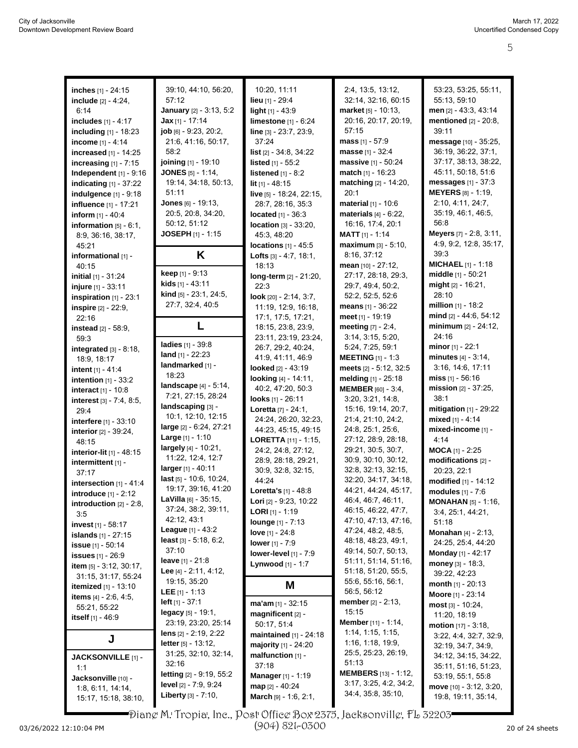| inches [1] - 24:15                        | 39:10, 44:10, 56:20,            | 10:20, 11:11                             | 2:4, 13:5, 13:12,              | 53:23, 53:25, 55:11,                           |
|-------------------------------------------|---------------------------------|------------------------------------------|--------------------------------|------------------------------------------------|
|                                           |                                 |                                          |                                |                                                |
| include $[2] - 4:24$ ,                    | 57:12                           | lieu [1] - 29:4                          | 32:14, 32:16, 60:15            | 55:13, 59:10                                   |
| 6:14                                      | January [2] - 3:13, 5:2         | light $[1] - 43.9$                       | market [5] - 10:13,            | men [2] - 43.3, 43:14                          |
| includes [1] - 4:17                       | Jax [1] - 17:14                 | limestone [1] - 6:24                     | 20:16, 20:17, 20:19,           | mentioned [2] - 20:8,                          |
| <b>including</b> $[1] - 18:23$            | job [6] - 9:23, 20:2.           | line [3] - 23:7, 23:9,                   | 57:15                          | 39:11                                          |
| income [1] - 4:14                         | 21:6, 41:16, 50:17,             | 37:24                                    | <b>mass</b> $[1] - 57.9$       | message [10] - 35:25,                          |
|                                           |                                 |                                          |                                |                                                |
| increased [1] - 14:25                     | 58:2                            | list [2] - 34:8, 34:22                   | masse [1] - 32:4               | 36:19, 36:22, 37:1,                            |
| increasing $[1]$ - $7:15$                 | joining [1] - 19:10             | listed [1] - 55:2                        | massive [1] - 50:24            | 37:17, 38:13, 38:22,                           |
| Independent $[1]$ - $9:16$                | <b>JONES</b> [5] - 1:14,        | listened $[1] - 8.2$                     | <b>match</b> $[1] - 16:23$     | 45:11, 50:18, 51:6                             |
| indicating $[1]$ - 37:22                  | 19:14, 34:18, 50:13,            | $lit$ <sub>[1]</sub> - 48:15             | matching $[2] - 14:20$ ,       | messages $[1] - 37.3$                          |
| indulgence $[1]$ - $9:18$                 | 51:11                           | live [5] - 18:24, 22:15,                 | 20:1                           | <b>MEYERS</b> [8] - 1:19,                      |
| influence [1] - 17:21                     | Jones [6] - 19:13,              | 28:7, 28:16, 35:3                        | material [1] - 10:6            | 2:10, 4:11, 24:7,                              |
|                                           | 20:5, 20:8, 34:20,              | located [1] - 36:3                       | materials $[4] - 6:22$ ,       | 35:19, 46:1, 46:5,                             |
| <b>inform</b> $[1] - 40.4$                |                                 |                                          |                                |                                                |
| information $[5] - 6:1$ ,                 | 50:12, 51:12                    | <b>location</b> $[3] - 33:20$ ,          | 16:16, 17:4, 20:1              | 56:8                                           |
| 8.9, 36.16, 38.17,                        | <b>JOSEPH</b> [1] - 1:15        | 45:3, 48:20                              | <b>MATT</b> $[1] - 1:14$       | Meyers [7] - 2:8, 3:11,                        |
| 45.21                                     |                                 | <b>locations</b> $[1] - 45.5$            | maximum [3] - 5:10,            | 4:9, 9:2, 12:8, 35:17,                         |
| informational [1] -                       | K                               | <b>Lofts</b> $[3] - 4.7, 18.1,$          | 8:16, 37:12                    | 39:3                                           |
| 40:15                                     |                                 | 18:13                                    | mean [10] - 27:12,             | <b>MICHAEL</b> $[1] - 1.18$                    |
|                                           | keep [1] - 9:13                 |                                          | 27:17, 28:18, 29:3,            | middle [1] - 50:21                             |
| initial [1] - 31:24                       | kids [1] - 43:11                | long-term [2] - 21:20,                   |                                | $mid_{[2]}$ - 16:21,                           |
| injure [1] - 33:11                        | <b>kind</b> $[5]$ - 23:1, 24:5, | 22:3                                     | 29:7, 49:4, 50:2,              |                                                |
| inspiration [1] - 23:1                    |                                 | look [20] - 2:14, 3:7,                   | 52:2, 52:5, 52:6               | 28:10                                          |
| inspire [2] - 22:9,                       | 27:7, 32:4, 40:5                | 11:19, 12:9, 16:18,                      | means [1] - 36:22              | <b>million</b> $[1]$ - 18:2                    |
| 22:16                                     |                                 | 17:1, 17:5, 17:21,                       | meet [1] - 19:19               | mind [2] - 44:6, 54:12                         |
| instead [2] - 58:9,                       | L                               | 18:15, 23:8, 23:9,                       | <b>meeting</b> $[7] - 2:4$ ,   | minimum [2] - 24:12,                           |
| 59.3                                      |                                 | 23:11, 23:19, 23:24,                     | 3:14, 3:15, 5:20,              | 24:16                                          |
|                                           | ladies [1] - 39:8               | 26:7, 29:2, 40:24,                       | 5:24, 7:25, 59:1               | <b>minor</b> [1] - 22:1                        |
| integrated $[3] - 8:18$ ,                 | land $[1] - 22:23$              |                                          |                                |                                                |
| 18:9, 18:17                               | landmarked [1] -                | 41:9, 41:11, 46:9                        | <b>MEETING</b> $[1] - 1:3$     | <b>minutes</b> $[4] - 3:14$ ,                  |
| intent $[1] - 41.4$                       |                                 | looked [2] - 43:19                       | meets [2] - 5:12, 32:5         | 3:16, 14:6, 17:11                              |
| intention [1] - 33:2                      | 18:23                           | looking [4] - 14:11,                     | melding [1] - 25:18            | miss $[1] - 56:16$                             |
| interact [1] - 10:8                       | landscape [4] - 5:14,           | 40:2, 47:20, 50:3                        | <b>MEMBER</b> [60] - 3:4,      | mission [2] - 37:25,                           |
|                                           | 7:21, 27:15, 28:24              |                                          |                                |                                                |
|                                           |                                 |                                          |                                |                                                |
| interest [3] - 7:4, 8:5,                  |                                 | looks [1] - 26:11                        | 3:20, 3:21, 14:8,              | 38:1                                           |
| 29:4                                      | landscaping [3] -               | Loretta [7] - 24:1,                      | 15:16, 19:14, 20:7,            | mitigation [1] - 29:22                         |
| interfere [1] - 33:10                     | 10:1, 12:10, 12:15              | 24:24, 26:20, 32:23,                     | 21:4, 21:10, 24:2,             | mixed $[1] - 4:14$                             |
| interior [2] - 39:24,                     | large [2] - 6:24, 27:21         | 44:23, 45:15, 49:15                      | 24:8, 25:1, 25:6,              | mixed-income [1] -                             |
| 48:15                                     | <b>Large</b> $[1] - 1:10$       | LORETTA [11] - 1:15,                     | 27:12, 28:9, 28:18,            | 4:14                                           |
|                                           | largely [4] - 10:21,            | 24:2, 24:8, 27:12,                       | 29:21, 30:5, 30:7,             | $MOCA$ [1] - 2:25                              |
| interior-lit [1] - 48:15                  | 11:22, 12:4, 12:7               |                                          | 30.9, 30.10, 30:12,            |                                                |
| intermittent [1] -                        | larger [1] - 40:11              | 28.9, 28.18, 29:21,                      |                                | modifications [2] -                            |
| 37:17                                     |                                 | 30.9, 32:8, 32:15,                       | 32:8, 32:13, 32:15,            | 20:23, 22:1                                    |
| intersection $[1] - 41.4$                 | last [5] - 10:6, 10:24,         | 44:24                                    | 32:20, 34:17, 34:18,           | modified [1] - 14:12                           |
| <b>introduce</b> $[1] - 2:12$             | 19:17, 39:16, 41:20             | <b>Loretta's</b> $[1] - 48.8$            | 44:21, 44:24, 45:17,           | modules [1] - 7:6                              |
| introduction $[2] - 2.8$ ,                | <b>LaVilla</b> $[6]$ - 35:15,   | <b>Lori</b> $[2] - 9:23, 10:22$          | 46:4, 46:7, 46:11,             | <b>MONAHAN</b> [5] - 1:16,                     |
| 3:5                                       | 37:24, 38:2, 39:11,             | <b>LORI</b> $[1]$ - 1:19                 | 46:15, 46:22, 47:7,            | 3:4, 25:1, 44:21,                              |
|                                           | 42:12, 43:1                     | <b>lounge</b> [1] - 7:13                 | 47:10, 47:13, 47:16,           | 51:18                                          |
| <b>invest</b> $[1]$ - 58:17               | <b>League</b> $[1] - 43.2$      |                                          | 47:24, 48:2, 48:5,             |                                                |
| <b>islands</b> $[1] - 27:15$              | least $[3] - 5.18, 6.2,$        | love $[1] - 24.8$                        | 48:18, 48:23, 49:1,            | <b>Monahan</b> [4] - 2:13,                     |
| <b>issue</b> $[1] - 50:14$                | 37:10                           | lower [1] - 7:9                          |                                | 24:25, 25:4, 44:20                             |
| issues [1] - 26:9                         |                                 | lower-level [1] - 7:9                    | 49:14, 50:7, 50:13,            | <b>Monday</b> [1] - 42:17                      |
| <b>item</b> $[5] - 3:12, 30:17,$          | leave $[1] - 21.8$              | Lynwood [1] - 1:7                        | 51:11, 51:14, 51:16,           | money $[3] - 18:3$ ,                           |
| 31:15, 31:17, 55:24                       | Lee $[4] - 2:11, 4:12,$         |                                          | 51:18, 51:20, 55:5,            | 39:22, 42:23                                   |
|                                           | 19:15, 35:20                    |                                          | 55:6, 55:16, 56:1,             | <b>month</b> $[1] - 20:13$                     |
| itemized [1] - 13:10                      | <b>LEE</b> $[1]$ - 1:13         | Μ                                        | 56:5, 56:12                    |                                                |
| <b>items</b> $[4] - 2.6, 4.5,$            | left [1] - 37:1                 | $ma'am [1] - 32:15$                      | <b>member</b> $[2] - 2:13$ ,   | Moore [1] - 23:14                              |
| 55:21, 55:22                              | legacy $[5] - 19.1$ ,           |                                          | 15:15                          | $most$ [3] - 10:24,                            |
| itself [1] - 46:9                         |                                 | magnificent [2] -                        | Member [11] - 1:14,            | 11:20, 18:19                                   |
|                                           | 23:19, 23:20, 25:14             | 50:17, 51:4                              |                                | <b>motion</b> $[17] - 3:18$ ,                  |
|                                           | lens $[2] - 2.19, 2.22$         | maintained [1] - 24:18                   | 1:14, 1:15, 1:15,              | 3:22, 4:4, 32:7, 32:9,                         |
| J                                         | letter $[5] - 13:12$ ,          | majority $[1] - 24:20$                   | 1:16, 1:18, 19:9,              | 32:19, 34:7, 34:9,                             |
| <b>JACKSONVILLE</b> [1] -                 | 31:25, 32:10, 32:14,            | malfunction $[1]$ -                      | 25:5, 25:23, 26:19,            | 34:12, 34:15, 34:22,                           |
| 1:1                                       | 32:16                           | 37:18                                    | 51:13                          | 35:11, 51:16, 51:23,                           |
|                                           | letting [2] - 9:19, 55:2        | <b>Manager</b> [1] - 1:19                | <b>MEMBERS</b> $[13] - 1:12$ , |                                                |
| Jacksonville [10] -                       | level [2] - 7:9, 9:24           |                                          | 3:17, 3:25, 4:2, 34:2,         | 53:19, 55:1, 55:8                              |
| 1:8, 6:11, 14:14,<br>15:17, 15:18, 38:10, | <b>Liberty</b> $[3] - 7:10$ ,   | map [2] - 40:24<br>March [9] - 1:6, 2:1, | 34.4, 35.8, 35.10,             | move [10] - 3:12, 3:20,<br>19:8, 19:11, 35:14, |

Diane M. Tropia, Inc., Post Office Box 2375, Jacksonville, FL 32203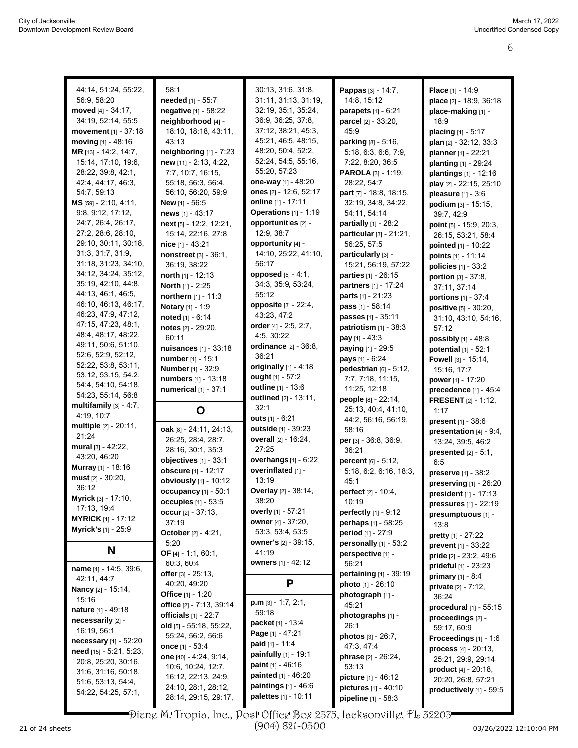| 44:14, 51:24, 55:22,<br>56:9, 58:20<br>moved [4] - 34:17.<br>34:19, 52:14, 55:5<br><b>movement</b> $[1]$ - 37:18<br>moving $[1] - 48:16$<br>MR [13] - 14:2, 14:7,<br>15:14, 17:10, 19:6, | 58:1<br>needed [1] - 55:7<br>negative [1] - 58:22<br>neighborhood [4] -<br>18:10, 18:18, 43:11,<br>43:13<br>neighboring [1] - 7:23<br>new [11] - 2:13, 4:22,                                   | 30:13, 31:6, 31:8,<br>31:11, 31:13, 31:19,<br>32:19, 35:1, 35:24,<br>36:9, 36:25, 37:8,<br>37:12, 38:21, 45:3,<br>45.21, 46:5, 48:15,<br>48:20, 50:4, 52:2,<br>52:24, 54:5, 55:16, | Pappas [3] - 14:7,<br>14:8, 15:12<br>parapets [1] - 6:21<br>parcel [2] - 33:20,<br>45.9<br>parking [8] - 5:16,<br>5:18, 6:3, 6:6, 7:9,<br>7:22, 8:20, 36:5     | Place [1] - 14:9<br>place [2] - 18:9, 36:18<br>place-making [1] -<br>18:9<br>placing [1] - 5:17<br>plan [2] - 32:12, 33:3<br>planner [1] - 22:21<br>planting [1] - 29:24 |
|------------------------------------------------------------------------------------------------------------------------------------------------------------------------------------------|------------------------------------------------------------------------------------------------------------------------------------------------------------------------------------------------|------------------------------------------------------------------------------------------------------------------------------------------------------------------------------------|----------------------------------------------------------------------------------------------------------------------------------------------------------------|--------------------------------------------------------------------------------------------------------------------------------------------------------------------------|
| 28:22, 39:8, 42:1,<br>42:4, 44:17, 46:3,<br>54:7, 59:13<br>MS [59] - 2:10, 4:11,<br>9.8, 9.12, 17:12,<br>24:7, 26:4, 26:17,                                                              | 7:7, 10:7, 16:15,<br>55:18, 56:3, 56:4,<br>56:10, 56:20, 59:9<br>New [1] - 56:5<br>news [1] - 43:17<br>$next$ [5] - 12:2, 12:21,                                                               | 55:20, 57:23<br>one-way [1] - 48:20<br>ones [2] - 12:6, 52:17<br>online [1] - 17:11<br>Operations [1] - 1:19<br>opportunities [2] -                                                | PAROLA [3] - 1:19,<br>28:22, 54:7<br>part [7] - 18:8, 18:15,<br>32:19, 34:8, 34:22,<br>54:11, 54:14<br>partially [1] - 28:2                                    | plantings [1] - 12:16<br>play [2] - 22:15, 25:10<br>pleasure $[1] - 3.6$<br>podium [3] - 15:15,<br>39:7, 42:9<br>point [5] - 15:9, 20:3,                                 |
| 27:2, 28:6, 28:10,<br>29:10, 30:11, 30:18,<br>31:3, 31:7, 31:9,<br>31:18, 31:23, 34:10,<br>34:12, 34:24, 35:12,<br>35:19, 42:10, 44:8,<br>44:13, 46:1, 46:5,                             | 15:14, 22:16, 27:8<br>nice [1] - 43:21<br>nonstreet [3] - 36:1,<br>36:19, 38:22<br>north [1] - 12:13<br><b>North</b> [1] - 2:25<br>northern [1] - 11:3                                         | 12:9, 38:7<br>opportunity [4] -<br>14:10, 25:22, 41:10,<br>56:17<br>opposed [5] - 4:1,<br>34:3, 35:9, 53:24,<br>55:12                                                              | particular [3] - 21:21,<br>56:25, 57:5<br>particularly [3] -<br>15:21, 56:19, 57:22<br><b>parties</b> [1] - 26:15<br>partners [1] - 17:24<br>parts [1] - 21:23 | 26:15, 53:21, 58:4<br>pointed [1] - 10:22<br>points [1] - 11:14<br>policies $[1] - 33:2$<br><b>portion</b> $[3] - 37:8$ ,<br>37:11, 37:14<br>portions [1] - 37:4         |
| 46:10, 46:13, 46:17,<br>46:23, 47:9, 47:12,<br>47:15, 47:23, 48:1,<br>48:4, 48:17, 48:22,<br>49:11, 50:6, 51:10,<br>52.6, 52.9, 52.12,                                                   | Notary [1] - 1:9<br>noted $[1] - 6:14$<br>notes [2] - 29:20,<br>60:11<br>nuisances [1] - 33:18<br>number [1] - 15:1                                                                            | opposite [3] - 22:4,<br>43:23, 47:2<br>order $[4] - 2:5, 2:7,$<br>4:5, 30:22<br>ordinance [2] - 36:8,<br>36:21                                                                     | pass [1] - 58:14<br>passes [1] - 35:11<br>patriotism $[1]$ - 38:3<br>pay [1] - 43:3<br>paying [1] - 29:5<br>pays [1] - 6:24                                    | positive [5] - 30:20,<br>31:10, 43:10, 54:16,<br>57:12<br>possibly [1] - 48:8<br>potential [1] - 52:1<br>Powell [3] - 15:14,                                             |
| 52:22, 53:8, 53:11,<br>53:12, 53:15, 54:2,<br>54:4, 54:10, 54:18,<br>54:23, 55:14, 56:8                                                                                                  | <b>Number</b> [1] - 32:9<br>numbers [1] - 13:18<br>numerical [1] - 37:1                                                                                                                        | originally [1] - 4:18<br>ought [1] - 57:2<br>outline [1] - 13:6                                                                                                                    | pedestrian $[6] - 5:12$ ,<br>7:7, 7:18, 11:15,<br>11:25, 12:18                                                                                                 | 15:16, 17:7<br>power [1] - 17:20<br>precedence [1] - 45:4                                                                                                                |
| multifamily $[3] - 4.7$ ,<br>4:19, 10:7                                                                                                                                                  | O                                                                                                                                                                                              | outlined [2] - 13:11,<br>32:1<br><b>outs</b> $[1] - 6:21$                                                                                                                          | people [8] - 22:14,<br>25:13, 40:4, 41:10,<br>44:2, 56:16, 56:19,                                                                                              | <b>PRESENT</b> [2] - 1:12,<br>1:17<br>present [1] - 38:6                                                                                                                 |
| multiple [2] - 20:11,<br>21:24<br>mural [3] - 42:22,<br>43.20, 46.20<br>Murray [1] - 18:16<br>must $[2] - 30:20$ ,<br>36:12                                                              | oak [8] - 24:11, 24:13,<br>26:25, 28:4, 28:7,<br>28:16, 30:1, 35:3<br>objectives $[1]$ - $33:1$<br>obscure [1] - 12:17<br>obviously [1] - 10:12                                                | outside [1] - 39:23<br>overall [2] - 16:24,<br>27:25<br>overhangs [1] - 6:22<br>overinflated [1] -<br>13:19                                                                        | 58:16<br><b>per</b> $[3]$ - 36:8, 36:9,<br>36:21<br><b>percent</b> $[6] - 5:12$ ,<br>5:18, 6.2, 6:16, 18:3,<br>45:1                                            | presentation [4] - 9:4,<br>13:24, 39:5, 46:2<br><b>presented</b> $[2] - 5:1$ ,<br>6:5<br>preserve [1] - 38:2<br>preserving [1] - 26:20                                   |
| Myrick [3] - 17:10,<br>17:13, 19:4<br><b>MYRICK</b> [1] - 17:12<br><b>Myrick's [1] - 25:9</b><br>N                                                                                       | occupancy [1] - 50:1<br><b>occupies</b> [1] - 53:5<br>occur $[2] - 37:13$ ,<br>37:19<br>October [2] - 4:21,<br>5:20                                                                            | Overlay [2] - 38:14,<br>38:20<br>overly [1] - 57:21<br>owner [4] - 37:20,<br>53.3, 53.4, 53.5<br><b>owner's</b> [2] - 39:15,<br>41:19                                              | perfect [2] - 10:4,<br>10:19<br><b>perfectly</b> $[1] - 9.12$<br>perhaps [1] - 58:25<br>period [1] - 27:9<br>personally [1] - 53:2                             | president [1] - 17:13<br>pressures [1] - 22:19<br>presumptuous [1] -<br>13:8<br><b>pretty</b> $[1] - 27:22$<br>prevent [1] - 33:22                                       |
| name [4] - 14:5, 39:6,<br>42:11, 44:7<br>Nancy [2] - 15:14,<br>15:16                                                                                                                     | OF $[4] - 1:1, 60:1,$<br>60:3, 60:4<br>offer [3] - 25:13,<br>40:20, 49:20<br>Office [1] - 1:20                                                                                                 | <b>owners</b> [1] - 42:12<br>P<br>$p.m$ [3] - 1:7, 2:1,                                                                                                                            | perspective [1] -<br>56:21<br>pertaining [1] - 39:19<br><b>photo</b> [1] - 26:10<br>photograph [1] -                                                           | pride [2] - 23.2, 49:6<br>prideful $[1]$ - 23:23<br><b>primary</b> $[1] - 8.4$<br><b>private</b> $[2] - 7:12$ ,<br>36:24                                                 |
| <b>nature</b> [1] - 49:18<br>necessarily [2] -<br>16:19, 56:1<br><b>necessary</b> $[1] - 52:20$<br>need [15] - 5:21, 5:23,<br>20:8, 25:20, 30:16,<br>31.6, 31.16, 50.18,                 | office [2] - 7:13, 39:14<br>officials $[1] - 22:7$<br>old $[5] - 55:18, 55:22,$<br>55:24, 56:2, 56:6<br>once [1] - 53:4<br>one [40] - 4:24, 9:14,<br>10:6, 10:24, 12:7,<br>16:12, 22:13, 24:9, | 59:18<br><b>packet</b> [1] - 13:4<br>Page $[1] - 47:21$<br>paid [1] - 11:4<br>painfully [1] - 19:1<br><b>paint</b> $[1] - 46.16$<br><b>painted</b> $[1] - 46:20$                   | 45:21<br>photographs [1] -<br>26:1<br>photos [3] - 26:7,<br>47:3, 47:4<br><b>phrase</b> $[2] - 26:24$ ,<br>53:13                                               | procedural [1] - 55:15<br>proceedings [2] -<br>59:17, 60:9<br>Proceedings [1] - 1:6<br>process [4] - 20:13,<br>25:21, 29:9, 29:14<br>product $[4] - 20:18$ ,             |

Diane M. Tropia, Inc., Post Office Box 2375, Jacksonville, FL 32203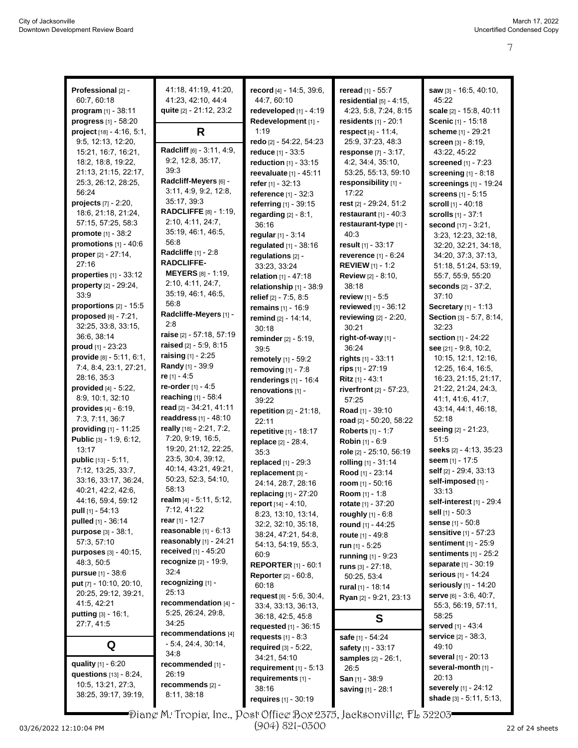| Professional [2] -                            | 41:18, 41:19, 41:20,                                                 | record [4] - 14:5, 39:6,        | reread [1] - 55:7                           | saw [3] - 16:5, 40:10,                     |
|-----------------------------------------------|----------------------------------------------------------------------|---------------------------------|---------------------------------------------|--------------------------------------------|
| 60:7, 60:18                                   | 41:23, 42:10, 44:4                                                   | 44:7, 60:10                     | residential $[5] - 4:15$ ,                  | 45:22                                      |
| program $[1]$ - 38:11                         | quite [2] - 21:12, 23:2                                              | redeveloped [1] - 4:19          | 4:23, 5:8, 7:24, 8:15                       | scale [2] - 15:8, 40:11                    |
| progress [1] - 58:20                          |                                                                      | Redevelopment [1] -             | residents $[1]$ - 20:1                      | Scenic [1] - 15:18                         |
| project $[18] - 4.16, 5.1$ ,                  | R                                                                    | 1:19                            | respect $[4] - 11.4$ ,                      | scheme [1] - 29:21                         |
| 9.5, 12:13, 12:20,                            |                                                                      | redo [2] - 54:22, 54:23         | 25:9, 37:23, 48:3                           | <b>screen</b> [3] - 8:19,                  |
| 15:21, 16:7, 16:21,                           | Radcliff [6] - 3:11, 4:9,                                            | reduce [1] - 33:5               | response [7] - 3:17,                        | 43:22, 45:22                               |
| 18:2, 18:8, 19:22,                            | 9:2, 12:8, 35:17,                                                    | reduction [1] - 33:15           | 4:2, 34:4, 35:10,                           | <b>screened</b> [1] - 7:23                 |
| 21:13, 21:15, 22:17,                          | 39:3                                                                 | reevaluate [1] - 45:11          | 53:25, 55:13, 59:10                         | screening [1] - 8:18                       |
| 25:3, 26:12, 28:25,                           | Radcliff-Meyers [6] -                                                | refer [1] - 32:13               | responsibility [1] -                        | screenings [1] - 19:24                     |
| 56:24                                         | 3:11, 4:9, 9:2, 12:8,                                                | reference [1] - 32:3            | 17:22                                       | <b>screens</b> [1] - 5:15                  |
| <b>projects</b> $[7] - 2:20$ ,                | 35:17, 39.3                                                          | referring [1] - 39:15           | rest [2] - 29:24, 51:2                      | <b>scroll</b> $[1]$ - 40:18                |
| 18:6, 21:18, 21:24,                           | <b>RADCLIFFE</b> [8] - 1:19,                                         | regarding $[2] - 8.1$ ,         | <b>restaurant</b> $[1] - 40:3$              | scrolls [1] - 37:1                         |
| 57:15, 57:25, 58:3                            | 2:10, 4:11, 24:7,                                                    | 36:16                           | restaurant-type [1] -                       | second [17] - 3:21,                        |
| promote [1] - 38:2                            | 35:19, 46:1, 46:5,                                                   | regular $[1] - 3:14$            | 40:3                                        | 3:23, 12:23, 32:18,                        |
| promotions $[1] - 40:6$                       | 56:8                                                                 | regulated [1] - 38:16           | result [1] - 33:17                          | 32:20, 32:21, 34:18,                       |
| proper [2] - 27:14,                           | <b>Radcliffe</b> [1] - 2:8                                           | requlations [2] -               | reverence [1] - 6:24                        | 34:20, 37:3, 37:13,                        |
| 27:16                                         | <b>RADCLIFFE-</b>                                                    | 33:23, 33:24                    | <b>REVIEW</b> $[1] - 1.2$                   | 51:18, 51:24, 53:19,                       |
| properties $[1]$ - 33:12                      | <b>MEYERS</b> [8] - 1:19,                                            | relation [1] - 47:18            | <b>Review [2] - 8:10,</b>                   | 55:7, 55:9, 55:20                          |
| property [2] - 29:24,                         | 2:10, 4:11, 24:7,                                                    | relationship [1] - 38:9         | 38:18                                       | <b>seconds</b> $[2] - 37:2,$               |
| 33:9                                          | 35:19, 46:1, 46:5,<br>56:8                                           | relief $[2] - 7.5, 8.5$         | review [1] - 5:5                            | 37:10                                      |
| proportions $[2] - 15:5$                      | Radcliffe-Meyers [1] -                                               | remains [1] - 16:9              | reviewed [1] - 36:12                        | Secretary [1] - 1:13                       |
| proposed $[6]$ - $7:21$ ,                     | 2:8                                                                  | remind [2] - 14:14,             | reviewing [2] - 2:20,                       | Section [3] - 5:7, 8:14,                   |
| 32:25, 33:8, 33:15,                           | raise [2] - 57:18, 57:19                                             | 30:18                           | 30:21                                       | 32:23                                      |
| 36:6, 38:14                                   | raised [2] - 5:9, 8:15                                               | reminder [2] - 5:19,            | right-of-way [1] -                          | section [1] - 24:22                        |
| proud [1] - 23:23<br>provide [8] - 5:11, 6:1, | <b>raising</b> $[1] - 2:25$                                          | 39.5                            | 36:24                                       | see $[21] - 9.8, 10.2,$                    |
| 7:4, 8:4, 23:1, 27:21,                        | Randy [1] - 39:9                                                     | remotely [1] - 59:2             | rights $[1] - 33:11$                        | 10:15, 12:1, 12:16,                        |
| 28:16, 35:3                                   | re [1] - 4:5                                                         | removing [1] - 7:8              | rips [1] - 27:19                            | 12:25, 16:4, 16:5,<br>16:23, 21:15, 21:17, |
| provided [4] - 5:22,                          | re-order [1] - 4:5                                                   | renderings $[1]$ - 16:4         | Ritz $[1] - 43:1$                           | 21:22, 21:24, 24:3,                        |
| 8:9, 10:1, 32:10                              | reaching [1] - 58:4                                                  | renovations [1] -               | riverfront [2] - 57:23,                     | 41:1, 41:6, 41:7,                          |
| <b>provides</b> $[4] - 6.19$ ,                | read [2] - 34:21, 41:11                                              | 39:22                           | 57:25                                       | 43:14, 44:1, 46:18,                        |
| 7:3, 7:11, 36:7                               | readdress $[1] - 48:10$                                              | repetition [2] - 21:18,         | Road [1] - 39:10<br>road [2] - 50:20, 58:22 | 52:18                                      |
| providing $[1]$ - 11:25                       | really [18] - 2:21, 7:2,                                             | 22:11<br>repetitive [1] - 18:17 | Roberts [1] - 1:7                           | seeing [2] - 21:23,                        |
| Public [3] - 1:9, 6:12,                       | 7:20, 9:19, 16:5,                                                    |                                 | Robin [1] - 6:9                             | 51:5                                       |
| 13:17                                         | 19:20, 21:12, 22:25,                                                 | replace [2] - 28:4,<br>35:3     | role [2] - 25:10, 56:19                     | seeks [2] - 4:13, 35:23                    |
| <b>public</b> $[13] - 5:11$ ,                 | 23:5, 30:4, 39:12,                                                   | replaced [1] - 29:3             | rolling [1] - 31:14                         | seem [1] - 17:5                            |
| 7:12, 13:25, 33:7,                            | 40:14, 43:21, 49:21,                                                 | replacement [3] -               | Rood [1] - 23:14                            | self [2] - 29:4, 33:13                     |
| 33:16, 33:17, 36:24,                          | 50:23, 52:3, 54:10,                                                  | 24:14, 28:7, 28:16              | room $[1] - 50:16$                          | self-imposed [1] -                         |
| 40:21, 42:2, 42:6,                            | 58:13                                                                | replacing $[1] - 27:20$         | <b>Room</b> $[1] - 1:8$                     | 33:13                                      |
| 44:16, 59:4, 59:12                            | realm $[4] - 5:11, 5:12,$                                            | report [14] - 4:10,             | rotate [1] - 37:20                          | self-interest [1] - 29:4                   |
| <b>pull</b> $[1] - 54.13$                     | 7:12, 41:22                                                          | 8:23, 13:10, 13:14,             | roughly [1] - 6:8                           | sell $[1]$ - 50:3                          |
| <b>pulled</b> $[1] - 36:14$                   | rear [1] - 12:7                                                      | 32:2, 32:10, 35:18,             | round [1] - 44:25                           | <b>sense</b> [1] - 50:8                    |
| <b>purpose</b> $[3] - 38:1$ ,                 | reasonable $[1]$ - $6:13$                                            | 38:24, 47:21, 54:8,             | route $[1] - 49.8$                          | <b>sensitive</b> [1] - 57:23               |
| 57:3, 57:10                                   | reasonably $[1]$ - 24:21                                             | 54:13, 54:19, 55:3,             | run $[1] - 5:25$                            | <b>sentiment</b> $[1] - 25.9$              |
| <b>purposes</b> [3] - 40:15,                  | <b>received</b> $[1] - 45:20$                                        | 60.9                            | running [1] - 9:23                          | sentiments $[1]$ - 25:2                    |
| 48:3, 50:5                                    | recognize [2] - 19:9,                                                | <b>REPORTER</b> $[1] - 60:1$    | runs $[3] - 27:18$ ,                        | separate [1] - 30:19                       |
| <b>pursue</b> $[1] - 38.6$                    | 32:4                                                                 | <b>Reporter</b> [2] - 60:8,     | 50:25, 53:4                                 | <b>serious</b> [1] - 14:24                 |
| put [7] - 10:10, 20:10,                       | recognizing [1] -                                                    | 60:18                           | rural [1] - 18:14                           | seriously [1] - 14:20                      |
| 20:25, 29:12, 39:21,                          | 25:13                                                                | request [8] - 5.6, 30.4,        | Ryan [2] - 9:21, 23:13                      | serve [6] - 3:6, 40:7,                     |
| 41:5, 42:21                                   | recommendation [4] -                                                 | 33.4, 33.13, 36.13,             |                                             | 55:3, 56:19, 57:11,                        |
| <b>putting</b> $[3] - 16:1$ ,                 | 5:25, 26:24, 29:8,<br>34:25                                          | 36:18, 42:5, 45:8               | S                                           | 58:25                                      |
| 27:7, 41:5                                    | recommendations [4]                                                  | <b>requested</b> $[1] - 36:15$  |                                             | served [1] - 43:4                          |
|                                               | $-5.4, 24.4, 30.14,$                                                 | requests $[1] - 8.3$            | safe [1] - 54:24                            | service [2] - 38:3,                        |
| Q                                             | 34.8                                                                 | required $[3] - 5:22$ ,         | safety [1] - 33:17                          | 49:10                                      |
| quality [1] - 6:20                            | recommended [1] -                                                    | 34:21, 54:10                    | <b>samples</b> $[2] - 26:1$ ,               | <b>several</b> [1] - 20:13                 |
| questions [13] - 8:24,                        | 26:19                                                                | requirement $[1] - 5:13$        | 26:5                                        | several-month [1] -                        |
| 10.5, 13.21, 27:3,                            | recommends [2] -                                                     | requirements [1] -              | San $[1]$ - 38:9                            | 20:13<br>severely [1] - 24:12              |
| 38:25, 39:17, 39:19,                          | 8:11, 38:18                                                          | 38:16                           | saving [1] - 28:1                           | shade [3] - 5:11, 5:13,                    |
|                                               |                                                                      | requires [1] - 30:19            |                                             |                                            |
|                                               | Diang M. Tropia, Inc., Post Office Box 2375, Jacksonvillg, FL 32203= |                                 |                                             |                                            |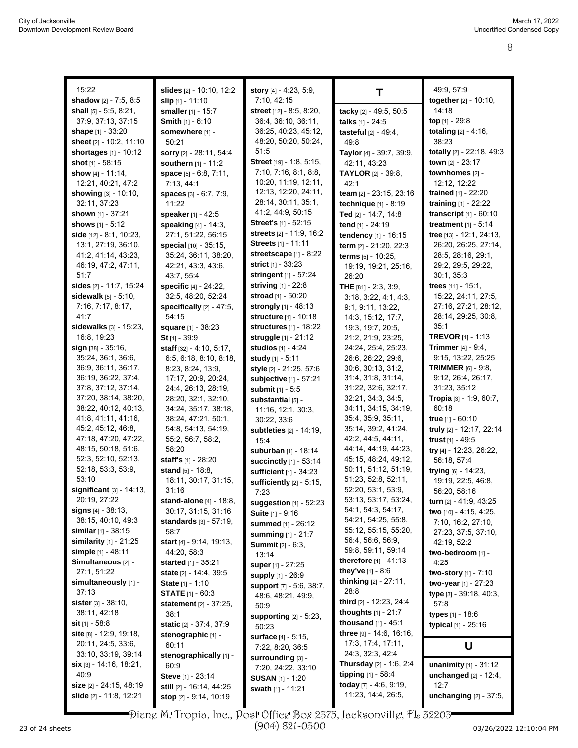| 15:22                                     | slides [2] - 10:10, 12:2                   | story [4] - 4:23, 5:9,                             | т                                         | 49:9, 57:9                        |
|-------------------------------------------|--------------------------------------------|----------------------------------------------------|-------------------------------------------|-----------------------------------|
| <b>shadow</b> $[2] - 7:5, 8:5$            | slip $[1] - 11:10$                         | 7:10, 42:15                                        |                                           | together [2] - 10:10,             |
| <b>shall</b> $[5] - 5.5, 8.21$ ,          | smaller $[1] - 15:7$                       | <b>street</b> [12] - 8:5, 8:20,                    | tacky [2] - 49:5, 50:5                    | 14:18                             |
| 37:9, 37:13, 37:15                        | <b>Smith</b> $[1] - 6:10$                  | 36.4, 36.10, 36:11,                                | talks [1] - 24:5                          | top $[1]$ - 29:8                  |
| shape $[1] - 33:20$                       | somewhere [1] -                            | 36:25, 40:23, 45:12,                               | tasteful [2] - 49:4,                      | totaling [2] - 4:16,              |
| sheet $[2] - 10:2, 11:10$                 | 50:21                                      | 48:20, 50:20, 50:24,                               | 49:8                                      | 38:23                             |
| shortages [1] - 10:12                     | sorry [2] - 28:11, 54:4                    | 51:5                                               | Taylor [4] - 39:7, 39:9,                  | totally [2] - 22:18, 49:3         |
| shot $[1] - 58:15$                        | <b>southern</b> $[1] - 11:2$               | Street [19] - 1:8, 5:15,                           | 42:11, 43:23                              | town [2] - 23:17                  |
| <b>show</b> $[4] - 11.14$ ,               | space [5] - 6:8, 7:11,                     | 7:10, 7:16, 8:1, 8:8,                              | <b>TAYLOR</b> [2] - 39:8,                 | townhomes [2] -                   |
| 12:21, 40:21, 47:2                        | 7:13, 44:1                                 | 10:20, 11:19, 12:11,                               | 42:1                                      | 12:12, 12:22                      |
| <b>showing</b> [3] - 10:10,               | spaces [3] - 6:7, 7:9,                     | 12:13, 12:20, 24:11,                               | team [2] - 23:15, 23:16                   | trained $[1] - 22:20$             |
| 32:11, 37:23                              | 11:22                                      | 28:14, 30:11, 35:1,                                | technique [1] - 8:19                      | training [1] - 22:22              |
| <b>shown</b> $[1] - 37:21$                | speaker [1] - 42:5                         | 41:2, 44:9, 50:15                                  | Ted [2] - 14:7, 14:8                      | transcript $[1] - 60:10$          |
| <b>shows</b> $[1] - 5:12$                 | speaking [4] - 14:3,                       | <b>Street's</b> [1] - 52:15                        | tend [1] - 24:19                          | treatment $[1] - 5:14$            |
| side [12] - 8:1, 10:23,                   | 27:1, 51:22, 56:15                         | streets [2] - 11.9, 16:2                           | tendency [1] - 16:15                      | tree [13] - 12:1, 24:13,          |
| 13:1, 27:19, 36:10,                       | special [10] - 35:15,                      | <b>Streets</b> [1] - 11:11                         | term [2] - 21:20, 22:3                    | 26:20, 26:25, 27:14,              |
| 41:2, 41:14, 43:23,                       | 35:24, 36:11, 38:20,                       | streetscape $[1] - 8:22$                           | terms [5] - 10:25,                        | 28.5, 28.16, 29.1,                |
| 46:19, 47:2, 47:11,                       | 42:21, 43:3, 43:6,                         | strict $[1] - 33:23$                               | 19:19, 19:21, 25:16,                      | 29:2, 29:5, 29:22,                |
| 51:7                                      | 43:7, 55:4                                 | <b>stringent</b> [1] - 57:24                       | 26:20                                     | 30:1, 35:3                        |
| sides [2] - 11:7, 15:24                   | <b>specific</b> [4] - 24:22,               | striving $[1] - 22.8$                              | THE [81] - 2:3, 3:9,                      | trees $[11] - 15:1$ ,             |
| sidewalk [5] - 5:10,                      | 32:5, 48:20, 52:24                         | stroad [1] - 50:20                                 | 3:18, 3:22, 4:1, 4:3,                     | 15:22, 24:11, 27:5,               |
| 7:16, 7:17, 8:17,<br>41:7                 | specifically $[2] - 47:5$ ,                | strongly [1] - 48:13                               | 9:1, 9:11, 13:22,                         | 27:16, 27:21, 28:12,              |
|                                           | 54:15                                      | <b>structure</b> [1] - 10:18                       | 14:3, 15:12, 17:7,                        | 28:14, 29:25, 30:8,<br>35:1       |
| sidewalks [3] - 15:23,                    | <b>square</b> [1] - 38:23                  | structures [1] - 18:22<br>struggle [1] - 21:12     | 19:3, 19:7, 20:5,                         | <b>TREVOR [1] - 1:13</b>          |
| 16:8, 19:23<br>$sign$ $[38] - 35:16$ ,    | St [1] - 39:9                              |                                                    | 21:2, 21:9, 23:25,                        | Trimmer [4] - 9:4,                |
|                                           | staff $[32] - 4.10, 5.17$ ,                | <b>studios</b> $[1] - 4.24$                        | 24:24, 25:4, 25:23,                       | 9:15, 13:22, 25:25                |
| 35:24, 36:1, 36:6,<br>36.9, 36.11, 36.17, | 6:5, 6:18, 8:10, 8:18,                     | study [1] - 5:11                                   | 26.6, 26:22, 29:6,<br>30.6, 30.13, 31.2,  | <b>TRIMMER</b> $[6] - 9.8$        |
| 36:19, 36:22, 37:4,                       | 8:23, 8:24, 13:9,                          | style [2] - 21:25, 57:6                            | 31:4, 31:8, 31:14,                        | 9:12, 26:4, 26:17,                |
| 37:8, 37:12, 37:14,                       | 17:17, 20:9, 20:24,                        | subjective [1] - 57:21                             |                                           | 31:23, 35:12                      |
| 37:20, 38:14, 38:20,                      | 24:4, 26:13, 28:19,<br>28:20, 32:1, 32:10, | submit [1] - 5:5                                   | 31:22, 32:6, 32:17,<br>32:21, 34:3, 34:5, | <b>Tropia</b> $[3] - 1.9, 60.7$ , |
| 38:22, 40:12, 40:13,                      | 34:24, 35:17, 38:18,                       | substantial [5] -                                  | 34:11, 34:15, 34:19,                      | 60:18                             |
| 41.8, 41.11, 41.16,                       | 38:24, 47:21, 50:1,                        | 11:16, 12:1, 30:3,                                 | 35:4, 35:9, 35:11,                        | true $[1] - 60:10$                |
| 45:2, 45:12, 46:8,                        | 54:8, 54:13, 54:19,                        | 30:22, 33:6                                        | 35:14, 39:2, 41:24,                       | truly [2] - 12:17, 22:14          |
| 47:18, 47:20, 47:22,                      | 55:2, 56:7, 58:2,                          | subtleties [2] - 14:19,<br>15.4                    | 42.2, 44.5, 44.11,                        | trust $[1] - 49.5$                |
| 48:15, 50:18, 51:6,                       | 58:20                                      | suburban [1] - 18:14                               | 44:14, 44:19, 44:23,                      | try [4] - 12:23, 26:22,           |
| 52:3, 52:10, 52:13,                       | staff's [1] - 28:20                        |                                                    | 45:15, 48:24, 49:12,                      | 56:18, 57:4                       |
| 52:18, 53:3, 53:9,                        | stand [5] - 18:8.                          | <b>succinctly</b> [1] - 53:14                      | 50:11, 51:12, 51:19,                      | trying [6] - 14:23,               |
| 53:10                                     | 18:11, 30:17, 31:15,                       | sufficient [1] - 34:23<br>sufficiently [2] - 5:15, | 51:23, 52:8, 52:11,                       | 19:19, 22:5, 46:8,                |
| significant $[3] - 14:13$ ,               | 31:16                                      | 7:23                                               | 52:20, 53:1, 53:9,                        | 56:20, 58:16                      |
| 20:19, 27:22                              | stand-alone $[4] - 18.8$ ,                 | suggestion $[1]$ - 52:23                           | 53:13, 53:17, 53:24,                      | turn [2] - 41:9, 43:25            |
| signs $[4] - 38.13$ ,                     | 30:17, 31:15, 31:16                        | Suite [1] - 9:16                                   | 54:1, 54:3, 54:17,                        | two [10] - 4:15, 4:25,            |
| 38:15, 40:10, 49:3                        | <b>standards</b> $[3] - 57:19$ ,           | summed [1] - 26:12                                 | 54:21, 54:25, 55:8,                       | 7:10, 16:2, 27:10,                |
| <b>similar</b> $[1] - 38:15$              | 58:7                                       | <b>summing</b> $[1] - 21:7$                        | 55:12, 55:15, 55:20,                      | 27:23, 37:5, 37:10,               |
| similarity $[1]$ - 21:25                  | start [4] - 9:14, 19:13,                   | <b>Summit</b> [2] - 6:3,                           | 56:4, 56:6, 56:9,                         | 42:19, 52:2                       |
| simple [1] - 48:11                        | 44:20, 58:3                                | 13:14                                              | 59:8, 59:11, 59:14                        | two-bedroom [1] -                 |
| Simultaneous [2] -                        | <b>started</b> [1] - 35:21                 | super [1] - 27:25                                  | therefore $[1] - 41.13$                   | 4:25                              |
| 27:1, 51:22                               | state [2] - 14:4, 39:5                     | supply [1] - 26:9                                  | they've [1] - 8:6                         | two-story [1] - 7:10              |
| simultaneously [1] -                      | State [1] - 1:10                           | support [7] - 5:6, 38:7,                           | thinking [2] - 27:11,                     | two-year [1] - 27:23              |
| 37:13                                     | <b>STATE</b> [1] - 60:3                    | 48:6, 48:21, 49:9,                                 | 28:8                                      | type [3] - 39:18, 40:3,           |
| <b>sister</b> $[3] - 38:10$ ,             | <b>statement</b> [2] - 37:25,              | 50:9                                               | third [2] - 12:23, 24:4                   | 57:8                              |
| 38:11, 42:18                              | 38:1                                       | supporting [2] - 5:23,                             | thoughts [1] - 21:7                       | types [1] - 18:6                  |
| <b>sit</b> $[1] - 58.8$                   | static [2] - 37:4, 37:9                    | 50:23                                              | thousand $[1]$ - 45:1                     | typical [1] - 25:16               |
| site $[8] - 12.9, 19.18,$                 | stenographic [1] -                         | surface [4] - 5:15,                                | three [9] - 14:6, 16:16,                  |                                   |
| 20:11, 24:5, 33:6,                        | 60:11                                      | 7:22, 8:20, 36:5                                   | 17:3, 17:4, 17:11,                        | U                                 |
| 33:10, 33:19, 39:14                       | stenographically [1] -                     | surrounding [3] -                                  | 24:3, 32:3, 42:4                          |                                   |
| $\sin$ [3] - 14:16, 18:21,                | 60.9                                       | 7:20, 24:22, 33:10                                 | Thursday [2] - 1:6, 2:4                   | <b>unanimity</b> $[1] - 31.12$    |
| 40:9                                      | <b>Steve</b> [1] - 23:14                   | <b>SUSAN</b> [1] - 1:20                            | tipping [1] - 58:4                        | unchanged [2] - 12:4,             |
| size [2] - 24:15, 48:19                   | still [2] - 16:14, 44:25                   | swath [1] - 11:21                                  | today [7] - 4:6, 9:19,                    | 12:7                              |
| <b>slide</b> [2] - 11:8, 12:21            | stop [2] - 9:14, 10:19                     |                                                    | 11:23, 14:4, 26:5,                        | unchanging [2] - 37:5,            |

Diane M. Tropia, Inc., Post Office Box 2375, Jacksonville, FL 32203